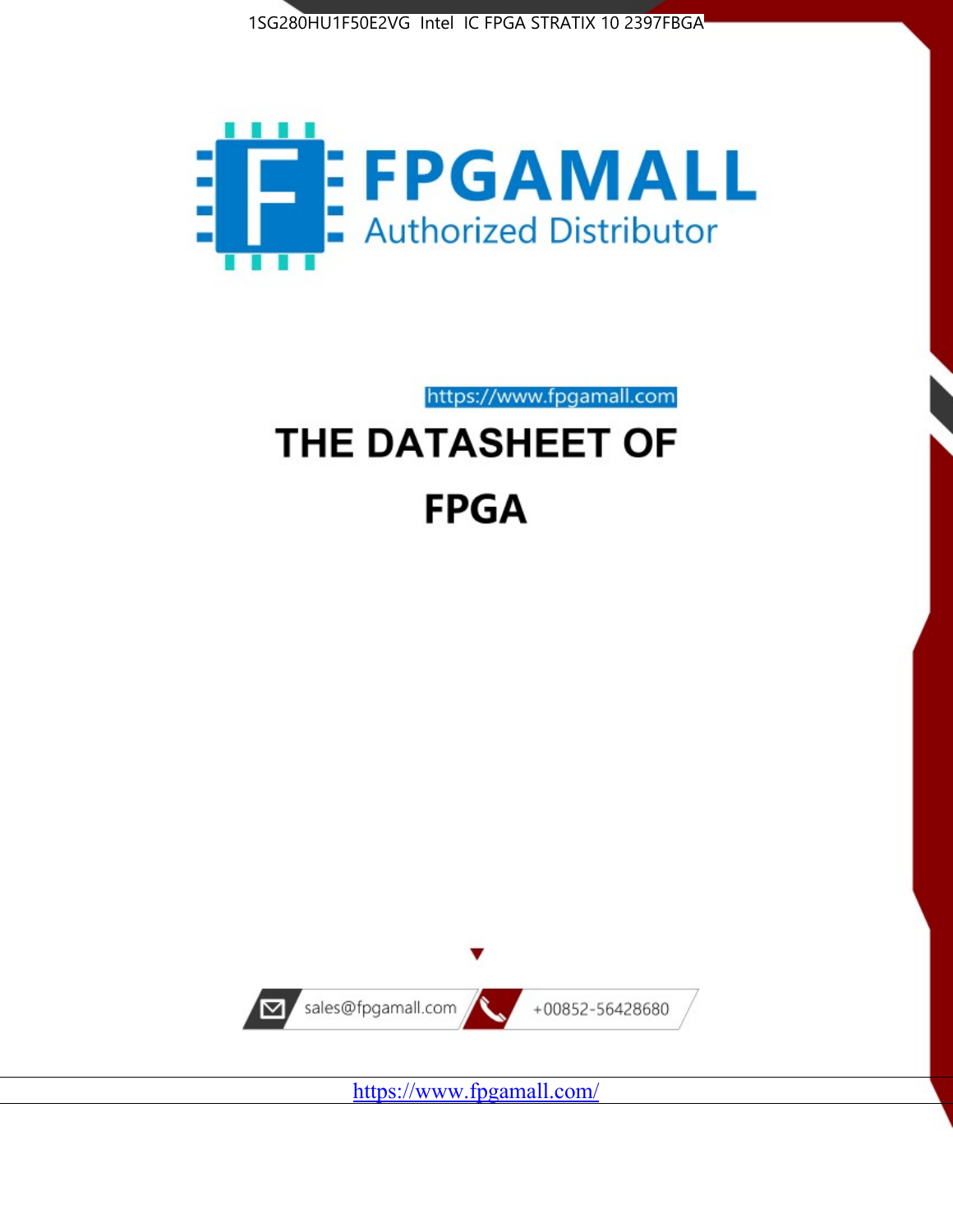



https://www.fpgamall.com

# THE DATASHEET OF **FPGA**



<https://www.fpgamall.com/>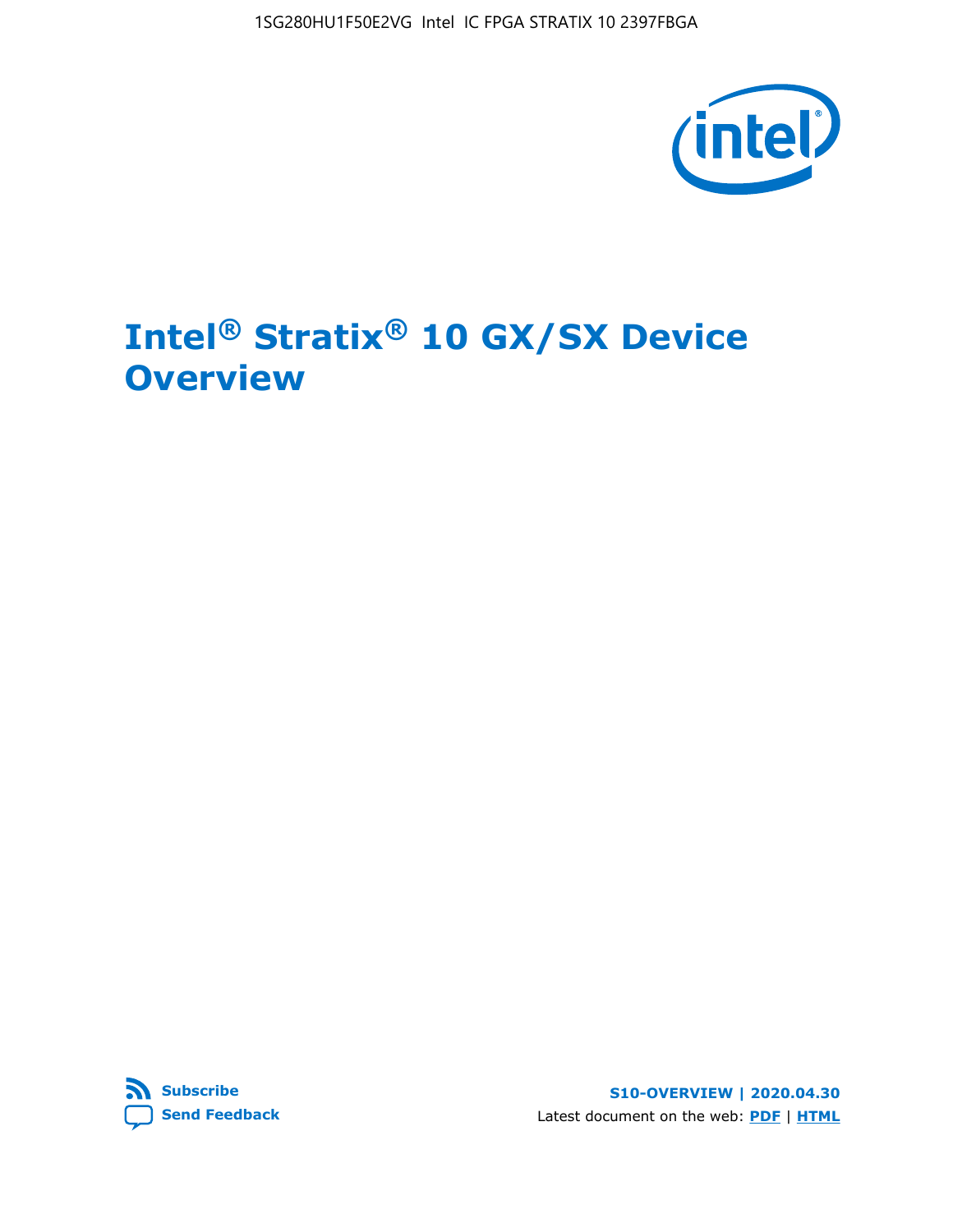

# **Intel® Stratix® 10 GX/SX Device Overview**



**S10-OVERVIEW | 2020.04.30** Latest document on the web: **[PDF](https://www.intel.com/content/dam/www/programmable/us/en/pdfs/literature/hb/stratix-10/s10-overview.pdf)** | **[HTML](https://www.intel.com/content/www/us/en/programmable/documentation/joc1442261161666.html)**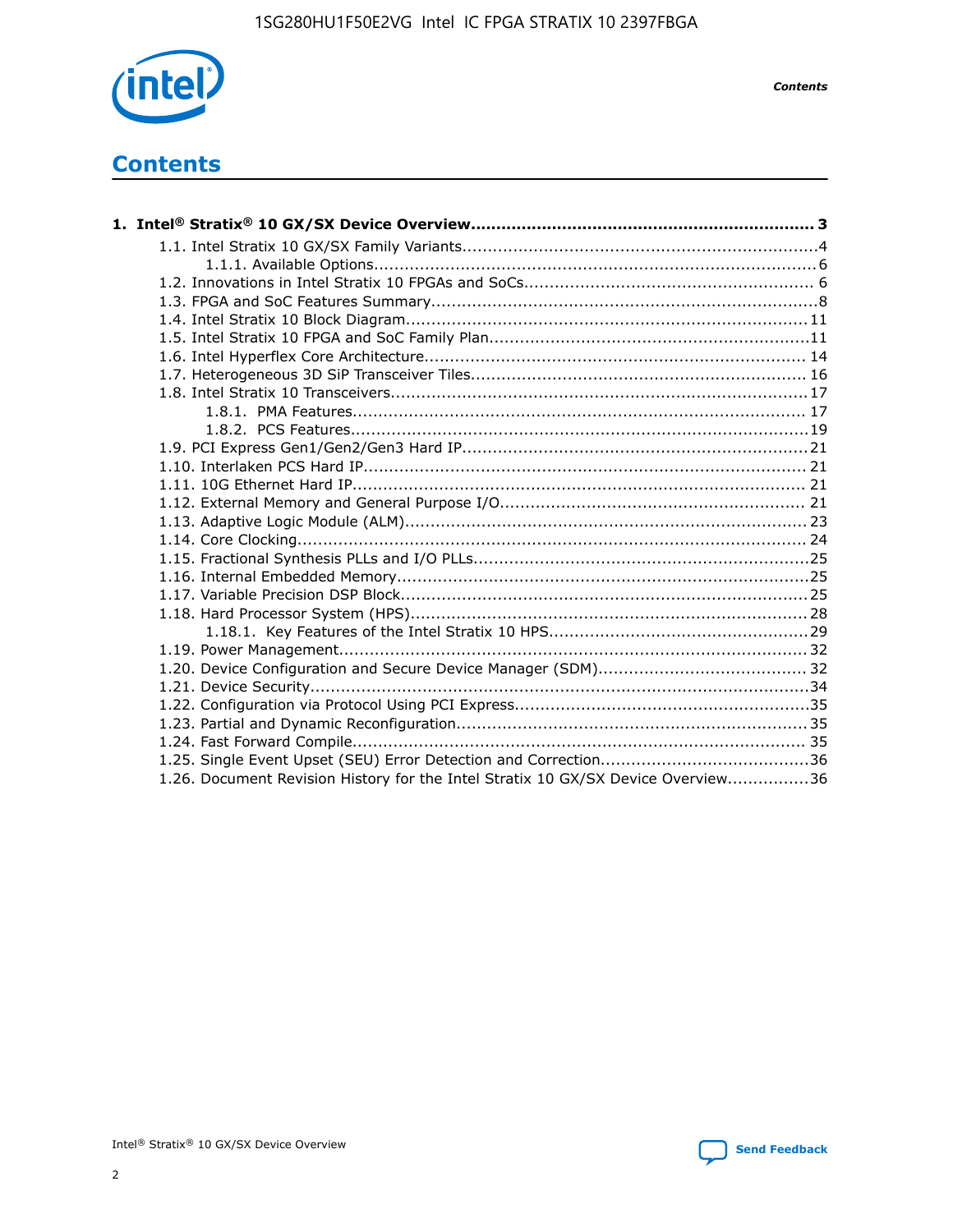

*Contents*

# **Contents**

| 1.26. Document Revision History for the Intel Stratix 10 GX/SX Device Overview36 |  |
|----------------------------------------------------------------------------------|--|

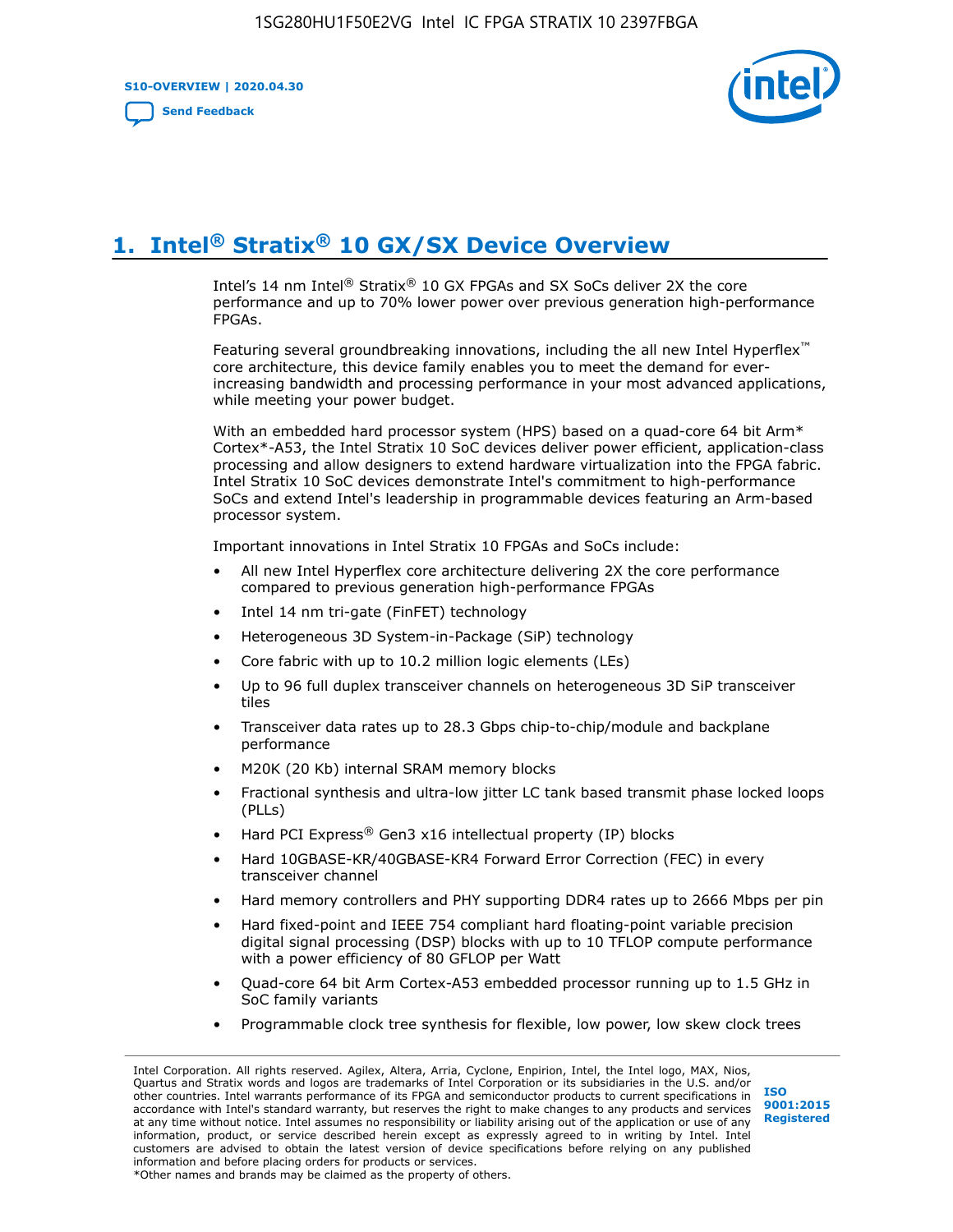**S10-OVERVIEW | 2020.04.30**

**[Send Feedback](mailto:FPGAtechdocfeedback@intel.com?subject=Feedback%20on%20Intel%20Stratix%2010%20GX/SX%20Device%20Overview%20(S10-OVERVIEW%202020.04.30)&body=We%20appreciate%20your%20feedback.%20In%20your%20comments,%20also%20specify%20the%20page%20number%20or%20paragraph.%20Thank%20you.)**



# **1. Intel® Stratix® 10 GX/SX Device Overview**

Intel's 14 nm Intel® Stratix® 10 GX FPGAs and SX SoCs deliver 2X the core performance and up to 70% lower power over previous generation high-performance FPGAs.

Featuring several groundbreaking innovations, including the all new Intel Hyperflex™ core architecture, this device family enables you to meet the demand for everincreasing bandwidth and processing performance in your most advanced applications, while meeting your power budget.

With an embedded hard processor system (HPS) based on a quad-core 64 bit Arm\* Cortex\*-A53, the Intel Stratix 10 SoC devices deliver power efficient, application-class processing and allow designers to extend hardware virtualization into the FPGA fabric. Intel Stratix 10 SoC devices demonstrate Intel's commitment to high-performance SoCs and extend Intel's leadership in programmable devices featuring an Arm-based processor system.

Important innovations in Intel Stratix 10 FPGAs and SoCs include:

- All new Intel Hyperflex core architecture delivering 2X the core performance compared to previous generation high-performance FPGAs
- Intel 14 nm tri-gate (FinFET) technology
- Heterogeneous 3D System-in-Package (SiP) technology
- Core fabric with up to 10.2 million logic elements (LEs)
- Up to 96 full duplex transceiver channels on heterogeneous 3D SiP transceiver tiles
- Transceiver data rates up to 28.3 Gbps chip-to-chip/module and backplane performance
- M20K (20 Kb) internal SRAM memory blocks
- Fractional synthesis and ultra-low jitter LC tank based transmit phase locked loops (PLLs)
- Hard PCI Express<sup>®</sup> Gen3 x16 intellectual property (IP) blocks
- Hard 10GBASE-KR/40GBASE-KR4 Forward Error Correction (FEC) in every transceiver channel
- Hard memory controllers and PHY supporting DDR4 rates up to 2666 Mbps per pin
- Hard fixed-point and IEEE 754 compliant hard floating-point variable precision digital signal processing (DSP) blocks with up to 10 TFLOP compute performance with a power efficiency of 80 GFLOP per Watt
- Quad-core 64 bit Arm Cortex-A53 embedded processor running up to 1.5 GHz in SoC family variants
- Programmable clock tree synthesis for flexible, low power, low skew clock trees

Intel Corporation. All rights reserved. Agilex, Altera, Arria, Cyclone, Enpirion, Intel, the Intel logo, MAX, Nios, Quartus and Stratix words and logos are trademarks of Intel Corporation or its subsidiaries in the U.S. and/or other countries. Intel warrants performance of its FPGA and semiconductor products to current specifications in accordance with Intel's standard warranty, but reserves the right to make changes to any products and services at any time without notice. Intel assumes no responsibility or liability arising out of the application or use of any information, product, or service described herein except as expressly agreed to in writing by Intel. Intel customers are advised to obtain the latest version of device specifications before relying on any published information and before placing orders for products or services. \*Other names and brands may be claimed as the property of others.

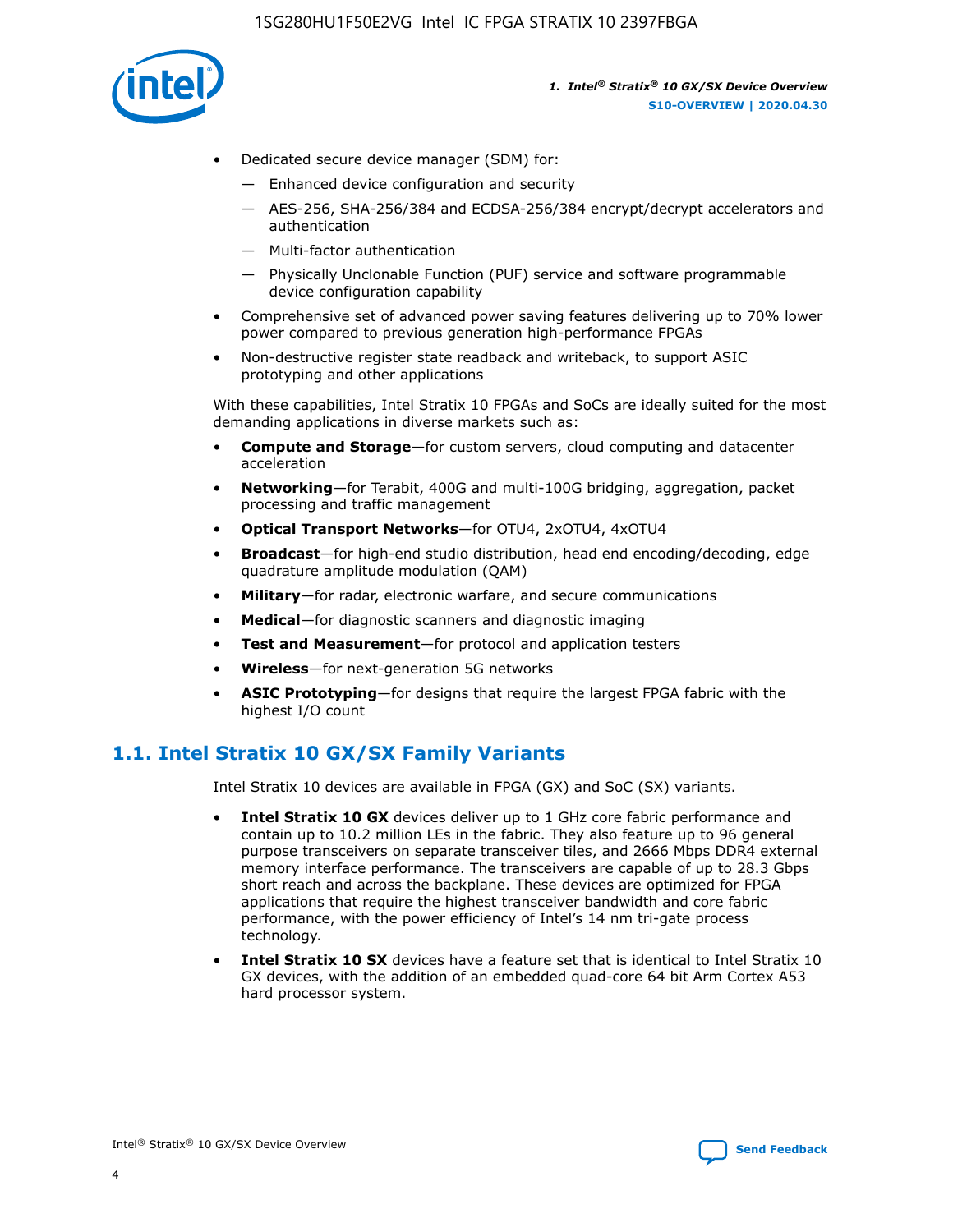

- Dedicated secure device manager (SDM) for:
	- Enhanced device configuration and security
	- AES-256, SHA-256/384 and ECDSA-256/384 encrypt/decrypt accelerators and authentication
	- Multi-factor authentication
	- Physically Unclonable Function (PUF) service and software programmable device configuration capability
- Comprehensive set of advanced power saving features delivering up to 70% lower power compared to previous generation high-performance FPGAs
- Non-destructive register state readback and writeback, to support ASIC prototyping and other applications

With these capabilities, Intel Stratix 10 FPGAs and SoCs are ideally suited for the most demanding applications in diverse markets such as:

- **Compute and Storage**—for custom servers, cloud computing and datacenter acceleration
- **Networking**—for Terabit, 400G and multi-100G bridging, aggregation, packet processing and traffic management
- **Optical Transport Networks**—for OTU4, 2xOTU4, 4xOTU4
- **Broadcast**—for high-end studio distribution, head end encoding/decoding, edge quadrature amplitude modulation (QAM)
- **Military**—for radar, electronic warfare, and secure communications
- **Medical**—for diagnostic scanners and diagnostic imaging
- **Test and Measurement**—for protocol and application testers
- **Wireless**—for next-generation 5G networks
- **ASIC Prototyping**—for designs that require the largest FPGA fabric with the highest I/O count

# **1.1. Intel Stratix 10 GX/SX Family Variants**

Intel Stratix 10 devices are available in FPGA (GX) and SoC (SX) variants.

- **Intel Stratix 10 GX** devices deliver up to 1 GHz core fabric performance and contain up to 10.2 million LEs in the fabric. They also feature up to 96 general purpose transceivers on separate transceiver tiles, and 2666 Mbps DDR4 external memory interface performance. The transceivers are capable of up to 28.3 Gbps short reach and across the backplane. These devices are optimized for FPGA applications that require the highest transceiver bandwidth and core fabric performance, with the power efficiency of Intel's 14 nm tri-gate process technology.
- **Intel Stratix 10 SX** devices have a feature set that is identical to Intel Stratix 10 GX devices, with the addition of an embedded quad-core 64 bit Arm Cortex A53 hard processor system.

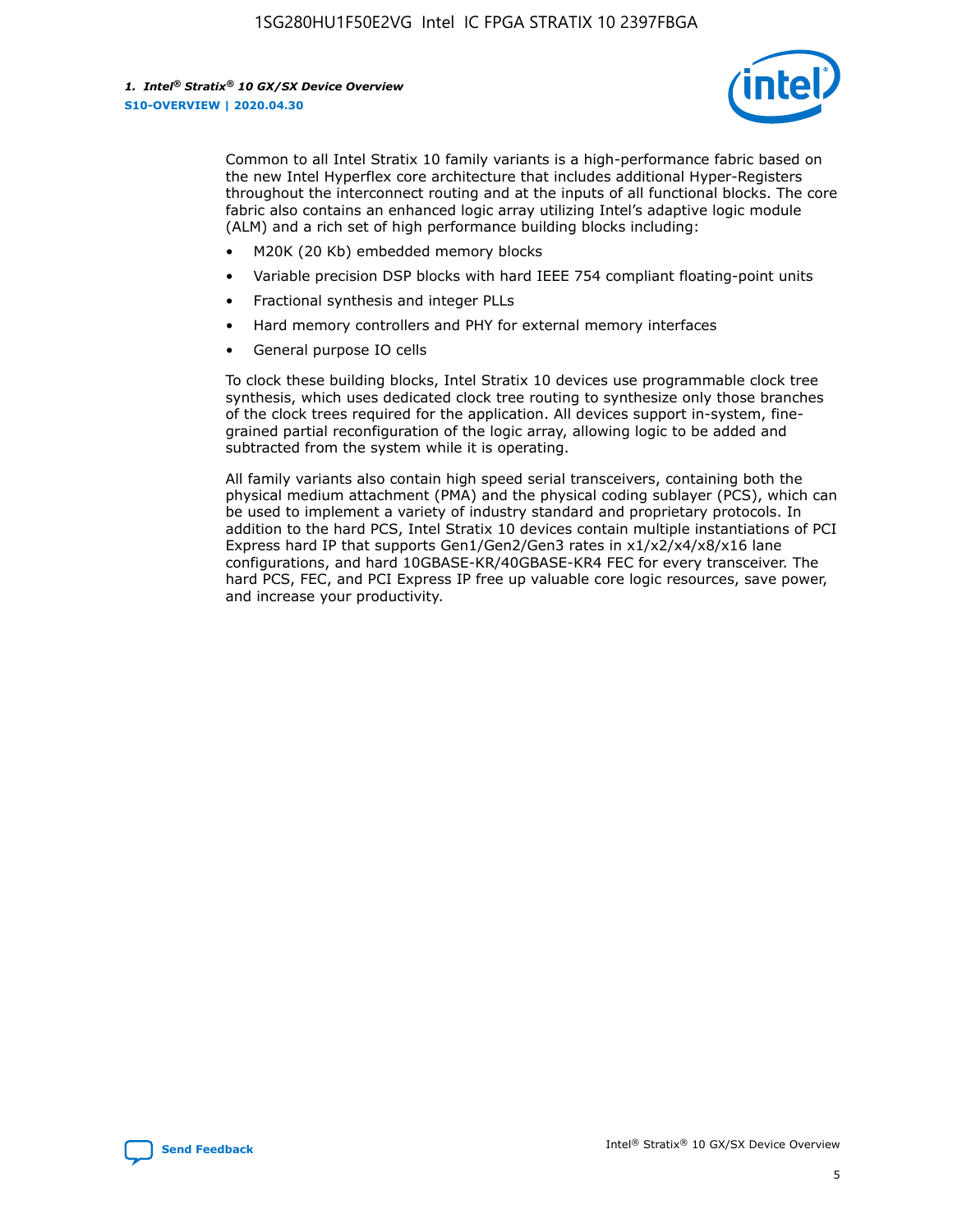

Common to all Intel Stratix 10 family variants is a high-performance fabric based on the new Intel Hyperflex core architecture that includes additional Hyper-Registers throughout the interconnect routing and at the inputs of all functional blocks. The core fabric also contains an enhanced logic array utilizing Intel's adaptive logic module (ALM) and a rich set of high performance building blocks including:

- M20K (20 Kb) embedded memory blocks
- Variable precision DSP blocks with hard IEEE 754 compliant floating-point units
- Fractional synthesis and integer PLLs
- Hard memory controllers and PHY for external memory interfaces
- General purpose IO cells

To clock these building blocks, Intel Stratix 10 devices use programmable clock tree synthesis, which uses dedicated clock tree routing to synthesize only those branches of the clock trees required for the application. All devices support in-system, finegrained partial reconfiguration of the logic array, allowing logic to be added and subtracted from the system while it is operating.

All family variants also contain high speed serial transceivers, containing both the physical medium attachment (PMA) and the physical coding sublayer (PCS), which can be used to implement a variety of industry standard and proprietary protocols. In addition to the hard PCS, Intel Stratix 10 devices contain multiple instantiations of PCI Express hard IP that supports Gen1/Gen2/Gen3 rates in x1/x2/x4/x8/x16 lane configurations, and hard 10GBASE-KR/40GBASE-KR4 FEC for every transceiver. The hard PCS, FEC, and PCI Express IP free up valuable core logic resources, save power, and increase your productivity.

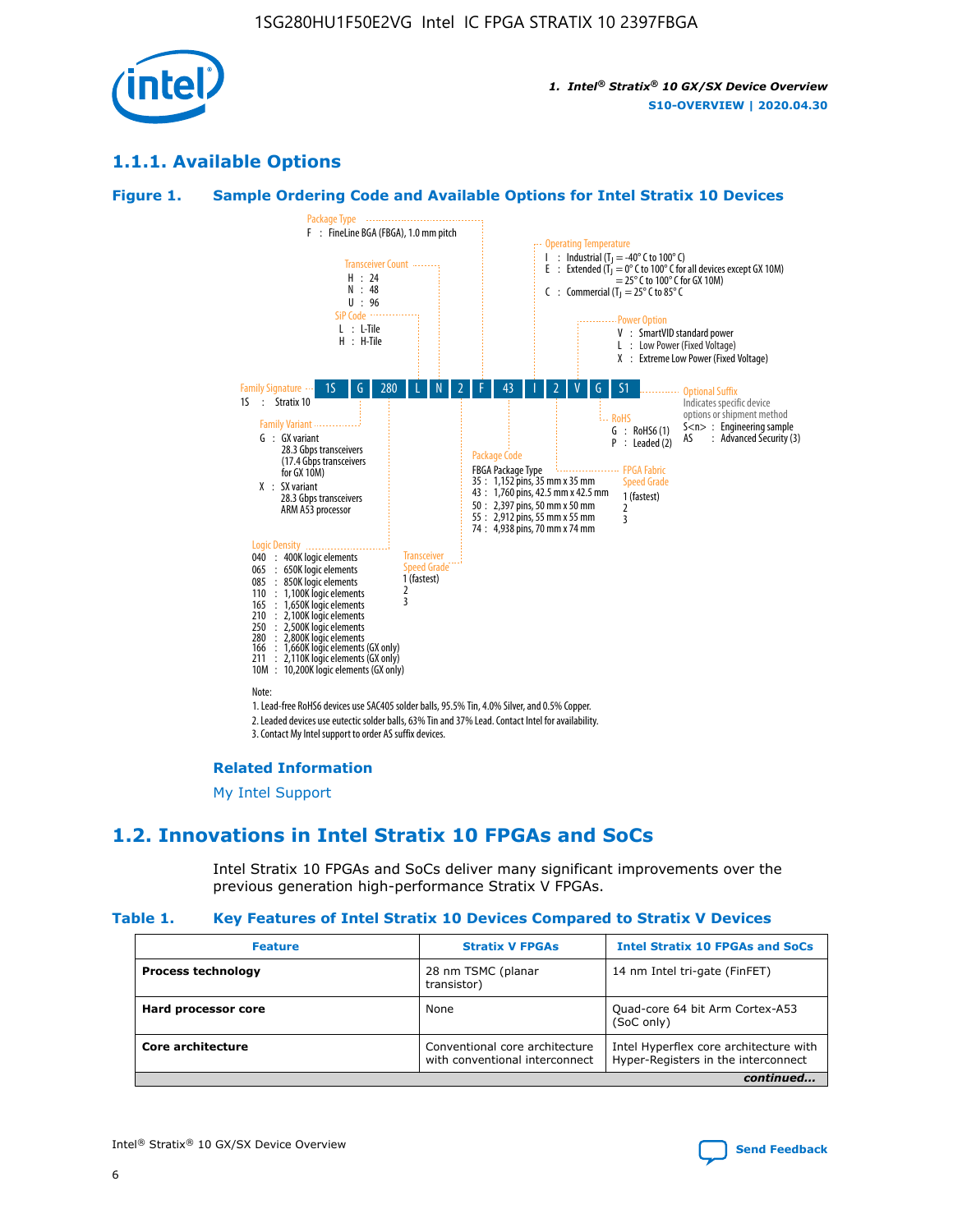

# **1.1.1. Available Options**

#### **Figure 1. Sample Ordering Code and Available Options for Intel Stratix 10 Devices**



# **Related Information**

[My Intel Support](https://www.intel.com/content/www/us/en/programmable/my-intel/mal-home.html)

# **1.2. Innovations in Intel Stratix 10 FPGAs and SoCs**

Intel Stratix 10 FPGAs and SoCs deliver many significant improvements over the previous generation high-performance Stratix V FPGAs.

#### **Table 1. Key Features of Intel Stratix 10 Devices Compared to Stratix V Devices**

| <b>Feature</b>            | <b>Stratix V FPGAs</b>                                           | <b>Intel Stratix 10 FPGAs and SoCs</b>                                        |  |  |  |
|---------------------------|------------------------------------------------------------------|-------------------------------------------------------------------------------|--|--|--|
| <b>Process technology</b> | 28 nm TSMC (planar<br>transistor)                                | 14 nm Intel tri-gate (FinFET)                                                 |  |  |  |
| Hard processor core       | None                                                             | Quad-core 64 bit Arm Cortex-A53<br>(SoC only)                                 |  |  |  |
| Core architecture         | Conventional core architecture<br>with conventional interconnect | Intel Hyperflex core architecture with<br>Hyper-Registers in the interconnect |  |  |  |
| continued                 |                                                                  |                                                                               |  |  |  |

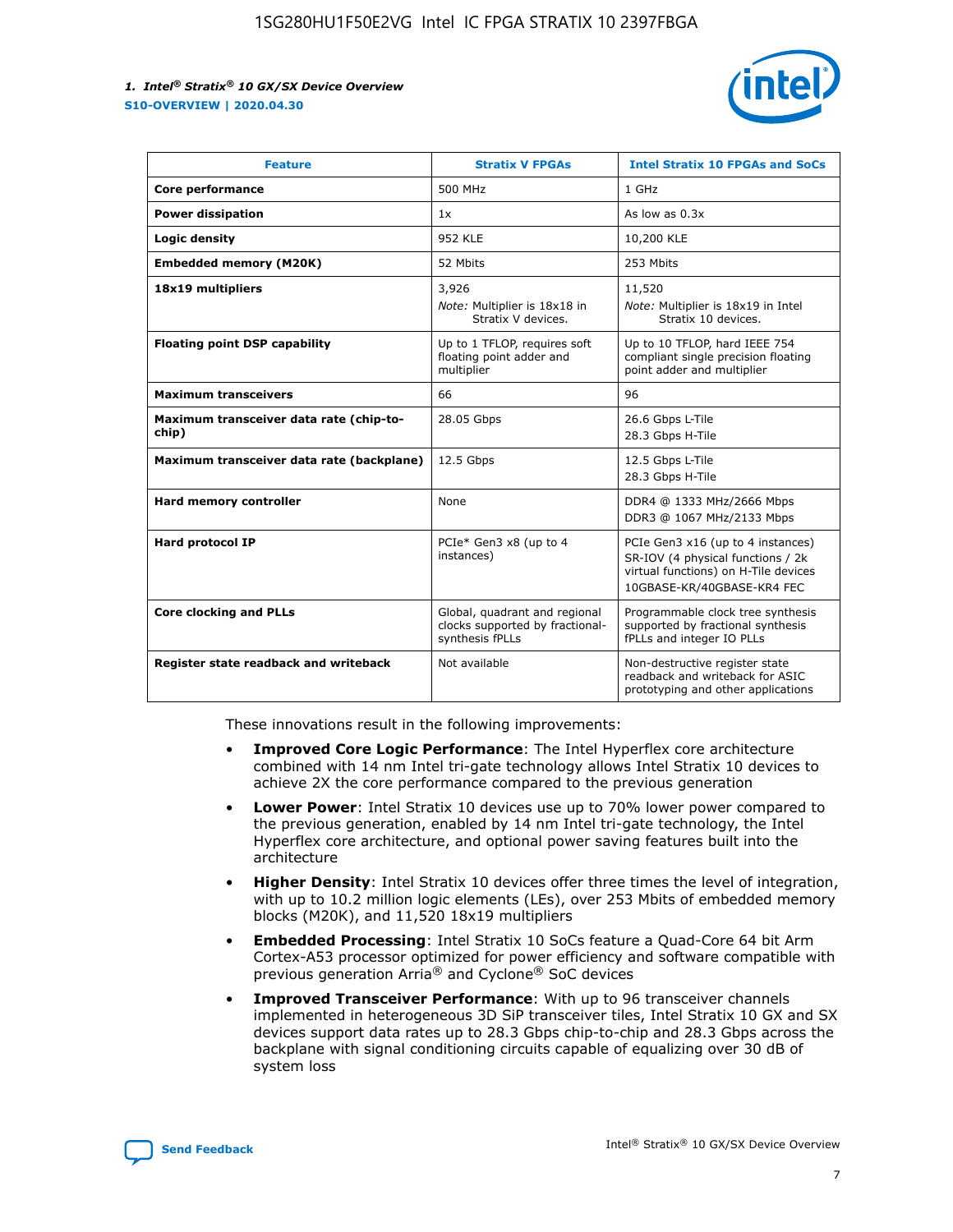

| <b>Feature</b>                                   | <b>Stratix V FPGAs</b>                                                              | <b>Intel Stratix 10 FPGAs and SoCs</b>                                                                                                       |
|--------------------------------------------------|-------------------------------------------------------------------------------------|----------------------------------------------------------------------------------------------------------------------------------------------|
| Core performance                                 | 500 MHz                                                                             | 1 GHz                                                                                                                                        |
| <b>Power dissipation</b>                         | 1x                                                                                  | As low as 0.3x                                                                                                                               |
| Logic density                                    | <b>952 KLE</b>                                                                      | 10,200 KLE                                                                                                                                   |
| <b>Embedded memory (M20K)</b>                    | 52 Mbits                                                                            | 253 Mbits                                                                                                                                    |
| 18x19 multipliers                                | 3,926                                                                               | 11,520                                                                                                                                       |
|                                                  | Note: Multiplier is 18x18 in<br>Stratix V devices.                                  | Note: Multiplier is 18x19 in Intel<br>Stratix 10 devices.                                                                                    |
| <b>Floating point DSP capability</b>             | Up to 1 TFLOP, requires soft<br>floating point adder and<br>multiplier              | Up to 10 TFLOP, hard IEEE 754<br>compliant single precision floating<br>point adder and multiplier                                           |
| <b>Maximum transceivers</b>                      | 66                                                                                  | 96                                                                                                                                           |
| Maximum transceiver data rate (chip-to-<br>chip) | 28.05 Gbps                                                                          | 26.6 Gbps L-Tile<br>28.3 Gbps H-Tile                                                                                                         |
| Maximum transceiver data rate (backplane)        | 12.5 Gbps                                                                           | 12.5 Gbps L-Tile<br>28.3 Gbps H-Tile                                                                                                         |
| <b>Hard memory controller</b>                    | None                                                                                | DDR4 @ 1333 MHz/2666 Mbps<br>DDR3 @ 1067 MHz/2133 Mbps                                                                                       |
| <b>Hard protocol IP</b>                          | PCIe* Gen3 x8 (up to 4<br>instances)                                                | PCIe Gen3 x16 (up to 4 instances)<br>SR-IOV (4 physical functions / 2k<br>virtual functions) on H-Tile devices<br>10GBASE-KR/40GBASE-KR4 FEC |
| <b>Core clocking and PLLs</b>                    | Global, quadrant and regional<br>clocks supported by fractional-<br>synthesis fPLLs | Programmable clock tree synthesis<br>supported by fractional synthesis<br>fPLLs and integer IO PLLs                                          |
| Register state readback and writeback            | Not available                                                                       | Non-destructive register state<br>readback and writeback for ASIC<br>prototyping and other applications                                      |

These innovations result in the following improvements:

- **Improved Core Logic Performance**: The Intel Hyperflex core architecture combined with 14 nm Intel tri-gate technology allows Intel Stratix 10 devices to achieve 2X the core performance compared to the previous generation
- **Lower Power**: Intel Stratix 10 devices use up to 70% lower power compared to the previous generation, enabled by 14 nm Intel tri-gate technology, the Intel Hyperflex core architecture, and optional power saving features built into the architecture
- **Higher Density**: Intel Stratix 10 devices offer three times the level of integration, with up to 10.2 million logic elements (LEs), over 253 Mbits of embedded memory blocks (M20K), and 11,520 18x19 multipliers
- **Embedded Processing**: Intel Stratix 10 SoCs feature a Quad-Core 64 bit Arm Cortex-A53 processor optimized for power efficiency and software compatible with previous generation Arria® and Cyclone® SoC devices
- **Improved Transceiver Performance**: With up to 96 transceiver channels implemented in heterogeneous 3D SiP transceiver tiles, Intel Stratix 10 GX and SX devices support data rates up to 28.3 Gbps chip-to-chip and 28.3 Gbps across the backplane with signal conditioning circuits capable of equalizing over 30 dB of system loss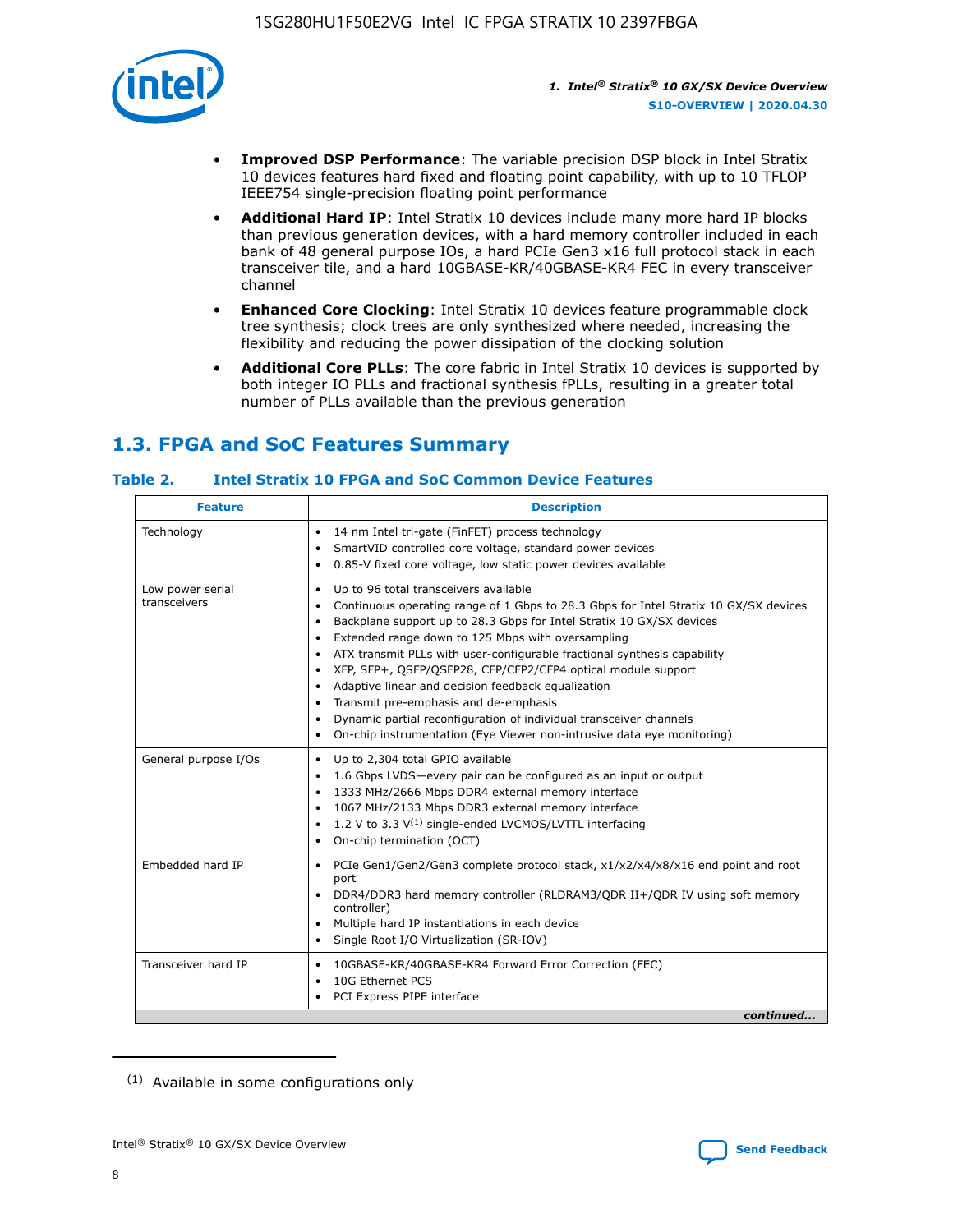

- **Improved DSP Performance**: The variable precision DSP block in Intel Stratix 10 devices features hard fixed and floating point capability, with up to 10 TFLOP IEEE754 single-precision floating point performance
- **Additional Hard IP**: Intel Stratix 10 devices include many more hard IP blocks than previous generation devices, with a hard memory controller included in each bank of 48 general purpose IOs, a hard PCIe Gen3 x16 full protocol stack in each transceiver tile, and a hard 10GBASE-KR/40GBASE-KR4 FEC in every transceiver channel
- **Enhanced Core Clocking**: Intel Stratix 10 devices feature programmable clock tree synthesis; clock trees are only synthesized where needed, increasing the flexibility and reducing the power dissipation of the clocking solution
- **Additional Core PLLs**: The core fabric in Intel Stratix 10 devices is supported by both integer IO PLLs and fractional synthesis fPLLs, resulting in a greater total number of PLLs available than the previous generation

# **1.3. FPGA and SoC Features Summary**

#### **Table 2. Intel Stratix 10 FPGA and SoC Common Device Features**

| Technology<br>14 nm Intel tri-gate (FinFET) process technology<br>٠<br>SmartVID controlled core voltage, standard power devices<br>0.85-V fixed core voltage, low static power devices available<br>Up to 96 total transceivers available<br>Low power serial<br>٠<br>transceivers<br>Continuous operating range of 1 Gbps to 28.3 Gbps for Intel Stratix 10 GX/SX devices<br>Backplane support up to 28.3 Gbps for Intel Stratix 10 GX/SX devices<br>$\bullet$<br>Extended range down to 125 Mbps with oversampling<br>$\bullet$<br>• ATX transmit PLLs with user-configurable fractional synthesis capability<br>XFP, SFP+, QSFP/QSFP28, CFP/CFP2/CFP4 optical module support<br>• Adaptive linear and decision feedback equalization<br>Transmit pre-emphasis and de-emphasis<br>Dynamic partial reconfiguration of individual transceiver channels<br>$\bullet$<br>On-chip instrumentation (Eye Viewer non-intrusive data eye monitoring)<br>General purpose I/Os<br>Up to 2,304 total GPIO available<br>$\bullet$<br>1.6 Gbps LVDS-every pair can be configured as an input or output<br>1333 MHz/2666 Mbps DDR4 external memory interface<br>1067 MHz/2133 Mbps DDR3 external memory interface<br>• 1.2 V to 3.3 $V^{(1)}$ single-ended LVCMOS/LVTTL interfacing<br>• On-chip termination (OCT)<br>Embedded hard IP<br>PCIe Gen1/Gen2/Gen3 complete protocol stack, x1/x2/x4/x8/x16 end point and root<br>$\bullet$<br>port<br>DDR4/DDR3 hard memory controller (RLDRAM3/QDR II+/QDR IV using soft memory<br>controller)<br>Multiple hard IP instantiations in each device<br>• Single Root I/O Virtualization (SR-IOV)<br>Transceiver hard IP<br>10GBASE-KR/40GBASE-KR4 Forward Error Correction (FEC)<br>$\bullet$<br>10G Ethernet PCS<br>$\bullet$ | <b>Feature</b> | <b>Description</b> |
|-------------------------------------------------------------------------------------------------------------------------------------------------------------------------------------------------------------------------------------------------------------------------------------------------------------------------------------------------------------------------------------------------------------------------------------------------------------------------------------------------------------------------------------------------------------------------------------------------------------------------------------------------------------------------------------------------------------------------------------------------------------------------------------------------------------------------------------------------------------------------------------------------------------------------------------------------------------------------------------------------------------------------------------------------------------------------------------------------------------------------------------------------------------------------------------------------------------------------------------------------------------------------------------------------------------------------------------------------------------------------------------------------------------------------------------------------------------------------------------------------------------------------------------------------------------------------------------------------------------------------------------------------------------------------------------------------------------------------------------------------------------|----------------|--------------------|
|                                                                                                                                                                                                                                                                                                                                                                                                                                                                                                                                                                                                                                                                                                                                                                                                                                                                                                                                                                                                                                                                                                                                                                                                                                                                                                                                                                                                                                                                                                                                                                                                                                                                                                                                                             |                |                    |
|                                                                                                                                                                                                                                                                                                                                                                                                                                                                                                                                                                                                                                                                                                                                                                                                                                                                                                                                                                                                                                                                                                                                                                                                                                                                                                                                                                                                                                                                                                                                                                                                                                                                                                                                                             |                |                    |
|                                                                                                                                                                                                                                                                                                                                                                                                                                                                                                                                                                                                                                                                                                                                                                                                                                                                                                                                                                                                                                                                                                                                                                                                                                                                                                                                                                                                                                                                                                                                                                                                                                                                                                                                                             |                |                    |
|                                                                                                                                                                                                                                                                                                                                                                                                                                                                                                                                                                                                                                                                                                                                                                                                                                                                                                                                                                                                                                                                                                                                                                                                                                                                                                                                                                                                                                                                                                                                                                                                                                                                                                                                                             |                |                    |
| PCI Express PIPE interface<br>continued                                                                                                                                                                                                                                                                                                                                                                                                                                                                                                                                                                                                                                                                                                                                                                                                                                                                                                                                                                                                                                                                                                                                                                                                                                                                                                                                                                                                                                                                                                                                                                                                                                                                                                                     |                |                    |

<sup>(1)</sup> Available in some configurations only

8

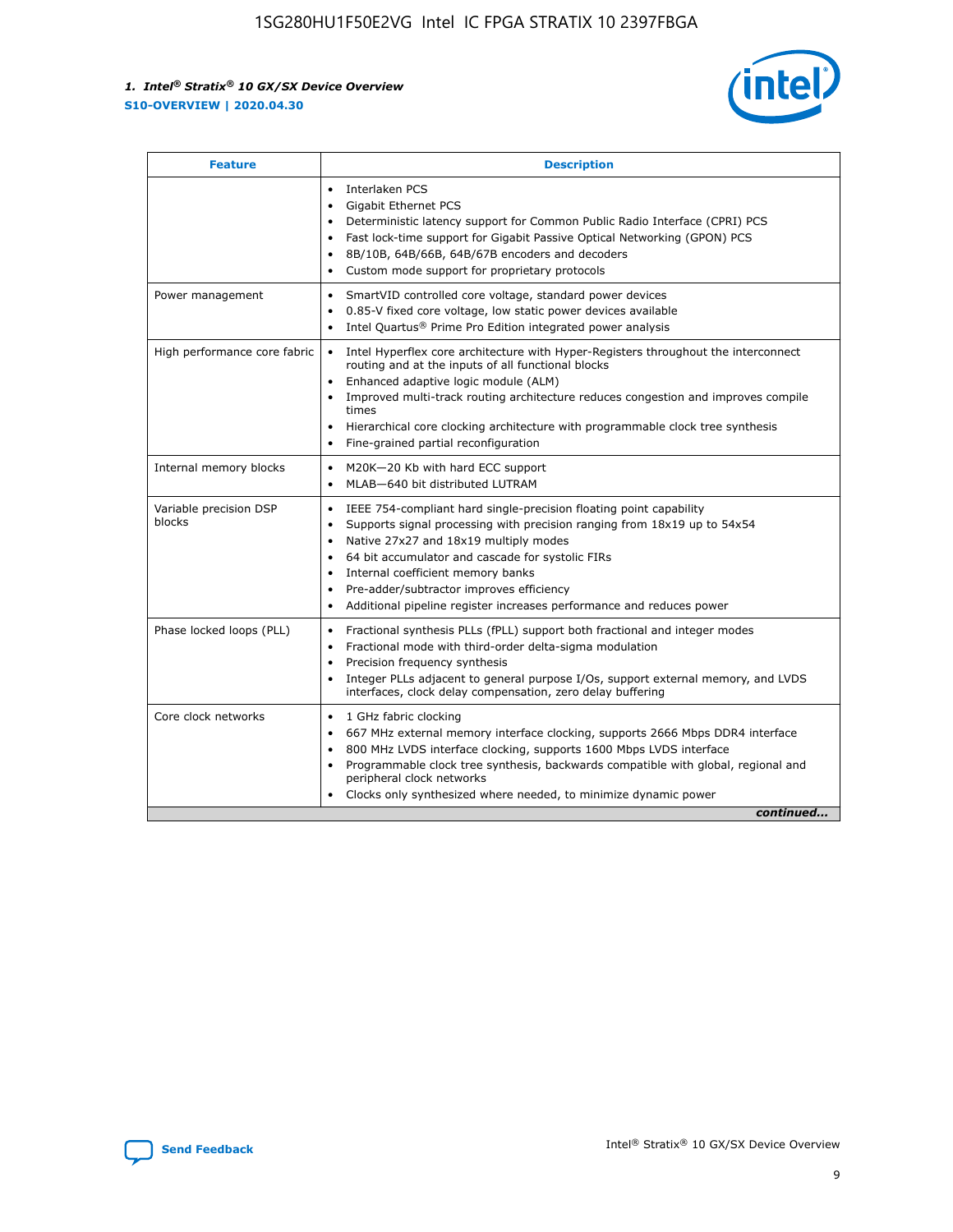

| <b>Feature</b>                   | <b>Description</b>                                                                                                                                                                                                                                                                                                                                                                                                                                                    |
|----------------------------------|-----------------------------------------------------------------------------------------------------------------------------------------------------------------------------------------------------------------------------------------------------------------------------------------------------------------------------------------------------------------------------------------------------------------------------------------------------------------------|
|                                  | Interlaken PCS<br>Gigabit Ethernet PCS<br>$\bullet$<br>Deterministic latency support for Common Public Radio Interface (CPRI) PCS<br>$\bullet$<br>Fast lock-time support for Gigabit Passive Optical Networking (GPON) PCS<br>$\bullet$<br>8B/10B, 64B/66B, 64B/67B encoders and decoders<br>$\bullet$<br>Custom mode support for proprietary protocols                                                                                                               |
| Power management                 | SmartVID controlled core voltage, standard power devices<br>٠<br>0.85-V fixed core voltage, low static power devices available<br>$\bullet$<br>Intel Quartus <sup>®</sup> Prime Pro Edition integrated power analysis                                                                                                                                                                                                                                                 |
| High performance core fabric     | Intel Hyperflex core architecture with Hyper-Registers throughout the interconnect<br>routing and at the inputs of all functional blocks<br>Enhanced adaptive logic module (ALM)<br>$\bullet$<br>Improved multi-track routing architecture reduces congestion and improves compile<br>times<br>Hierarchical core clocking architecture with programmable clock tree synthesis<br>$\bullet$<br>Fine-grained partial reconfiguration                                    |
| Internal memory blocks           | M20K-20 Kb with hard ECC support<br>٠<br>MLAB-640 bit distributed LUTRAM                                                                                                                                                                                                                                                                                                                                                                                              |
| Variable precision DSP<br>blocks | IEEE 754-compliant hard single-precision floating point capability<br>$\bullet$<br>Supports signal processing with precision ranging from 18x19 up to 54x54<br>$\bullet$<br>Native 27x27 and 18x19 multiply modes<br>$\bullet$<br>64 bit accumulator and cascade for systolic FIRs<br>Internal coefficient memory banks<br>Pre-adder/subtractor improves efficiency<br>$\bullet$<br>Additional pipeline register increases performance and reduces power<br>$\bullet$ |
| Phase locked loops (PLL)         | Fractional synthesis PLLs (fPLL) support both fractional and integer modes<br>$\bullet$<br>Fractional mode with third-order delta-sigma modulation<br>Precision frequency synthesis<br>٠<br>Integer PLLs adjacent to general purpose I/Os, support external memory, and LVDS<br>$\bullet$<br>interfaces, clock delay compensation, zero delay buffering                                                                                                               |
| Core clock networks              | 1 GHz fabric clocking<br>$\bullet$<br>667 MHz external memory interface clocking, supports 2666 Mbps DDR4 interface<br>$\bullet$<br>800 MHz LVDS interface clocking, supports 1600 Mbps LVDS interface<br>$\bullet$<br>Programmable clock tree synthesis, backwards compatible with global, regional and<br>$\bullet$<br>peripheral clock networks<br>Clocks only synthesized where needed, to minimize dynamic power<br>continued                                    |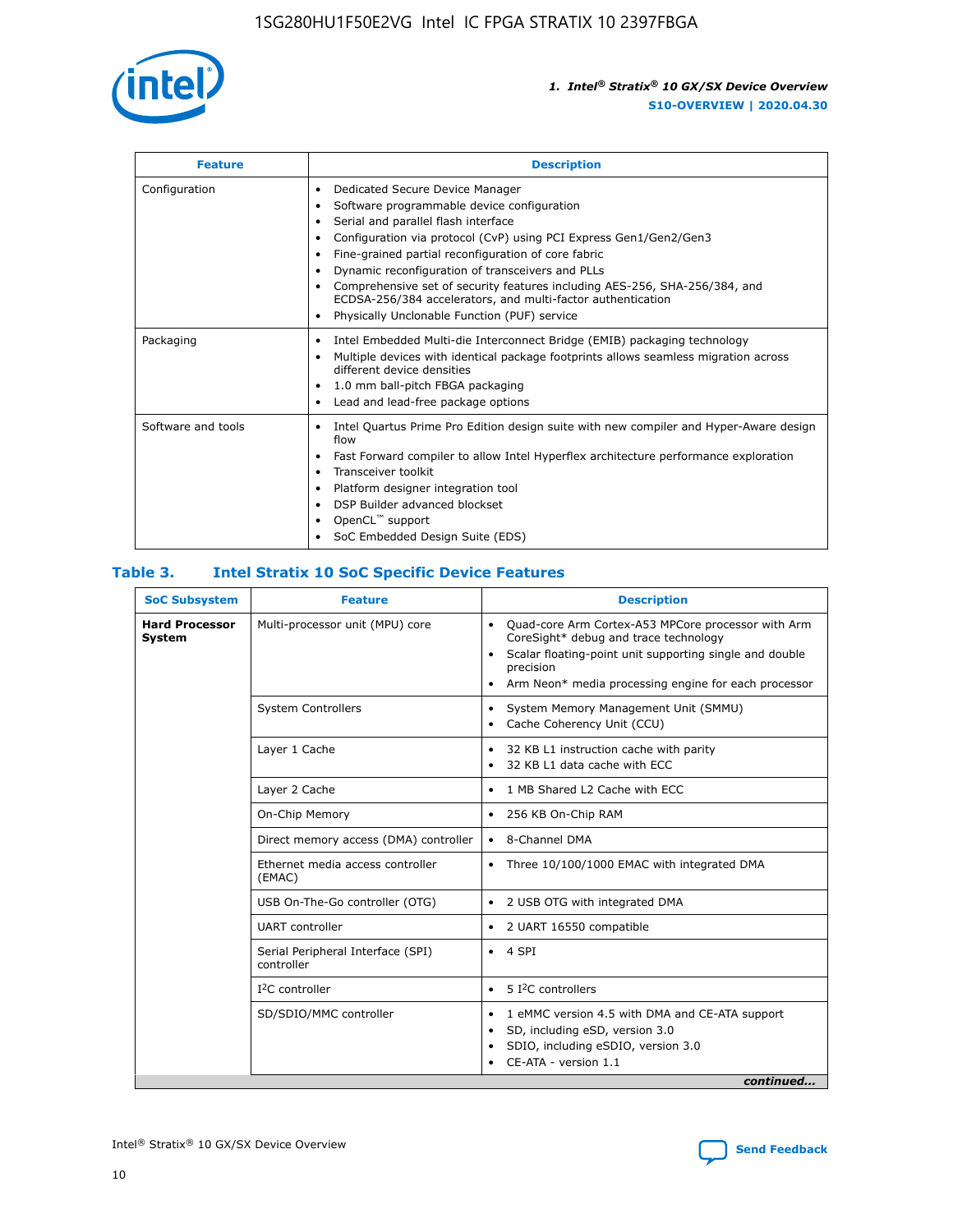

| <b>Feature</b>     | <b>Description</b>                                                                                                                                                                                                                                                                                                                                                                                                                                                                                                                                                   |  |  |  |
|--------------------|----------------------------------------------------------------------------------------------------------------------------------------------------------------------------------------------------------------------------------------------------------------------------------------------------------------------------------------------------------------------------------------------------------------------------------------------------------------------------------------------------------------------------------------------------------------------|--|--|--|
| Configuration      | Dedicated Secure Device Manager<br>$\bullet$<br>Software programmable device configuration<br>٠<br>Serial and parallel flash interface<br>٠<br>Configuration via protocol (CvP) using PCI Express Gen1/Gen2/Gen3<br>٠<br>Fine-grained partial reconfiguration of core fabric<br>$\bullet$<br>Dynamic reconfiguration of transceivers and PLLs<br>$\bullet$<br>Comprehensive set of security features including AES-256, SHA-256/384, and<br>ECDSA-256/384 accelerators, and multi-factor authentication<br>Physically Unclonable Function (PUF) service<br>$\bullet$ |  |  |  |
| Packaging          | Intel Embedded Multi-die Interconnect Bridge (EMIB) packaging technology<br>٠<br>Multiple devices with identical package footprints allows seamless migration across<br>$\bullet$<br>different device densities<br>1.0 mm ball-pitch FBGA packaging<br>$\bullet$<br>Lead and lead-free package options                                                                                                                                                                                                                                                               |  |  |  |
| Software and tools | Intel Quartus Prime Pro Edition design suite with new compiler and Hyper-Aware design<br>flow<br>Fast Forward compiler to allow Intel Hyperflex architecture performance exploration<br>$\bullet$<br>Transceiver toolkit<br>$\bullet$<br>Platform designer integration tool<br>DSP Builder advanced blockset<br>OpenCL <sup>™</sup> support<br>SoC Embedded Design Suite (EDS)                                                                                                                                                                                       |  |  |  |

#### **Table 3. Intel Stratix 10 SoC Specific Device Features**

| <b>Hard Processor</b> | Multi-processor unit (MPU) core                 |                                                                                                                                                                                                                                                                    |  |  |
|-----------------------|-------------------------------------------------|--------------------------------------------------------------------------------------------------------------------------------------------------------------------------------------------------------------------------------------------------------------------|--|--|
| System                |                                                 | Quad-core Arm Cortex-A53 MPCore processor with Arm<br>$\bullet$<br>CoreSight* debug and trace technology<br>Scalar floating-point unit supporting single and double<br>$\bullet$<br>precision<br>Arm Neon* media processing engine for each processor<br>$\bullet$ |  |  |
|                       | <b>System Controllers</b>                       | System Memory Management Unit (SMMU)<br>٠<br>Cache Coherency Unit (CCU)<br>$\bullet$                                                                                                                                                                               |  |  |
|                       | Layer 1 Cache                                   | 32 KB L1 instruction cache with parity<br>$\bullet$<br>32 KB L1 data cache with ECC<br>$\bullet$                                                                                                                                                                   |  |  |
|                       | Layer 2 Cache                                   | 1 MB Shared L2 Cache with ECC<br>$\bullet$                                                                                                                                                                                                                         |  |  |
|                       | On-Chip Memory                                  | 256 KB On-Chip RAM<br>٠                                                                                                                                                                                                                                            |  |  |
|                       | Direct memory access (DMA) controller           | • 8-Channel DMA                                                                                                                                                                                                                                                    |  |  |
|                       | Ethernet media access controller<br>(EMAC)      | Three 10/100/1000 EMAC with integrated DMA<br>$\bullet$                                                                                                                                                                                                            |  |  |
|                       | USB On-The-Go controller (OTG)                  | 2 USB OTG with integrated DMA<br>٠                                                                                                                                                                                                                                 |  |  |
|                       | <b>UART</b> controller                          | 2 UART 16550 compatible<br>٠                                                                                                                                                                                                                                       |  |  |
|                       | Serial Peripheral Interface (SPI)<br>controller | $\bullet$ 4 SPI                                                                                                                                                                                                                                                    |  |  |
|                       | $I2C$ controller                                | 5 I <sup>2</sup> C controllers<br>$\bullet$                                                                                                                                                                                                                        |  |  |
|                       | SD/SDIO/MMC controller                          | 1 eMMC version 4.5 with DMA and CE-ATA support<br>٠<br>SD, including eSD, version 3.0<br>$\bullet$<br>SDIO, including eSDIO, version 3.0<br>CE-ATA - version 1.1<br>continued                                                                                      |  |  |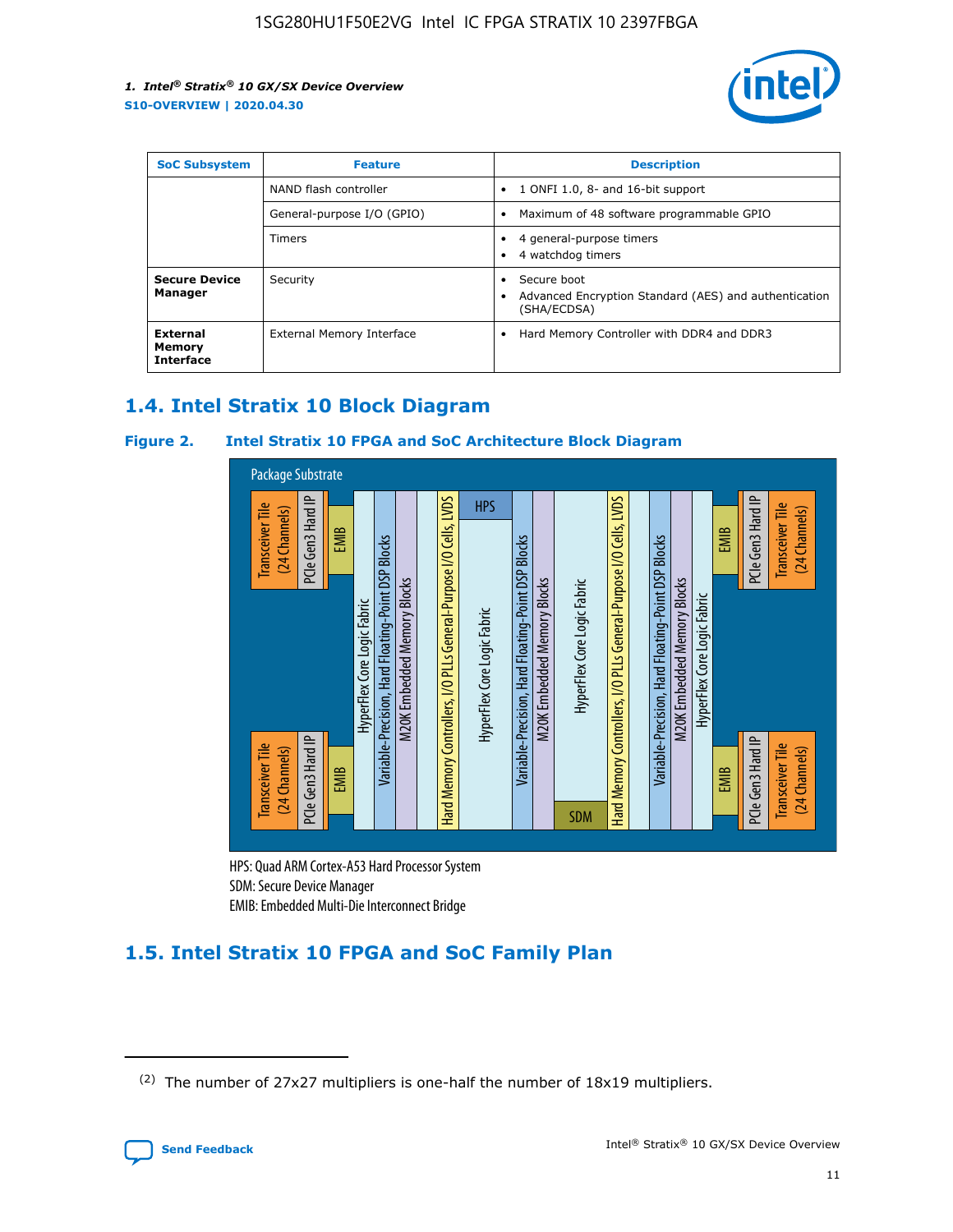

| <b>SoC Subsystem</b>                   | <b>Feature</b>             | <b>Description</b>                                                                            |  |  |
|----------------------------------------|----------------------------|-----------------------------------------------------------------------------------------------|--|--|
|                                        | NAND flash controller      | 1 ONFI 1.0, 8- and 16-bit support<br>$\bullet$                                                |  |  |
|                                        | General-purpose I/O (GPIO) | Maximum of 48 software programmable GPIO<br>$\bullet$                                         |  |  |
|                                        | <b>Timers</b>              | 4 general-purpose timers<br>٠<br>4 watchdog timers                                            |  |  |
| <b>Secure Device</b><br>Manager        | Security                   | Secure boot<br>٠<br>Advanced Encryption Standard (AES) and authentication<br>٠<br>(SHA/ECDSA) |  |  |
| External<br>Memory<br><b>Interface</b> | External Memory Interface  | Hard Memory Controller with DDR4 and DDR3<br>$\bullet$                                        |  |  |

# **1.4. Intel Stratix 10 Block Diagram**

#### **Figure 2. Intel Stratix 10 FPGA and SoC Architecture Block Diagram**



HPS: Quad ARM Cortex-A53 Hard Processor System SDM: Secure Device Manager

# **1.5. Intel Stratix 10 FPGA and SoC Family Plan**

<sup>(2)</sup> The number of 27x27 multipliers is one-half the number of 18x19 multipliers.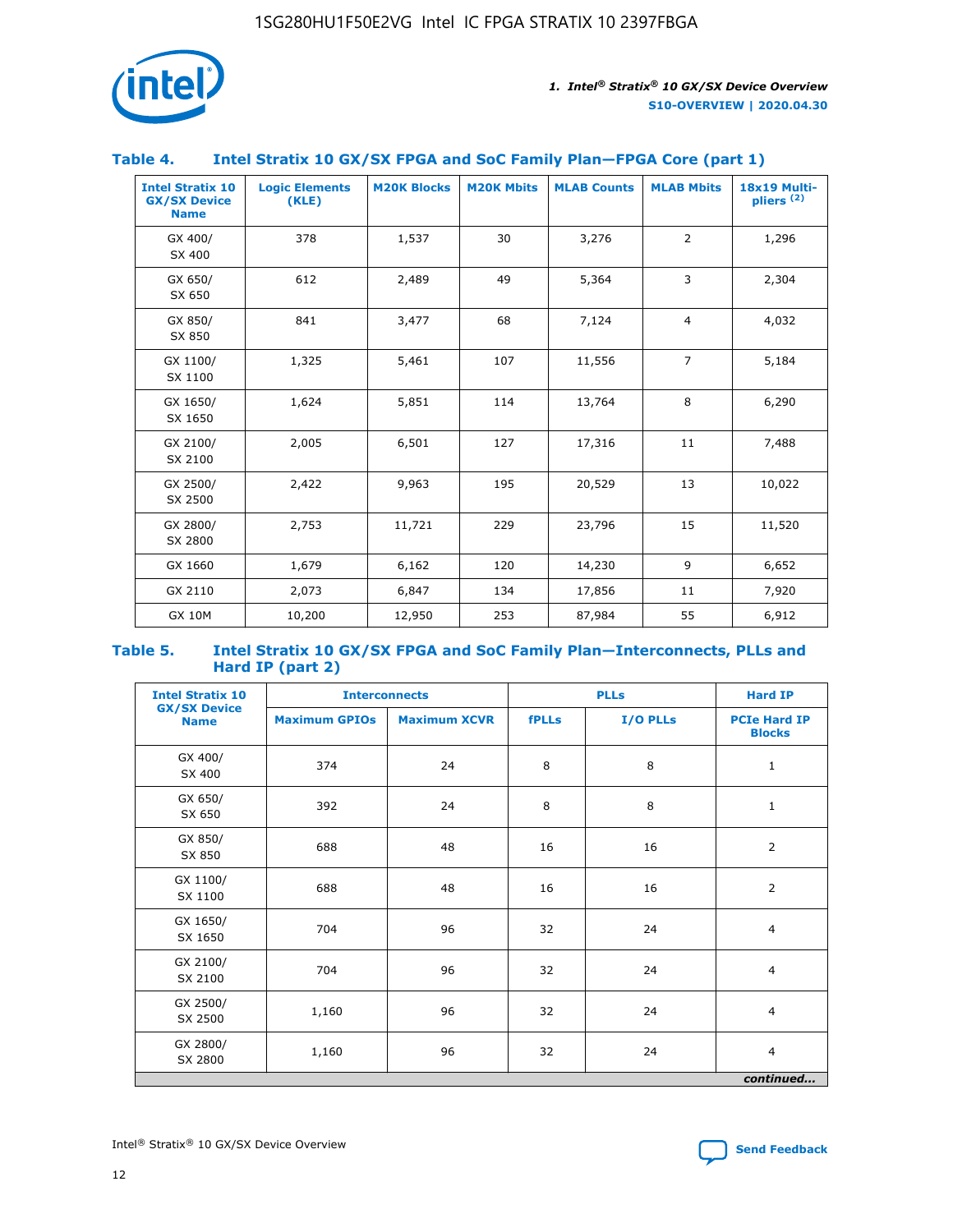

#### **Table 4. Intel Stratix 10 GX/SX FPGA and SoC Family Plan—FPGA Core (part 1)**

| <b>Intel Stratix 10</b><br><b>GX/SX Device</b><br><b>Name</b> | <b>Logic Elements</b><br>(KLE) | <b>M20K Blocks</b> | <b>M20K Mbits</b> | <b>MLAB Counts</b> | <b>MLAB Mbits</b> | 18x19 Multi-<br>pliers <sup>(2)</sup> |
|---------------------------------------------------------------|--------------------------------|--------------------|-------------------|--------------------|-------------------|---------------------------------------|
| GX 400/<br>SX 400                                             | 378                            | 1,537              | 30                | 3,276              | $\overline{2}$    | 1,296                                 |
| GX 650/<br>SX 650                                             | 612                            | 2,489              | 49                | 5,364              | 3                 | 2,304                                 |
| GX 850/<br>SX 850                                             | 841                            | 3,477              | 68                | 7,124              | $\overline{4}$    | 4,032                                 |
| GX 1100/<br>SX 1100                                           | 1,325                          | 5,461              | 107               | 11,556             | $\overline{7}$    | 5,184                                 |
| GX 1650/<br>SX 1650                                           | 1,624                          | 5,851              | 114               | 13,764             | 8                 | 6,290                                 |
| GX 2100/<br>SX 2100                                           | 2,005                          | 6,501              | 127               | 17,316             | 11                | 7,488                                 |
| GX 2500/<br>SX 2500                                           | 2,422                          | 9,963              | 195               | 20,529             | 13                | 10,022                                |
| GX 2800/<br>SX 2800                                           | 2,753                          | 11,721             | 229               | 23,796             | 15                | 11,520                                |
| GX 1660                                                       | 1,679                          | 6,162              | 120               | 14,230             | 9                 | 6,652                                 |
| GX 2110                                                       | 2,073                          | 6,847              | 134               | 17,856             | 11                | 7,920                                 |
| <b>GX 10M</b>                                                 | 10,200                         | 12,950             | 253               | 87,984             | 55                | 6,912                                 |

#### **Table 5. Intel Stratix 10 GX/SX FPGA and SoC Family Plan—Interconnects, PLLs and Hard IP (part 2)**

| <b>Intel Stratix 10</b>            | <b>Interconnects</b> |                     | <b>PLLs</b>  |          | <b>Hard IP</b>                       |  |
|------------------------------------|----------------------|---------------------|--------------|----------|--------------------------------------|--|
| <b>GX/SX Device</b><br><b>Name</b> | <b>Maximum GPIOs</b> | <b>Maximum XCVR</b> | <b>fPLLs</b> | I/O PLLs | <b>PCIe Hard IP</b><br><b>Blocks</b> |  |
| GX 400/<br>SX 400                  | 374                  | 24                  | 8            | 8        | $\mathbf{1}$                         |  |
| GX 650/<br>SX 650                  | 392                  | 24                  | 8            | 8        | $\mathbf{1}$                         |  |
| GX 850/<br>SX 850                  | 688                  | 48                  | 16           | 16       | 2                                    |  |
| GX 1100/<br>SX 1100                | 688                  | 48                  | 16           | 16       | 2                                    |  |
| GX 1650/<br>SX 1650                | 704                  | 96                  | 32           | 24       | $\overline{4}$                       |  |
| GX 2100/<br>SX 2100                | 704                  | 96                  | 32           | 24       | $\overline{4}$                       |  |
| GX 2500/<br>SX 2500                | 1,160                | 96                  | 32           | 24       | $\overline{4}$                       |  |
| GX 2800/<br>SX 2800                | 1,160                | 96                  | 32           | 24       | $\overline{4}$                       |  |
| continued                          |                      |                     |              |          |                                      |  |

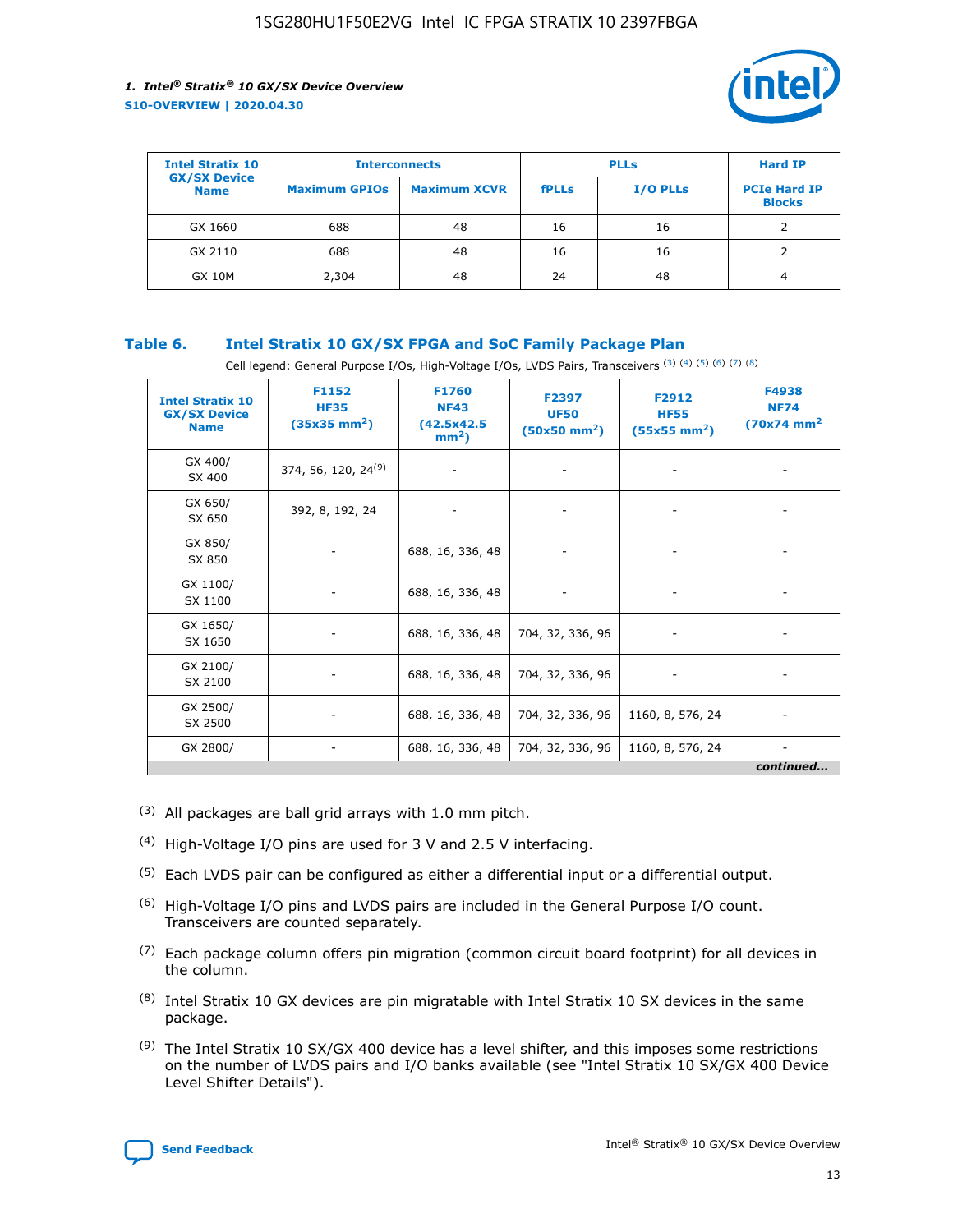

| <b>Intel Stratix 10</b>            | <b>Interconnects</b> |                     | <b>PLLs</b>  |                 | <b>Hard IP</b>                       |
|------------------------------------|----------------------|---------------------|--------------|-----------------|--------------------------------------|
| <b>GX/SX Device</b><br><b>Name</b> | <b>Maximum GPIOs</b> | <b>Maximum XCVR</b> | <b>fPLLs</b> | <b>I/O PLLs</b> | <b>PCIe Hard IP</b><br><b>Blocks</b> |
| GX 1660                            | 688                  | 48                  | 16           | 16              |                                      |
| GX 2110                            | 688                  | 48                  | 16           | 16              |                                      |
| <b>GX 10M</b>                      | 2,304                | 48                  | 24           | 48              | 4                                    |

#### **Table 6. Intel Stratix 10 GX/SX FPGA and SoC Family Package Plan**

Cell legend: General Purpose I/Os, High-Voltage I/Os, LVDS Pairs, Transceivers (3) (4) (5) (6) (7) (8)

| <b>Intel Stratix 10</b><br><b>GX/SX Device</b><br><b>Name</b> | F1152<br><b>HF35</b><br>$(35x35 \text{ mm}^2)$ | F1760<br><b>NF43</b><br>(42.5x42.5<br>$mm2$ ) | F2397<br><b>UF50</b><br>$(50x50 \text{ mm}^2)$ | F2912<br><b>HF55</b><br>$(55x55$ mm <sup>2</sup> ) | F4938<br><b>NF74</b><br>$(70x74)$ mm <sup>2</sup> |
|---------------------------------------------------------------|------------------------------------------------|-----------------------------------------------|------------------------------------------------|----------------------------------------------------|---------------------------------------------------|
| GX 400/<br>SX 400                                             | 374, 56, 120, 24 <sup>(9)</sup>                | $\overline{\phantom{a}}$                      | $\overline{\phantom{a}}$                       | ۰                                                  |                                                   |
| GX 650/<br>SX 650                                             | 392, 8, 192, 24                                | $\overline{\phantom{a}}$                      | $\overline{\phantom{a}}$                       |                                                    |                                                   |
| GX 850/<br>SX 850                                             | ۰.                                             | 688, 16, 336, 48                              |                                                |                                                    |                                                   |
| GX 1100/<br>SX 1100                                           |                                                | 688, 16, 336, 48                              |                                                |                                                    |                                                   |
| GX 1650/<br>SX 1650                                           |                                                | 688, 16, 336, 48                              | 704, 32, 336, 96                               |                                                    |                                                   |
| GX 2100/<br>SX 2100                                           | -                                              | 688, 16, 336, 48                              | 704, 32, 336, 96                               | $\overline{\phantom{a}}$                           |                                                   |
| GX 2500/<br>SX 2500                                           |                                                | 688, 16, 336, 48                              | 704, 32, 336, 96                               | 1160, 8, 576, 24                                   |                                                   |
| GX 2800/                                                      | ۰                                              | 688, 16, 336, 48                              | 704, 32, 336, 96                               | 1160, 8, 576, 24                                   | $\overline{\phantom{a}}$<br>continued             |

- (3) All packages are ball grid arrays with 1.0 mm pitch.
- (4) High-Voltage I/O pins are used for 3 V and 2.5 V interfacing.
- $(5)$  Each LVDS pair can be configured as either a differential input or a differential output.
- (6) High-Voltage I/O pins and LVDS pairs are included in the General Purpose I/O count. Transceivers are counted separately.
- $(7)$  Each package column offers pin migration (common circuit board footprint) for all devices in the column.
- $(8)$  Intel Stratix 10 GX devices are pin migratable with Intel Stratix 10 SX devices in the same package.
- $(9)$  The Intel Stratix 10 SX/GX 400 device has a level shifter, and this imposes some restrictions on the number of LVDS pairs and I/O banks available (see "Intel Stratix 10 SX/GX 400 Device Level Shifter Details").

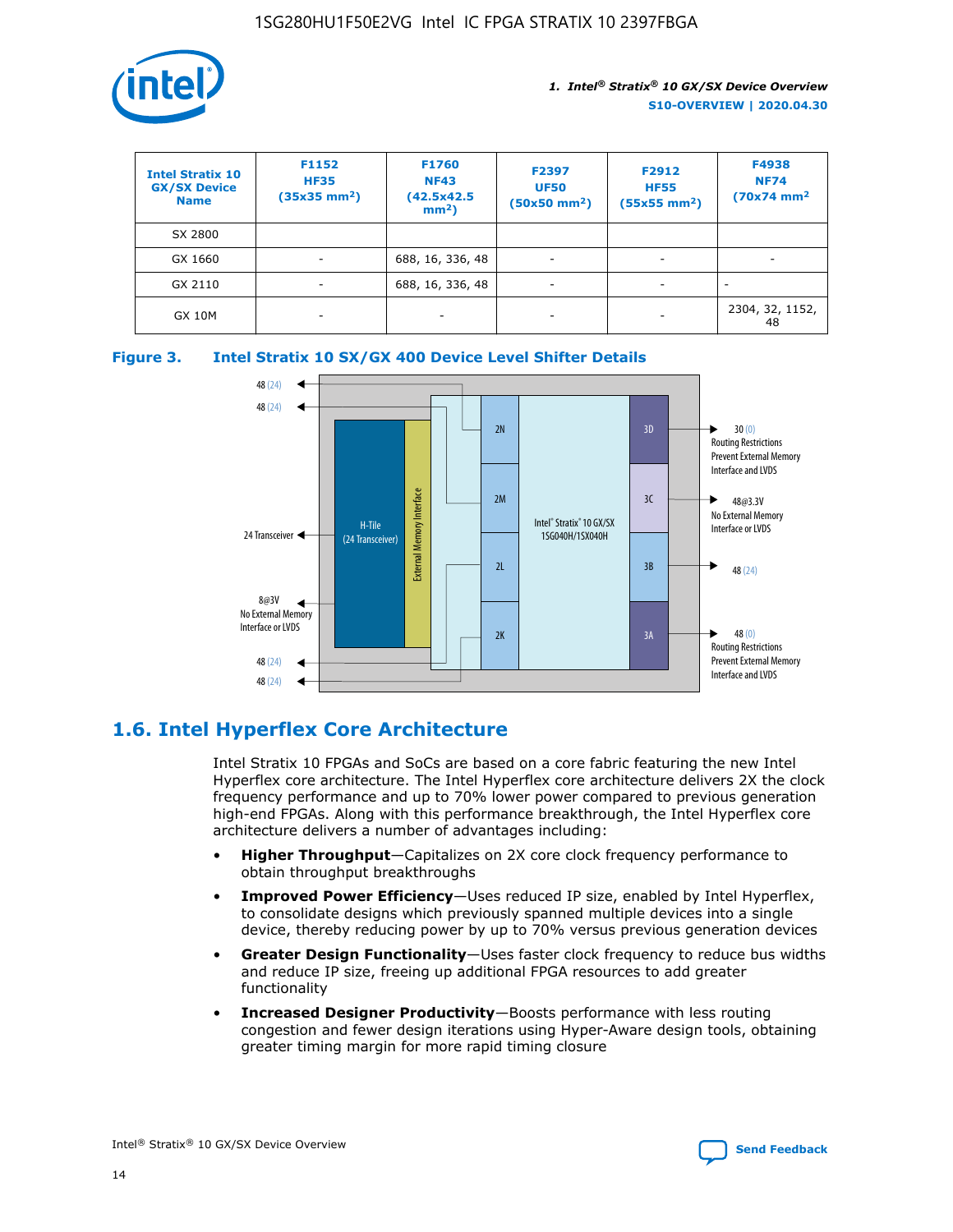

| <b>Intel Stratix 10</b><br><b>GX/SX Device</b><br><b>Name</b> | F1152<br><b>HF35</b><br>$(35x35 \text{ mm}^2)$ | <b>F1760</b><br><b>NF43</b><br>(42.5x42.5<br>$mm2$ ) | F2397<br><b>UF50</b><br>$(50x50 \text{ mm}^2)$ | F2912<br><b>HF55</b><br>$(55x55$ mm <sup>2</sup> ) | F4938<br><b>NF74</b><br>$(70x74)$ mm <sup>2</sup> |
|---------------------------------------------------------------|------------------------------------------------|------------------------------------------------------|------------------------------------------------|----------------------------------------------------|---------------------------------------------------|
| SX 2800                                                       |                                                |                                                      |                                                |                                                    |                                                   |
| GX 1660                                                       | ٠                                              | 688, 16, 336, 48                                     | ۰                                              |                                                    |                                                   |
| GX 2110                                                       |                                                | 688, 16, 336, 48                                     | $\overline{\phantom{a}}$                       |                                                    |                                                   |
| <b>GX 10M</b>                                                 | ۰                                              | -                                                    | -                                              |                                                    | 2304, 32, 1152,<br>48                             |





# **1.6. Intel Hyperflex Core Architecture**

Intel Stratix 10 FPGAs and SoCs are based on a core fabric featuring the new Intel Hyperflex core architecture. The Intel Hyperflex core architecture delivers 2X the clock frequency performance and up to 70% lower power compared to previous generation high-end FPGAs. Along with this performance breakthrough, the Intel Hyperflex core architecture delivers a number of advantages including:

- **Higher Throughput**—Capitalizes on 2X core clock frequency performance to obtain throughput breakthroughs
- **Improved Power Efficiency**—Uses reduced IP size, enabled by Intel Hyperflex, to consolidate designs which previously spanned multiple devices into a single device, thereby reducing power by up to 70% versus previous generation devices
- **Greater Design Functionality**—Uses faster clock frequency to reduce bus widths and reduce IP size, freeing up additional FPGA resources to add greater functionality
- **Increased Designer Productivity**—Boosts performance with less routing congestion and fewer design iterations using Hyper-Aware design tools, obtaining greater timing margin for more rapid timing closure

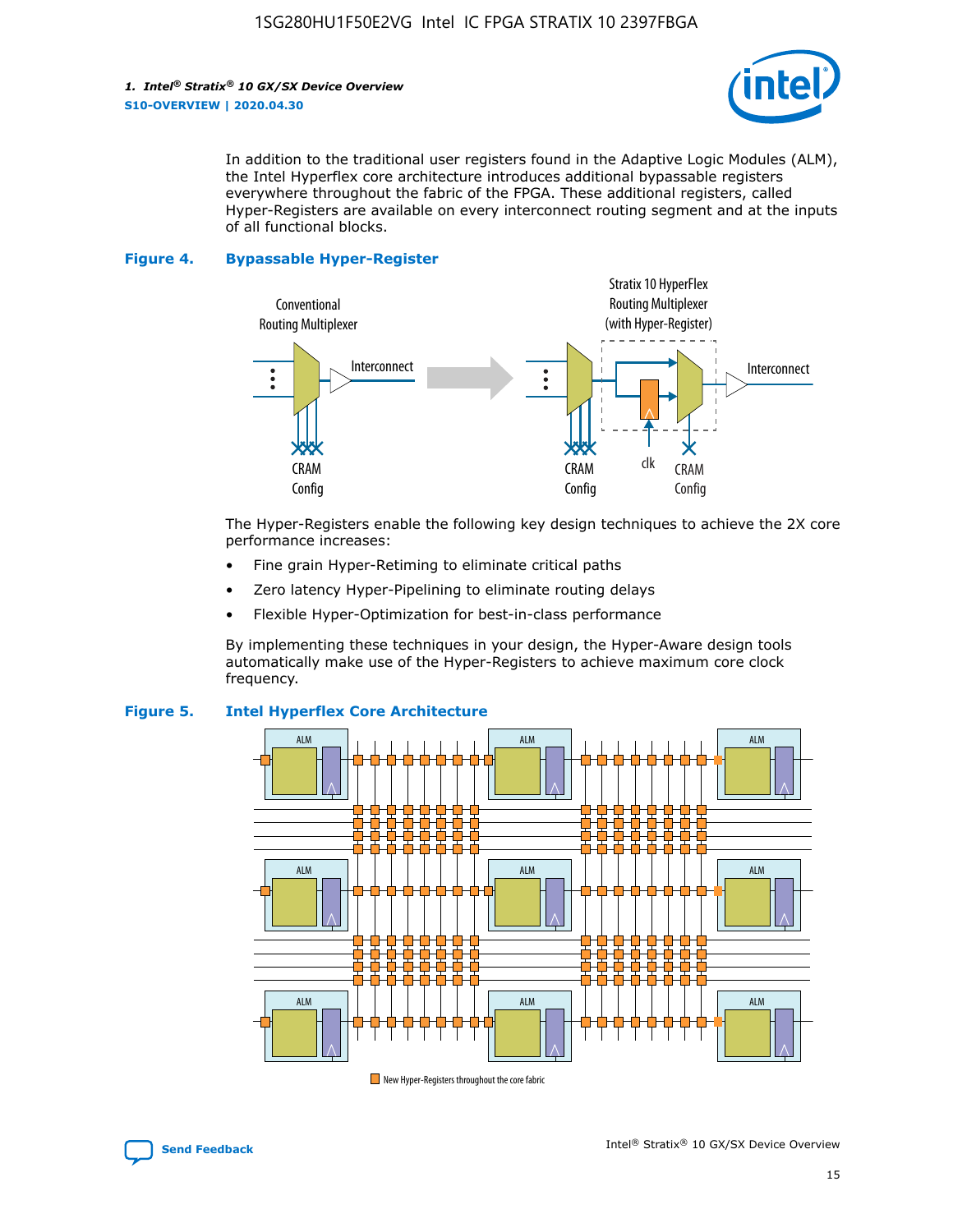

In addition to the traditional user registers found in the Adaptive Logic Modules (ALM), the Intel Hyperflex core architecture introduces additional bypassable registers everywhere throughout the fabric of the FPGA. These additional registers, called Hyper-Registers are available on every interconnect routing segment and at the inputs of all functional blocks.

#### **Figure 4. Bypassable Hyper-Register**



The Hyper-Registers enable the following key design techniques to achieve the 2X core performance increases:

- Fine grain Hyper-Retiming to eliminate critical paths
- Zero latency Hyper-Pipelining to eliminate routing delays
- Flexible Hyper-Optimization for best-in-class performance

By implementing these techniques in your design, the Hyper-Aware design tools automatically make use of the Hyper-Registers to achieve maximum core clock frequency.



#### **Figure 5. Intel Hyperflex Core Architecture**

New Hyper-Registers throughout the core fabric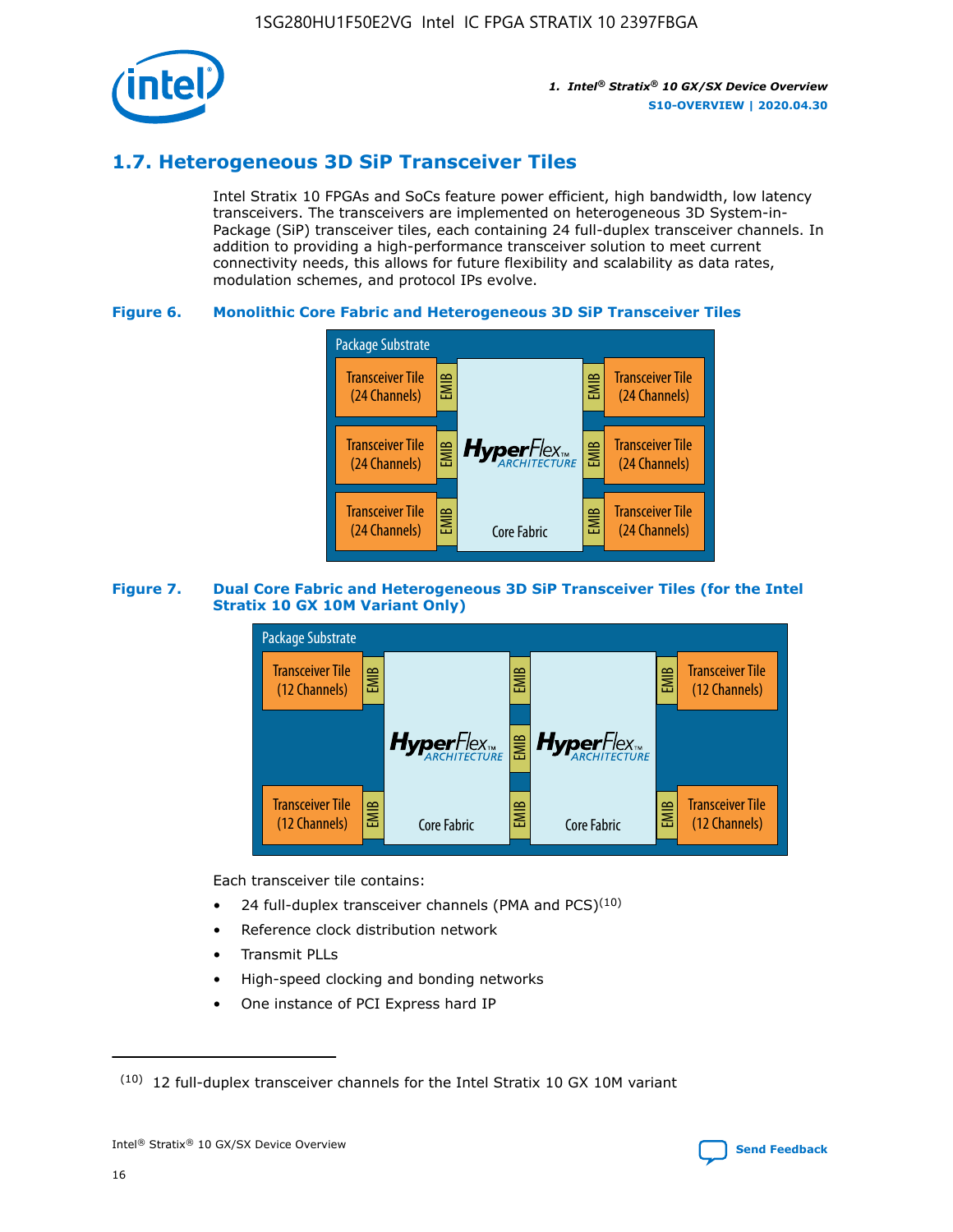

# **1.7. Heterogeneous 3D SiP Transceiver Tiles**

Intel Stratix 10 FPGAs and SoCs feature power efficient, high bandwidth, low latency transceivers. The transceivers are implemented on heterogeneous 3D System-in-Package (SiP) transceiver tiles, each containing 24 full-duplex transceiver channels. In addition to providing a high-performance transceiver solution to meet current connectivity needs, this allows for future flexibility and scalability as data rates, modulation schemes, and protocol IPs evolve.

#### **Figure 6. Monolithic Core Fabric and Heterogeneous 3D SiP Transceiver Tiles**



#### **Figure 7. Dual Core Fabric and Heterogeneous 3D SiP Transceiver Tiles (for the Intel Stratix 10 GX 10M Variant Only)**



Each transceiver tile contains:

- 24 full-duplex transceiver channels (PMA and PCS) $(10)$
- Reference clock distribution network
- Transmit PLLs
- High-speed clocking and bonding networks
- One instance of PCI Express hard IP

 $(10)$  12 full-duplex transceiver channels for the Intel Stratix 10 GX 10M variant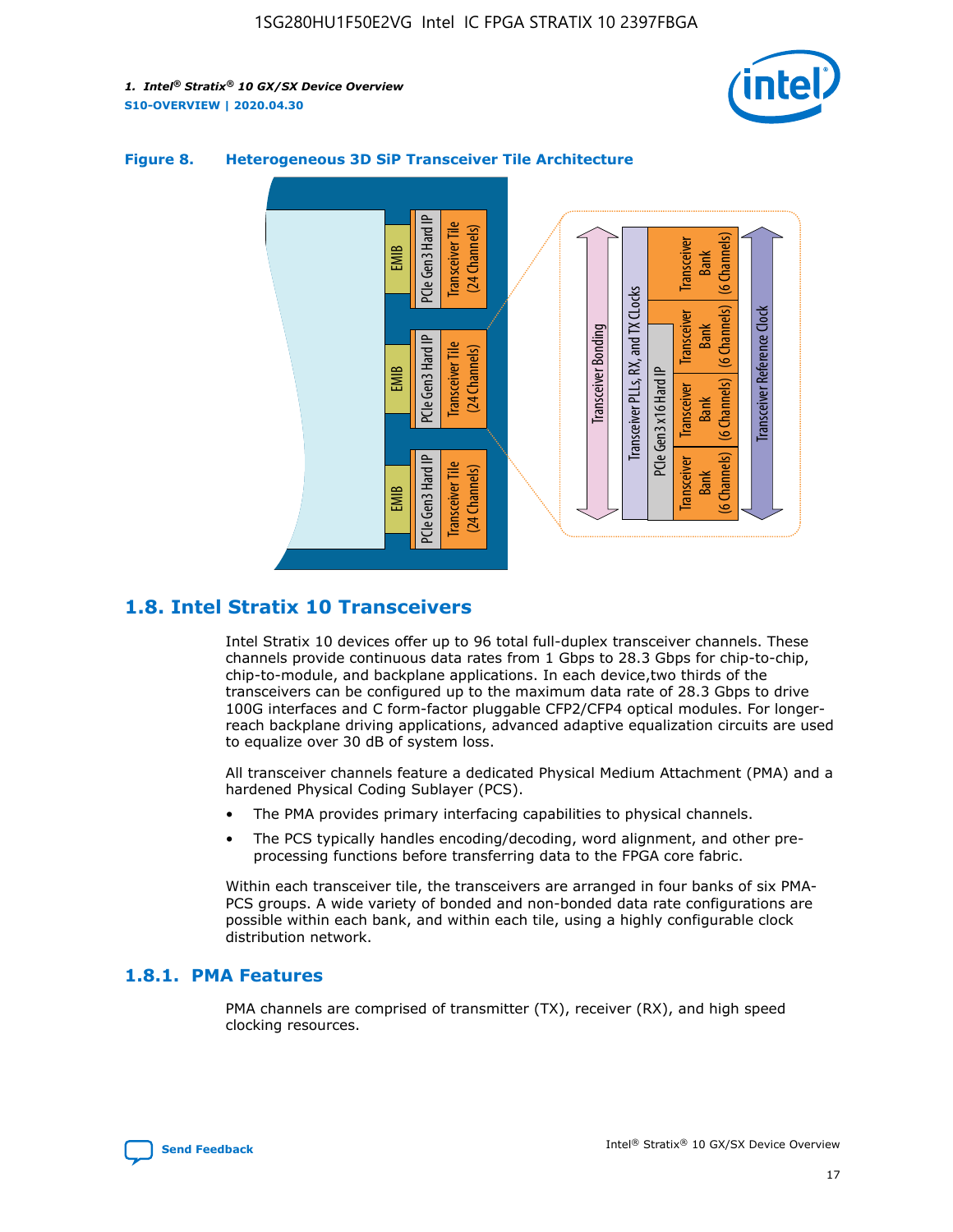



#### **Figure 8. Heterogeneous 3D SiP Transceiver Tile Architecture**

# **1.8. Intel Stratix 10 Transceivers**

Intel Stratix 10 devices offer up to 96 total full-duplex transceiver channels. These channels provide continuous data rates from 1 Gbps to 28.3 Gbps for chip-to-chip, chip-to-module, and backplane applications. In each device,two thirds of the transceivers can be configured up to the maximum data rate of 28.3 Gbps to drive 100G interfaces and C form-factor pluggable CFP2/CFP4 optical modules. For longerreach backplane driving applications, advanced adaptive equalization circuits are used to equalize over 30 dB of system loss.

All transceiver channels feature a dedicated Physical Medium Attachment (PMA) and a hardened Physical Coding Sublayer (PCS).

- The PMA provides primary interfacing capabilities to physical channels.
- The PCS typically handles encoding/decoding, word alignment, and other preprocessing functions before transferring data to the FPGA core fabric.

Within each transceiver tile, the transceivers are arranged in four banks of six PMA-PCS groups. A wide variety of bonded and non-bonded data rate configurations are possible within each bank, and within each tile, using a highly configurable clock distribution network.

#### **1.8.1. PMA Features**

PMA channels are comprised of transmitter (TX), receiver (RX), and high speed clocking resources.

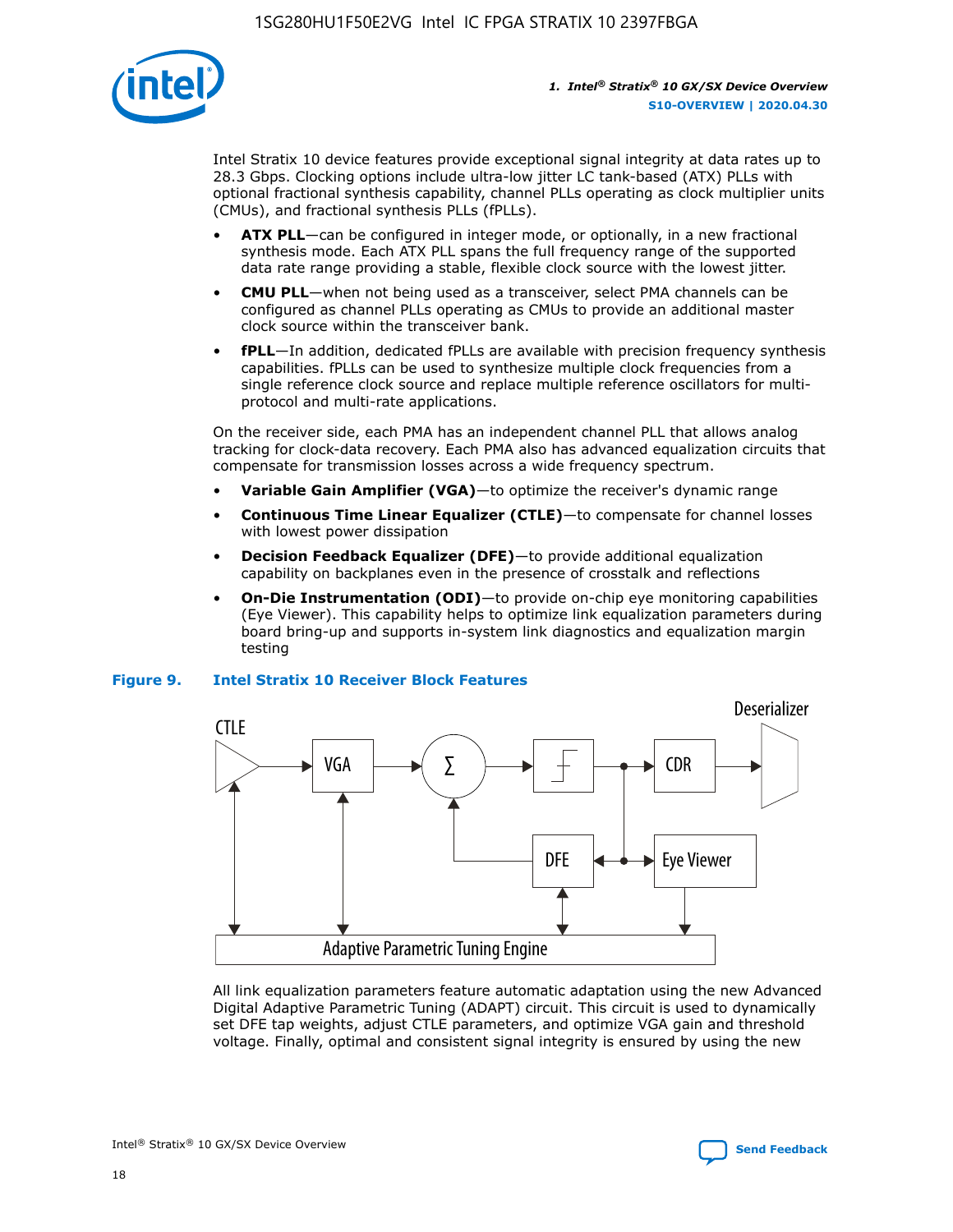

Intel Stratix 10 device features provide exceptional signal integrity at data rates up to 28.3 Gbps. Clocking options include ultra-low jitter LC tank-based (ATX) PLLs with optional fractional synthesis capability, channel PLLs operating as clock multiplier units (CMUs), and fractional synthesis PLLs (fPLLs).

- **ATX PLL**—can be configured in integer mode, or optionally, in a new fractional synthesis mode. Each ATX PLL spans the full frequency range of the supported data rate range providing a stable, flexible clock source with the lowest jitter.
- **CMU PLL**—when not being used as a transceiver, select PMA channels can be configured as channel PLLs operating as CMUs to provide an additional master clock source within the transceiver bank.
- **fPLL**—In addition, dedicated fPLLs are available with precision frequency synthesis capabilities. fPLLs can be used to synthesize multiple clock frequencies from a single reference clock source and replace multiple reference oscillators for multiprotocol and multi-rate applications.

On the receiver side, each PMA has an independent channel PLL that allows analog tracking for clock-data recovery. Each PMA also has advanced equalization circuits that compensate for transmission losses across a wide frequency spectrum.

- **Variable Gain Amplifier (VGA)**—to optimize the receiver's dynamic range
- **Continuous Time Linear Equalizer (CTLE)**—to compensate for channel losses with lowest power dissipation
- **Decision Feedback Equalizer (DFE)**—to provide additional equalization capability on backplanes even in the presence of crosstalk and reflections
- **On-Die Instrumentation (ODI)**—to provide on-chip eye monitoring capabilities (Eye Viewer). This capability helps to optimize link equalization parameters during board bring-up and supports in-system link diagnostics and equalization margin testing

#### **Figure 9. Intel Stratix 10 Receiver Block Features**



All link equalization parameters feature automatic adaptation using the new Advanced Digital Adaptive Parametric Tuning (ADAPT) circuit. This circuit is used to dynamically set DFE tap weights, adjust CTLE parameters, and optimize VGA gain and threshold voltage. Finally, optimal and consistent signal integrity is ensured by using the new



Intel<sup>®</sup> Stratix<sup>®</sup> 10 GX/SX Device Overview **[Send Feedback](mailto:FPGAtechdocfeedback@intel.com?subject=Feedback%20on%20Intel%20Stratix%2010%20GX/SX%20Device%20Overview%20(S10-OVERVIEW%202020.04.30)&body=We%20appreciate%20your%20feedback.%20In%20your%20comments,%20also%20specify%20the%20page%20number%20or%20paragraph.%20Thank%20you.)** Send Feedback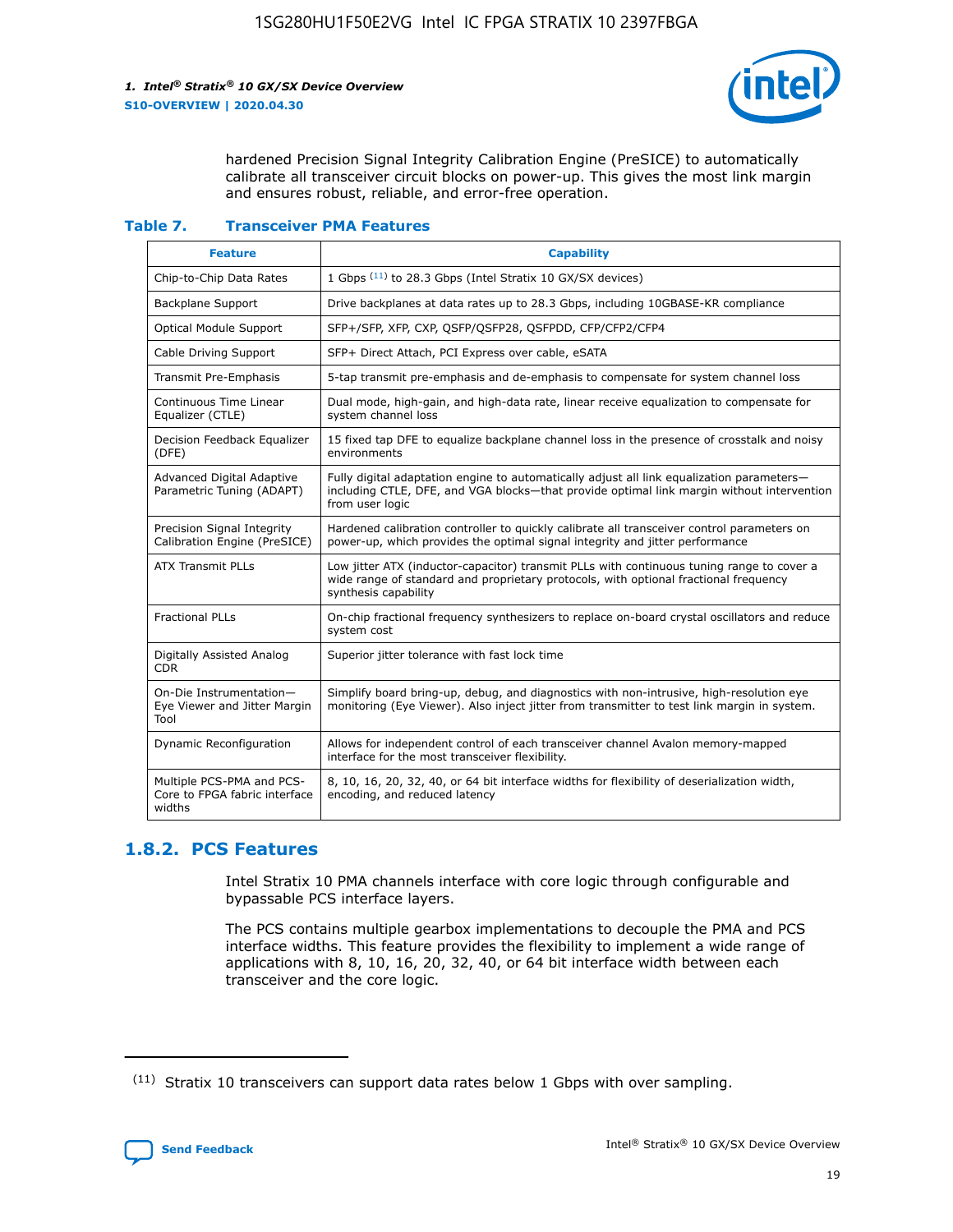

hardened Precision Signal Integrity Calibration Engine (PreSICE) to automatically calibrate all transceiver circuit blocks on power-up. This gives the most link margin and ensures robust, reliable, and error-free operation.

#### **Table 7. Transceiver PMA Features**

| <b>Feature</b>                                                       | <b>Capability</b>                                                                                                                                                                                         |
|----------------------------------------------------------------------|-----------------------------------------------------------------------------------------------------------------------------------------------------------------------------------------------------------|
| Chip-to-Chip Data Rates                                              | 1 Gbps (11) to 28.3 Gbps (Intel Stratix 10 GX/SX devices)                                                                                                                                                 |
| <b>Backplane Support</b>                                             | Drive backplanes at data rates up to 28.3 Gbps, including 10GBASE-KR compliance                                                                                                                           |
| Optical Module Support                                               | SFP+/SFP, XFP, CXP, QSFP/QSFP28, QSFPDD, CFP/CFP2/CFP4                                                                                                                                                    |
| Cable Driving Support                                                | SFP+ Direct Attach, PCI Express over cable, eSATA                                                                                                                                                         |
| <b>Transmit Pre-Emphasis</b>                                         | 5-tap transmit pre-emphasis and de-emphasis to compensate for system channel loss                                                                                                                         |
| Continuous Time Linear<br>Equalizer (CTLE)                           | Dual mode, high-gain, and high-data rate, linear receive equalization to compensate for<br>system channel loss                                                                                            |
| Decision Feedback Equalizer<br>(DFE)                                 | 15 fixed tap DFE to equalize backplane channel loss in the presence of crosstalk and noisy<br>environments                                                                                                |
| Advanced Digital Adaptive<br>Parametric Tuning (ADAPT)               | Fully digital adaptation engine to automatically adjust all link equalization parameters-<br>including CTLE, DFE, and VGA blocks—that provide optimal link margin without intervention<br>from user logic |
| Precision Signal Integrity<br>Calibration Engine (PreSICE)           | Hardened calibration controller to quickly calibrate all transceiver control parameters on<br>power-up, which provides the optimal signal integrity and jitter performance                                |
| <b>ATX Transmit PLLs</b>                                             | Low jitter ATX (inductor-capacitor) transmit PLLs with continuous tuning range to cover a<br>wide range of standard and proprietary protocols, with optional fractional frequency<br>synthesis capability |
| <b>Fractional PLLs</b>                                               | On-chip fractional frequency synthesizers to replace on-board crystal oscillators and reduce<br>system cost                                                                                               |
| Digitally Assisted Analog<br>CDR.                                    | Superior jitter tolerance with fast lock time                                                                                                                                                             |
| On-Die Instrumentation-<br>Eye Viewer and Jitter Margin<br>Tool      | Simplify board bring-up, debug, and diagnostics with non-intrusive, high-resolution eye<br>monitoring (Eye Viewer). Also inject jitter from transmitter to test link margin in system.                    |
| Dynamic Reconfiguration                                              | Allows for independent control of each transceiver channel Avalon memory-mapped<br>interface for the most transceiver flexibility.                                                                        |
| Multiple PCS-PMA and PCS-<br>Core to FPGA fabric interface<br>widths | 8, 10, 16, 20, 32, 40, or 64 bit interface widths for flexibility of deserialization width,<br>encoding, and reduced latency                                                                              |

### **1.8.2. PCS Features**

Intel Stratix 10 PMA channels interface with core logic through configurable and bypassable PCS interface layers.

The PCS contains multiple gearbox implementations to decouple the PMA and PCS interface widths. This feature provides the flexibility to implement a wide range of applications with 8, 10, 16, 20, 32, 40, or 64 bit interface width between each transceiver and the core logic.

 $(11)$  Stratix 10 transceivers can support data rates below 1 Gbps with over sampling.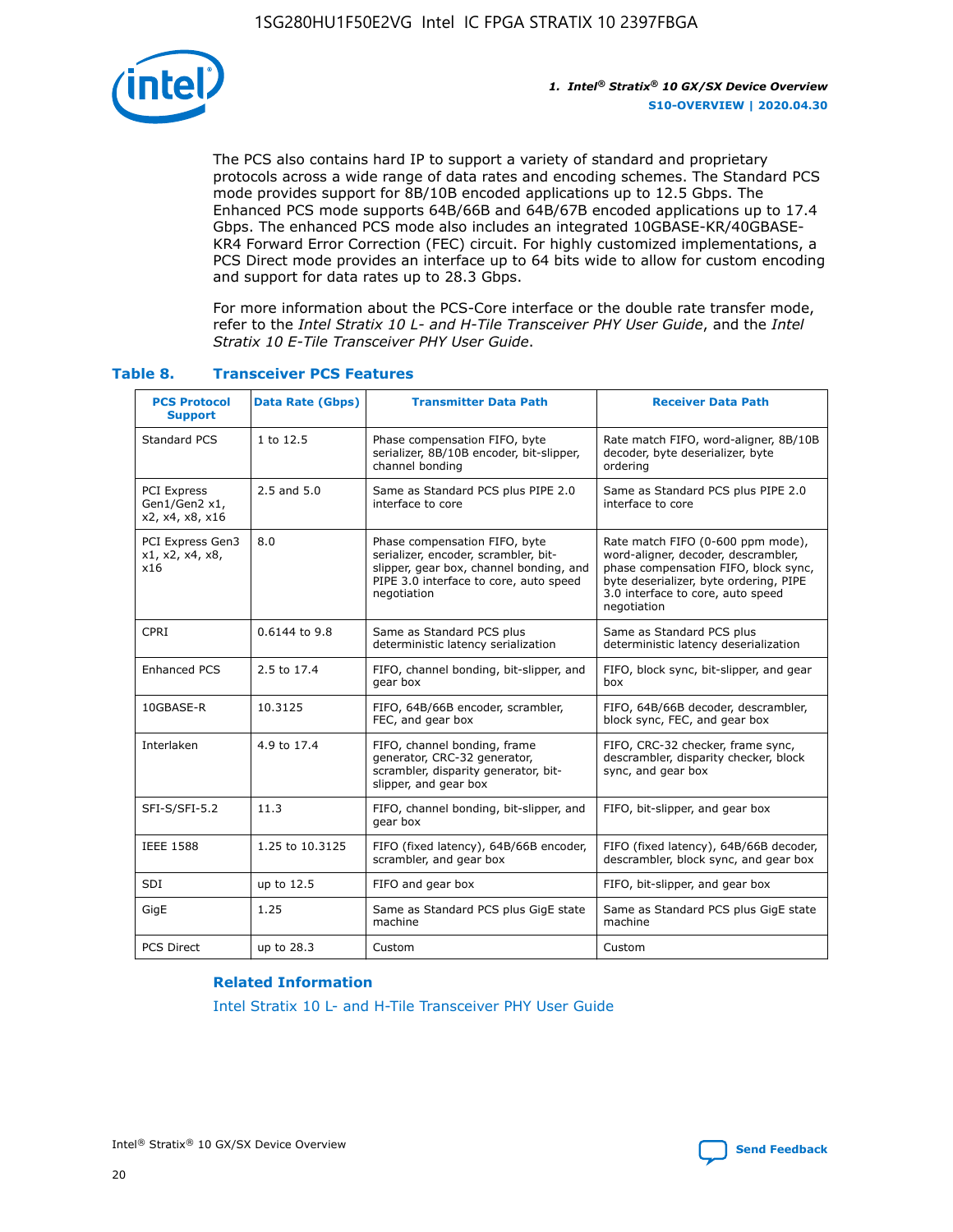

The PCS also contains hard IP to support a variety of standard and proprietary protocols across a wide range of data rates and encoding schemes. The Standard PCS mode provides support for 8B/10B encoded applications up to 12.5 Gbps. The Enhanced PCS mode supports 64B/66B and 64B/67B encoded applications up to 17.4 Gbps. The enhanced PCS mode also includes an integrated 10GBASE-KR/40GBASE-KR4 Forward Error Correction (FEC) circuit. For highly customized implementations, a PCS Direct mode provides an interface up to 64 bits wide to allow for custom encoding and support for data rates up to 28.3 Gbps.

For more information about the PCS-Core interface or the double rate transfer mode, refer to the *Intel Stratix 10 L- and H-Tile Transceiver PHY User Guide*, and the *Intel Stratix 10 E-Tile Transceiver PHY User Guide*.

| <b>PCS Protocol</b><br><b>Support</b>           | <b>Data Rate (Gbps)</b> | <b>Transmitter Data Path</b>                                                                                                                                              | <b>Receiver Data Path</b>                                                                                                                                                                                      |
|-------------------------------------------------|-------------------------|---------------------------------------------------------------------------------------------------------------------------------------------------------------------------|----------------------------------------------------------------------------------------------------------------------------------------------------------------------------------------------------------------|
| Standard PCS                                    | 1 to 12.5               | Phase compensation FIFO, byte<br>serializer, 8B/10B encoder, bit-slipper,<br>channel bonding                                                                              | Rate match FIFO, word-aligner, 8B/10B<br>decoder, byte deserializer, byte<br>ordering                                                                                                                          |
| PCI Express<br>Gen1/Gen2 x1,<br>x2, x4, x8, x16 | $2.5$ and $5.0$         | Same as Standard PCS plus PIPE 2.0<br>interface to core                                                                                                                   | Same as Standard PCS plus PIPE 2.0<br>interface to core                                                                                                                                                        |
| PCI Express Gen3<br>x1, x2, x4, x8,<br>x16      | 8.0                     | Phase compensation FIFO, byte<br>serializer, encoder, scrambler, bit-<br>slipper, gear box, channel bonding, and<br>PIPE 3.0 interface to core, auto speed<br>negotiation | Rate match FIFO (0-600 ppm mode),<br>word-aligner, decoder, descrambler,<br>phase compensation FIFO, block sync,<br>byte deserializer, byte ordering, PIPE<br>3.0 interface to core, auto speed<br>negotiation |
| CPRI                                            | 0.6144 to 9.8           | Same as Standard PCS plus<br>deterministic latency serialization                                                                                                          | Same as Standard PCS plus<br>deterministic latency deserialization                                                                                                                                             |
| <b>Enhanced PCS</b>                             | 2.5 to 17.4             | FIFO, channel bonding, bit-slipper, and<br>gear box                                                                                                                       | FIFO, block sync, bit-slipper, and gear<br>box                                                                                                                                                                 |
| 10GBASE-R                                       | 10.3125                 | FIFO, 64B/66B encoder, scrambler,<br>FEC, and gear box                                                                                                                    | FIFO, 64B/66B decoder, descrambler,<br>block sync, FEC, and gear box                                                                                                                                           |
| Interlaken                                      | 4.9 to 17.4             | FIFO, channel bonding, frame<br>generator, CRC-32 generator,<br>scrambler, disparity generator, bit-<br>slipper, and gear box                                             | FIFO, CRC-32 checker, frame sync,<br>descrambler, disparity checker, block<br>sync, and gear box                                                                                                               |
| SFI-S/SFI-5.2                                   | 11.3                    | FIFO, channel bonding, bit-slipper, and<br>gear box                                                                                                                       | FIFO, bit-slipper, and gear box                                                                                                                                                                                |
| <b>IEEE 1588</b>                                | 1.25 to 10.3125         | FIFO (fixed latency), 64B/66B encoder,<br>scrambler, and gear box                                                                                                         | FIFO (fixed latency), 64B/66B decoder,<br>descrambler, block sync, and gear box                                                                                                                                |
| SDI                                             | up to 12.5              | FIFO and gear box                                                                                                                                                         | FIFO, bit-slipper, and gear box                                                                                                                                                                                |
| GigE                                            | 1.25                    | Same as Standard PCS plus GigE state<br>machine                                                                                                                           | Same as Standard PCS plus GigE state<br>machine                                                                                                                                                                |
| <b>PCS Direct</b>                               | up to 28.3              | Custom                                                                                                                                                                    | Custom                                                                                                                                                                                                         |

#### **Table 8. Transceiver PCS Features**

#### **Related Information**

[Intel Stratix 10 L- and H-Tile Transceiver PHY User Guide](https://www.altera.com/documentation/wry1479165198810.html)

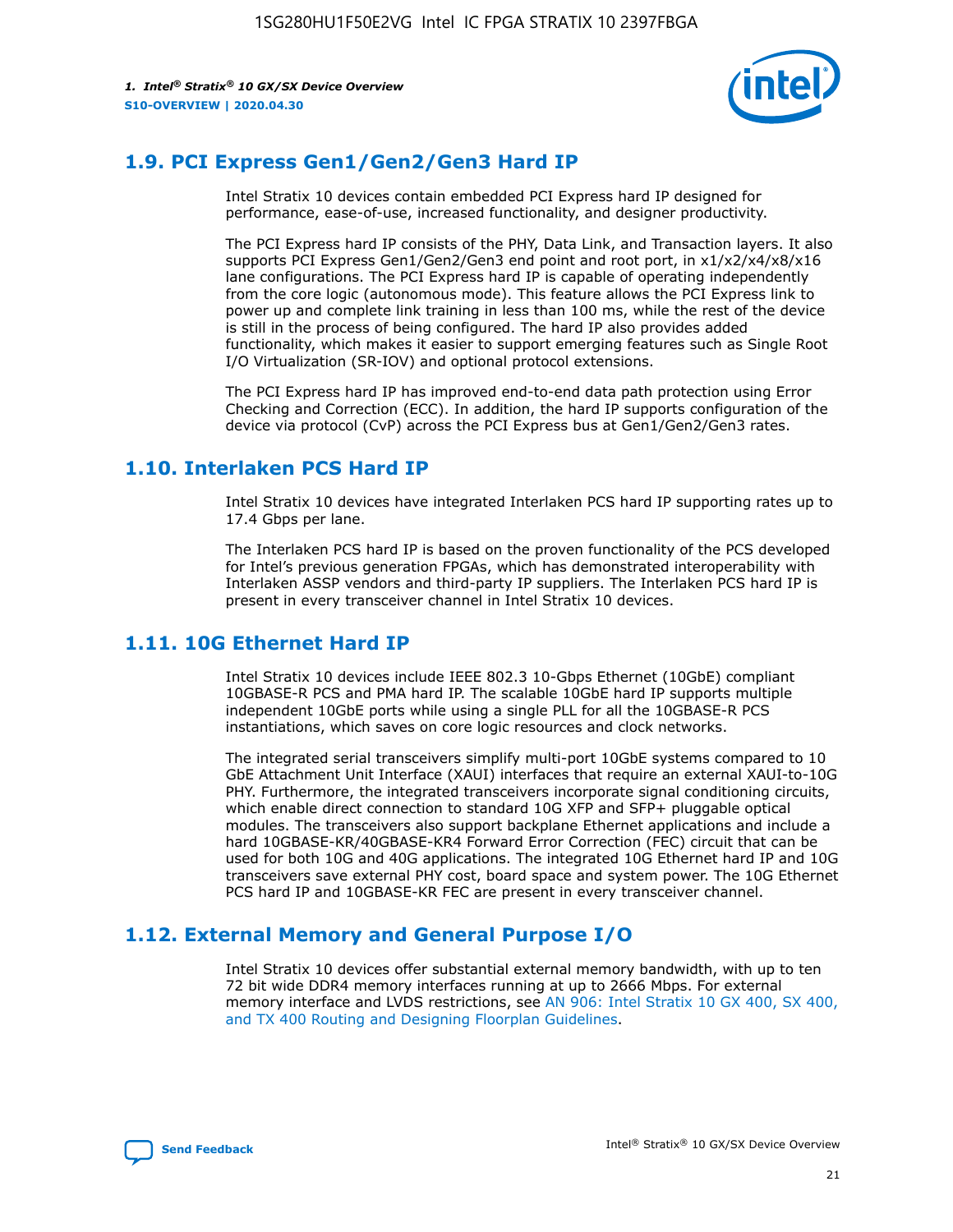

# **1.9. PCI Express Gen1/Gen2/Gen3 Hard IP**

Intel Stratix 10 devices contain embedded PCI Express hard IP designed for performance, ease-of-use, increased functionality, and designer productivity.

The PCI Express hard IP consists of the PHY, Data Link, and Transaction layers. It also supports PCI Express Gen1/Gen2/Gen3 end point and root port, in x1/x2/x4/x8/x16 lane configurations. The PCI Express hard IP is capable of operating independently from the core logic (autonomous mode). This feature allows the PCI Express link to power up and complete link training in less than 100 ms, while the rest of the device is still in the process of being configured. The hard IP also provides added functionality, which makes it easier to support emerging features such as Single Root I/O Virtualization (SR-IOV) and optional protocol extensions.

The PCI Express hard IP has improved end-to-end data path protection using Error Checking and Correction (ECC). In addition, the hard IP supports configuration of the device via protocol (CvP) across the PCI Express bus at Gen1/Gen2/Gen3 rates.

# **1.10. Interlaken PCS Hard IP**

Intel Stratix 10 devices have integrated Interlaken PCS hard IP supporting rates up to 17.4 Gbps per lane.

The Interlaken PCS hard IP is based on the proven functionality of the PCS developed for Intel's previous generation FPGAs, which has demonstrated interoperability with Interlaken ASSP vendors and third-party IP suppliers. The Interlaken PCS hard IP is present in every transceiver channel in Intel Stratix 10 devices.

# **1.11. 10G Ethernet Hard IP**

Intel Stratix 10 devices include IEEE 802.3 10-Gbps Ethernet (10GbE) compliant 10GBASE-R PCS and PMA hard IP. The scalable 10GbE hard IP supports multiple independent 10GbE ports while using a single PLL for all the 10GBASE-R PCS instantiations, which saves on core logic resources and clock networks.

The integrated serial transceivers simplify multi-port 10GbE systems compared to 10 GbE Attachment Unit Interface (XAUI) interfaces that require an external XAUI-to-10G PHY. Furthermore, the integrated transceivers incorporate signal conditioning circuits, which enable direct connection to standard 10G XFP and SFP+ pluggable optical modules. The transceivers also support backplane Ethernet applications and include a hard 10GBASE-KR/40GBASE-KR4 Forward Error Correction (FEC) circuit that can be used for both 10G and 40G applications. The integrated 10G Ethernet hard IP and 10G transceivers save external PHY cost, board space and system power. The 10G Ethernet PCS hard IP and 10GBASE-KR FEC are present in every transceiver channel.

# **1.12. External Memory and General Purpose I/O**

Intel Stratix 10 devices offer substantial external memory bandwidth, with up to ten 72 bit wide DDR4 memory interfaces running at up to 2666 Mbps. For external memory interface and LVDS restrictions, see [AN 906: Intel Stratix 10 GX 400, SX 400,](https://www.intel.com/content/www/us/en/programmable/documentation/sjf1574667190623.html#bft1574667627484) [and TX 400 Routing and Designing Floorplan Guidelines.](https://www.intel.com/content/www/us/en/programmable/documentation/sjf1574667190623.html#bft1574667627484)

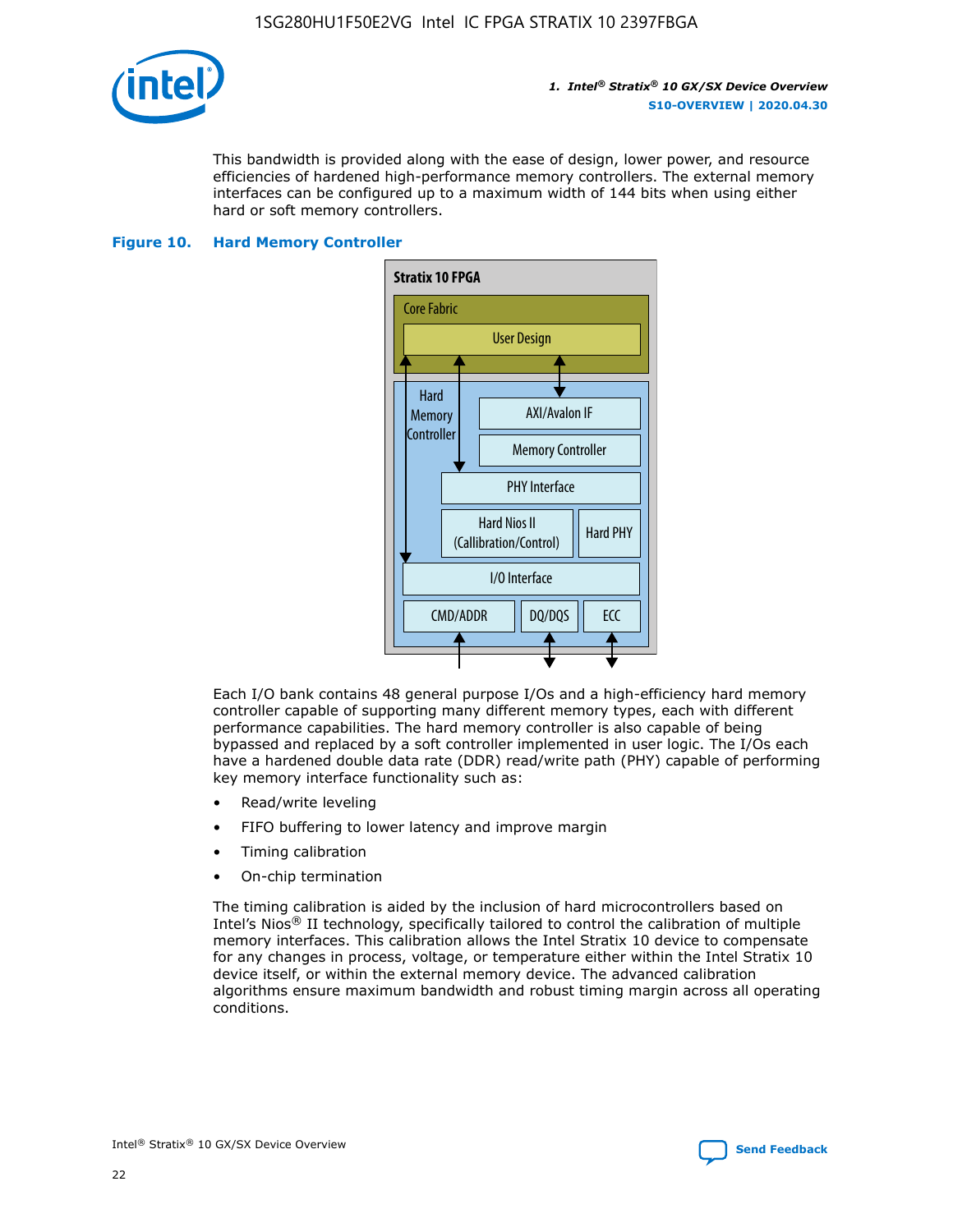

This bandwidth is provided along with the ease of design, lower power, and resource efficiencies of hardened high-performance memory controllers. The external memory interfaces can be configured up to a maximum width of 144 bits when using either hard or soft memory controllers.

#### **Figure 10. Hard Memory Controller**



Each I/O bank contains 48 general purpose I/Os and a high-efficiency hard memory controller capable of supporting many different memory types, each with different performance capabilities. The hard memory controller is also capable of being bypassed and replaced by a soft controller implemented in user logic. The I/Os each have a hardened double data rate (DDR) read/write path (PHY) capable of performing key memory interface functionality such as:

- Read/write leveling
- FIFO buffering to lower latency and improve margin
- Timing calibration
- On-chip termination

The timing calibration is aided by the inclusion of hard microcontrollers based on Intel's Nios® II technology, specifically tailored to control the calibration of multiple memory interfaces. This calibration allows the Intel Stratix 10 device to compensate for any changes in process, voltage, or temperature either within the Intel Stratix 10 device itself, or within the external memory device. The advanced calibration algorithms ensure maximum bandwidth and robust timing margin across all operating conditions.

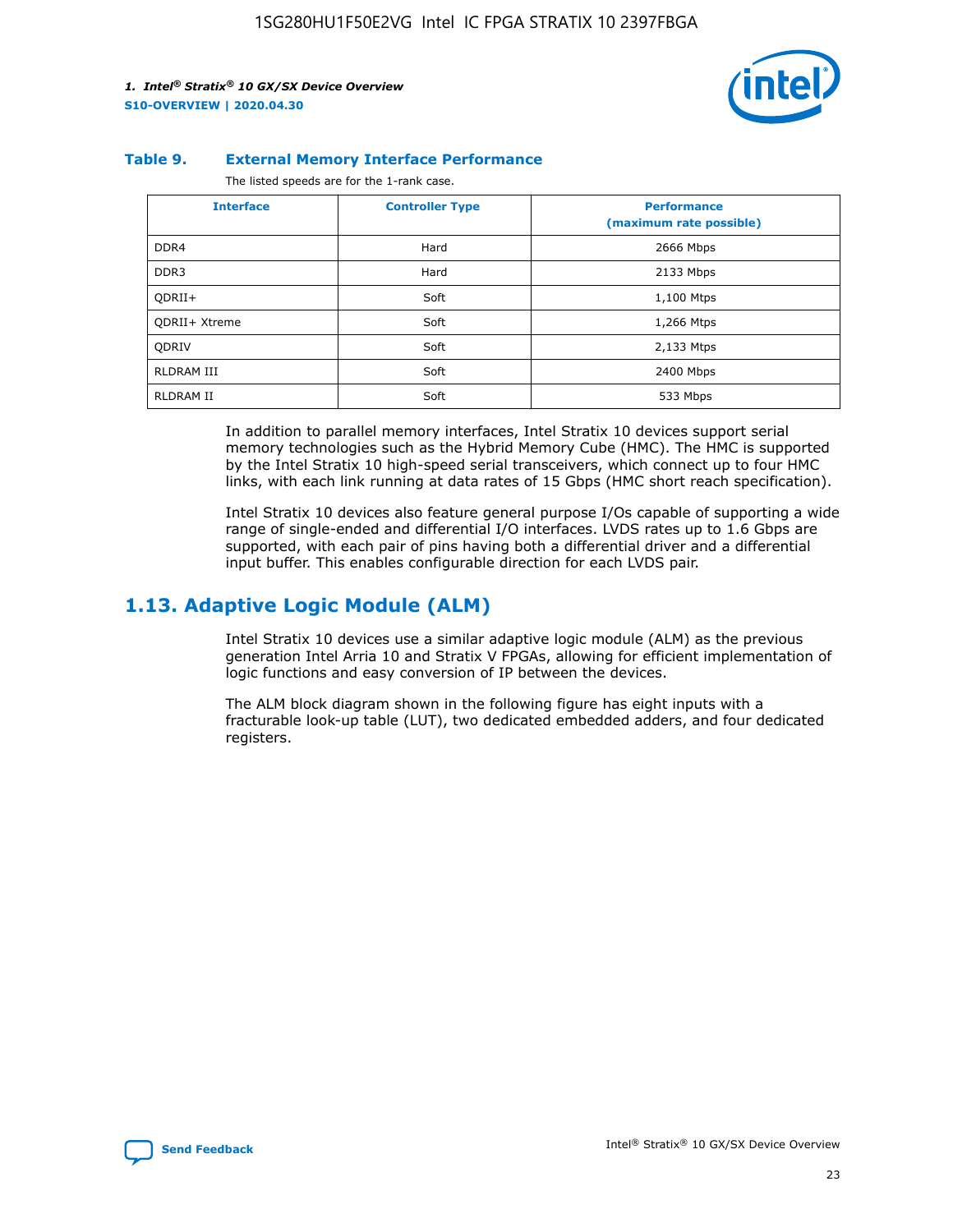

#### **Table 9. External Memory Interface Performance**

The listed speeds are for the 1-rank case.

| <b>Interface</b> | <b>Controller Type</b> | <b>Performance</b><br>(maximum rate possible) |
|------------------|------------------------|-----------------------------------------------|
| DDR4             | Hard                   | 2666 Mbps                                     |
| DDR <sub>3</sub> | Hard                   | 2133 Mbps                                     |
| QDRII+           | Soft                   | 1,100 Mtps                                    |
| QDRII+ Xtreme    | Soft                   | 1,266 Mtps                                    |
| <b>ODRIV</b>     | Soft                   | 2,133 Mtps                                    |
| RLDRAM III       | Soft                   | 2400 Mbps                                     |
| <b>RLDRAM II</b> | Soft                   | 533 Mbps                                      |

In addition to parallel memory interfaces, Intel Stratix 10 devices support serial memory technologies such as the Hybrid Memory Cube (HMC). The HMC is supported by the Intel Stratix 10 high-speed serial transceivers, which connect up to four HMC links, with each link running at data rates of 15 Gbps (HMC short reach specification).

Intel Stratix 10 devices also feature general purpose I/Os capable of supporting a wide range of single-ended and differential I/O interfaces. LVDS rates up to 1.6 Gbps are supported, with each pair of pins having both a differential driver and a differential input buffer. This enables configurable direction for each LVDS pair.

### **1.13. Adaptive Logic Module (ALM)**

Intel Stratix 10 devices use a similar adaptive logic module (ALM) as the previous generation Intel Arria 10 and Stratix V FPGAs, allowing for efficient implementation of logic functions and easy conversion of IP between the devices.

The ALM block diagram shown in the following figure has eight inputs with a fracturable look-up table (LUT), two dedicated embedded adders, and four dedicated registers.

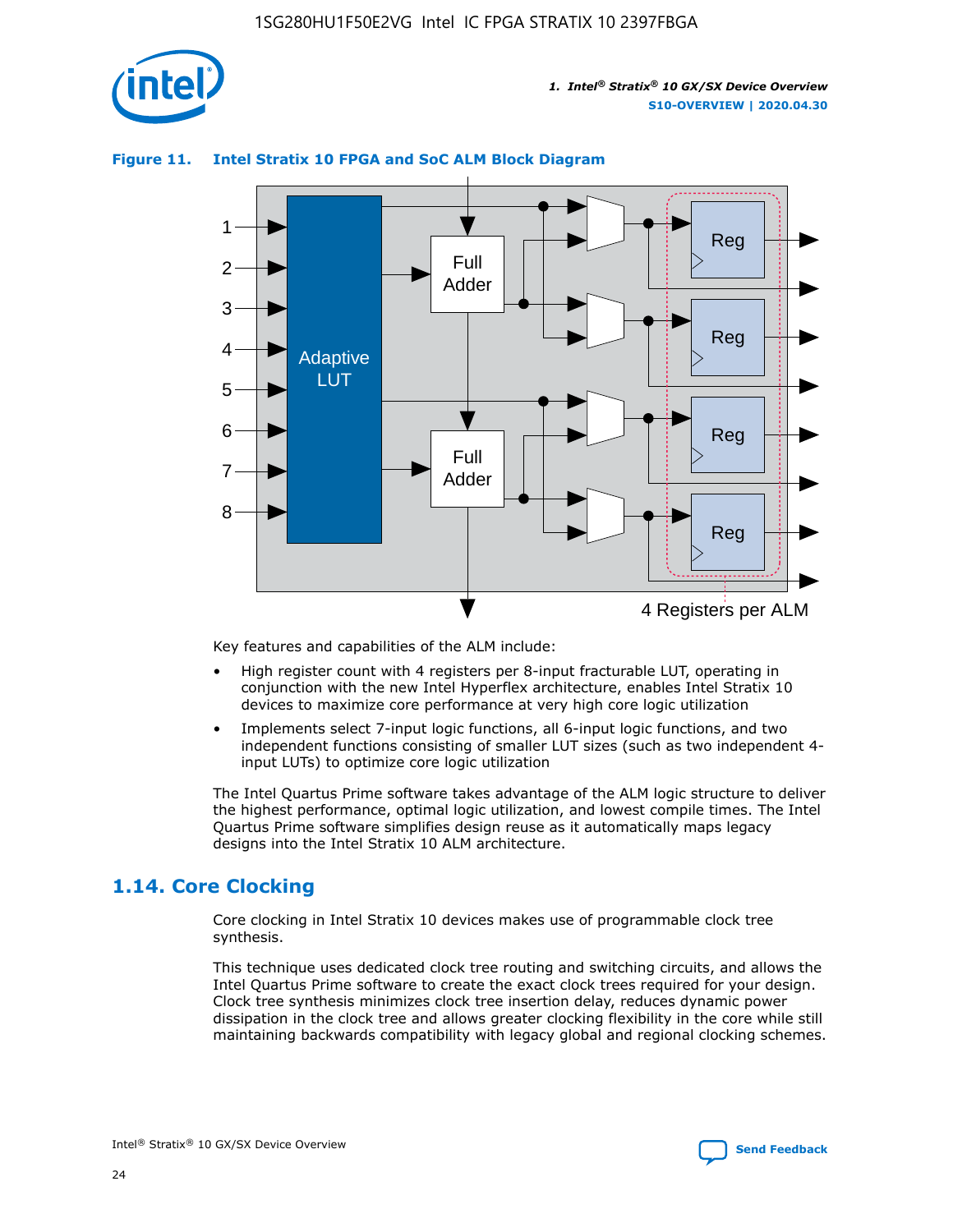

# Reg Reg 1 2 3 4 5 6 7 8 Reg Reg 4 Registers per ALM Full Adder Full Adder Adaptive LUT

#### **Figure 11. Intel Stratix 10 FPGA and SoC ALM Block Diagram**

Key features and capabilities of the ALM include:

- High register count with 4 registers per 8-input fracturable LUT, operating in conjunction with the new Intel Hyperflex architecture, enables Intel Stratix 10 devices to maximize core performance at very high core logic utilization
- Implements select 7-input logic functions, all 6-input logic functions, and two independent functions consisting of smaller LUT sizes (such as two independent 4 input LUTs) to optimize core logic utilization

The Intel Quartus Prime software takes advantage of the ALM logic structure to deliver the highest performance, optimal logic utilization, and lowest compile times. The Intel Quartus Prime software simplifies design reuse as it automatically maps legacy designs into the Intel Stratix 10 ALM architecture.

# **1.14. Core Clocking**

Core clocking in Intel Stratix 10 devices makes use of programmable clock tree synthesis.

This technique uses dedicated clock tree routing and switching circuits, and allows the Intel Quartus Prime software to create the exact clock trees required for your design. Clock tree synthesis minimizes clock tree insertion delay, reduces dynamic power dissipation in the clock tree and allows greater clocking flexibility in the core while still maintaining backwards compatibility with legacy global and regional clocking schemes.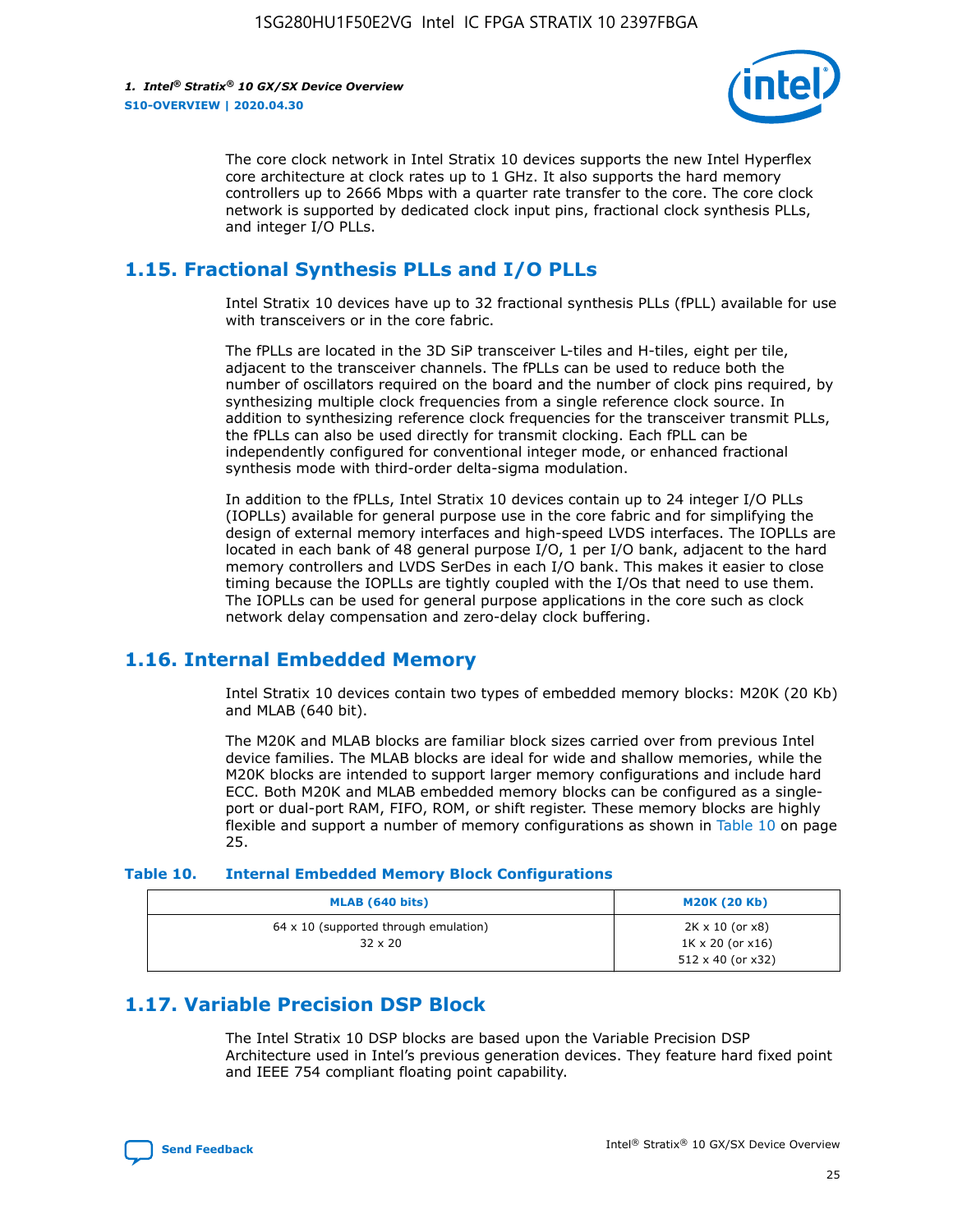

The core clock network in Intel Stratix 10 devices supports the new Intel Hyperflex core architecture at clock rates up to 1 GHz. It also supports the hard memory controllers up to 2666 Mbps with a quarter rate transfer to the core. The core clock network is supported by dedicated clock input pins, fractional clock synthesis PLLs, and integer I/O PLLs.

# **1.15. Fractional Synthesis PLLs and I/O PLLs**

Intel Stratix 10 devices have up to 32 fractional synthesis PLLs (fPLL) available for use with transceivers or in the core fabric.

The fPLLs are located in the 3D SiP transceiver L-tiles and H-tiles, eight per tile, adjacent to the transceiver channels. The fPLLs can be used to reduce both the number of oscillators required on the board and the number of clock pins required, by synthesizing multiple clock frequencies from a single reference clock source. In addition to synthesizing reference clock frequencies for the transceiver transmit PLLs, the fPLLs can also be used directly for transmit clocking. Each fPLL can be independently configured for conventional integer mode, or enhanced fractional synthesis mode with third-order delta-sigma modulation.

In addition to the fPLLs, Intel Stratix 10 devices contain up to 24 integer I/O PLLs (IOPLLs) available for general purpose use in the core fabric and for simplifying the design of external memory interfaces and high-speed LVDS interfaces. The IOPLLs are located in each bank of 48 general purpose I/O, 1 per I/O bank, adjacent to the hard memory controllers and LVDS SerDes in each I/O bank. This makes it easier to close timing because the IOPLLs are tightly coupled with the I/Os that need to use them. The IOPLLs can be used for general purpose applications in the core such as clock network delay compensation and zero-delay clock buffering.

# **1.16. Internal Embedded Memory**

Intel Stratix 10 devices contain two types of embedded memory blocks: M20K (20 Kb) and MLAB (640 bit).

The M20K and MLAB blocks are familiar block sizes carried over from previous Intel device families. The MLAB blocks are ideal for wide and shallow memories, while the M20K blocks are intended to support larger memory configurations and include hard ECC. Both M20K and MLAB embedded memory blocks can be configured as a singleport or dual-port RAM, FIFO, ROM, or shift register. These memory blocks are highly flexible and support a number of memory configurations as shown in Table 10 on page 25.

#### **Table 10. Internal Embedded Memory Block Configurations**

| MLAB (640 bits)                                                | <b>M20K (20 Kb)</b>                                                                    |
|----------------------------------------------------------------|----------------------------------------------------------------------------------------|
| $64 \times 10$ (supported through emulation)<br>$32 \times 20$ | $2K \times 10$ (or $x8$ )<br>$1K \times 20$ (or $x16$ )<br>$512 \times 40$ (or $x32$ ) |

# **1.17. Variable Precision DSP Block**

The Intel Stratix 10 DSP blocks are based upon the Variable Precision DSP Architecture used in Intel's previous generation devices. They feature hard fixed point and IEEE 754 compliant floating point capability.

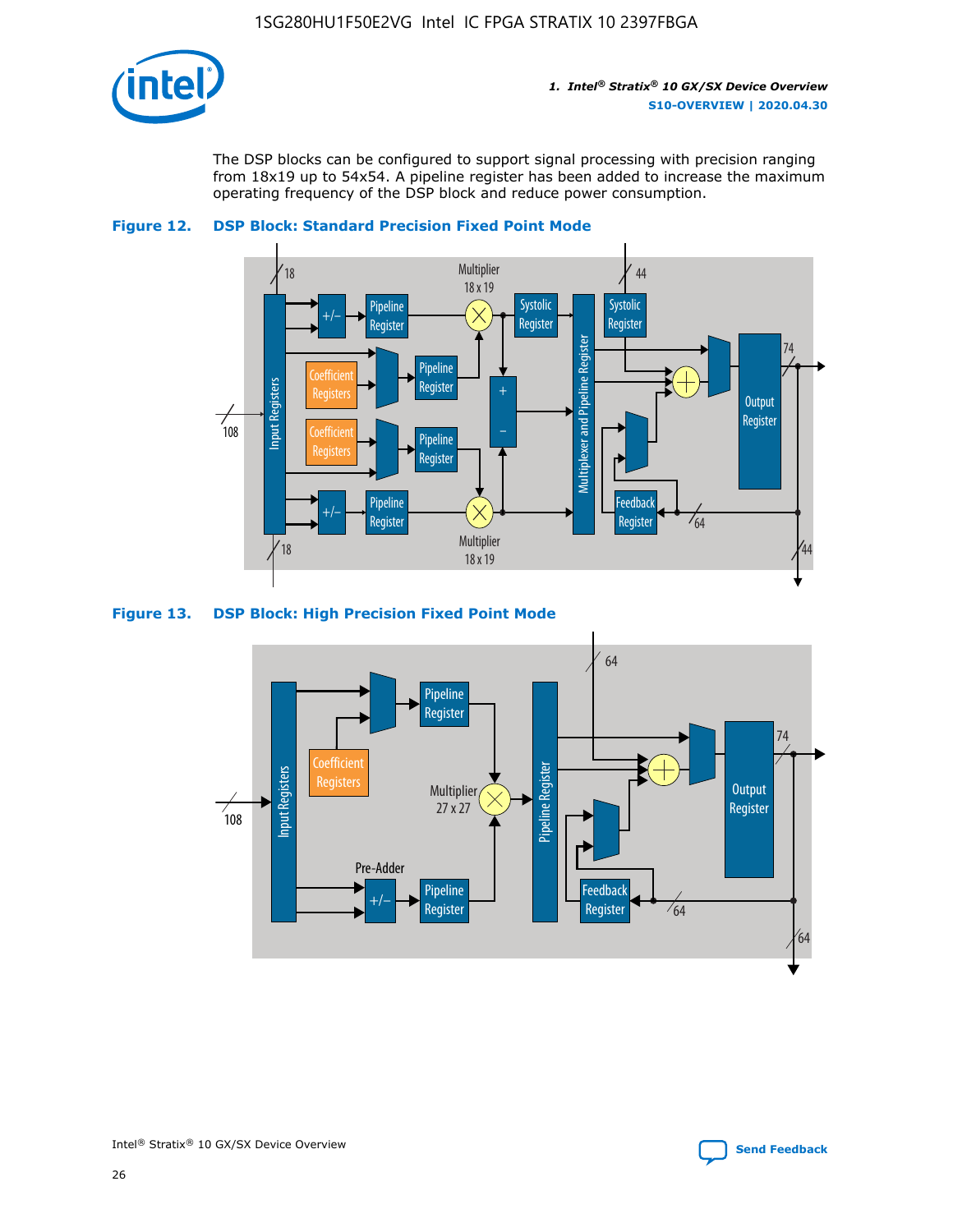

The DSP blocks can be configured to support signal processing with precision ranging from 18x19 up to 54x54. A pipeline register has been added to increase the maximum operating frequency of the DSP block and reduce power consumption.





#### **Figure 13. DSP Block: High Precision Fixed Point Mode**



Intel<sup>®</sup> Stratix<sup>®</sup> 10 GX/SX Device Overview **[Send Feedback](mailto:FPGAtechdocfeedback@intel.com?subject=Feedback%20on%20Intel%20Stratix%2010%20GX/SX%20Device%20Overview%20(S10-OVERVIEW%202020.04.30)&body=We%20appreciate%20your%20feedback.%20In%20your%20comments,%20also%20specify%20the%20page%20number%20or%20paragraph.%20Thank%20you.)** Send Feedback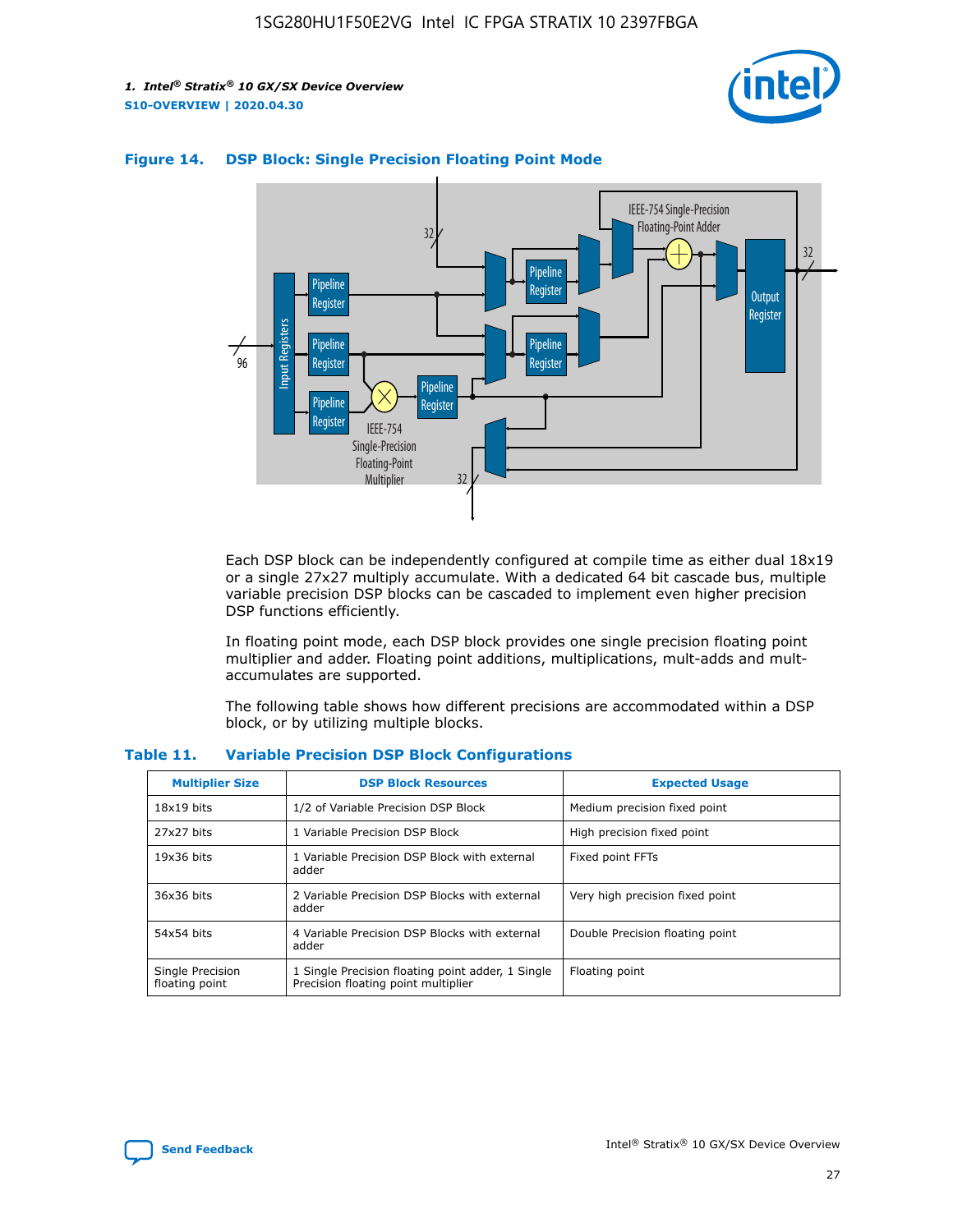



#### **Figure 14. DSP Block: Single Precision Floating Point Mode**

Each DSP block can be independently configured at compile time as either dual 18x19 or a single 27x27 multiply accumulate. With a dedicated 64 bit cascade bus, multiple variable precision DSP blocks can be cascaded to implement even higher precision DSP functions efficiently.

In floating point mode, each DSP block provides one single precision floating point multiplier and adder. Floating point additions, multiplications, mult-adds and multaccumulates are supported.

The following table shows how different precisions are accommodated within a DSP block, or by utilizing multiple blocks.

| <b>Multiplier Size</b>             | <b>DSP Block Resources</b>                                                               | <b>Expected Usage</b>           |
|------------------------------------|------------------------------------------------------------------------------------------|---------------------------------|
| $18x19$ bits                       | 1/2 of Variable Precision DSP Block                                                      | Medium precision fixed point    |
| 27x27 bits                         | 1 Variable Precision DSP Block                                                           | High precision fixed point      |
| $19x36$ bits                       | 1 Variable Precision DSP Block with external<br>adder                                    | Fixed point FFTs                |
| 36x36 bits                         | 2 Variable Precision DSP Blocks with external<br>adder                                   | Very high precision fixed point |
| 54x54 bits                         | 4 Variable Precision DSP Blocks with external<br>adder                                   | Double Precision floating point |
| Single Precision<br>floating point | 1 Single Precision floating point adder, 1 Single<br>Precision floating point multiplier | Floating point                  |

#### **Table 11. Variable Precision DSP Block Configurations**

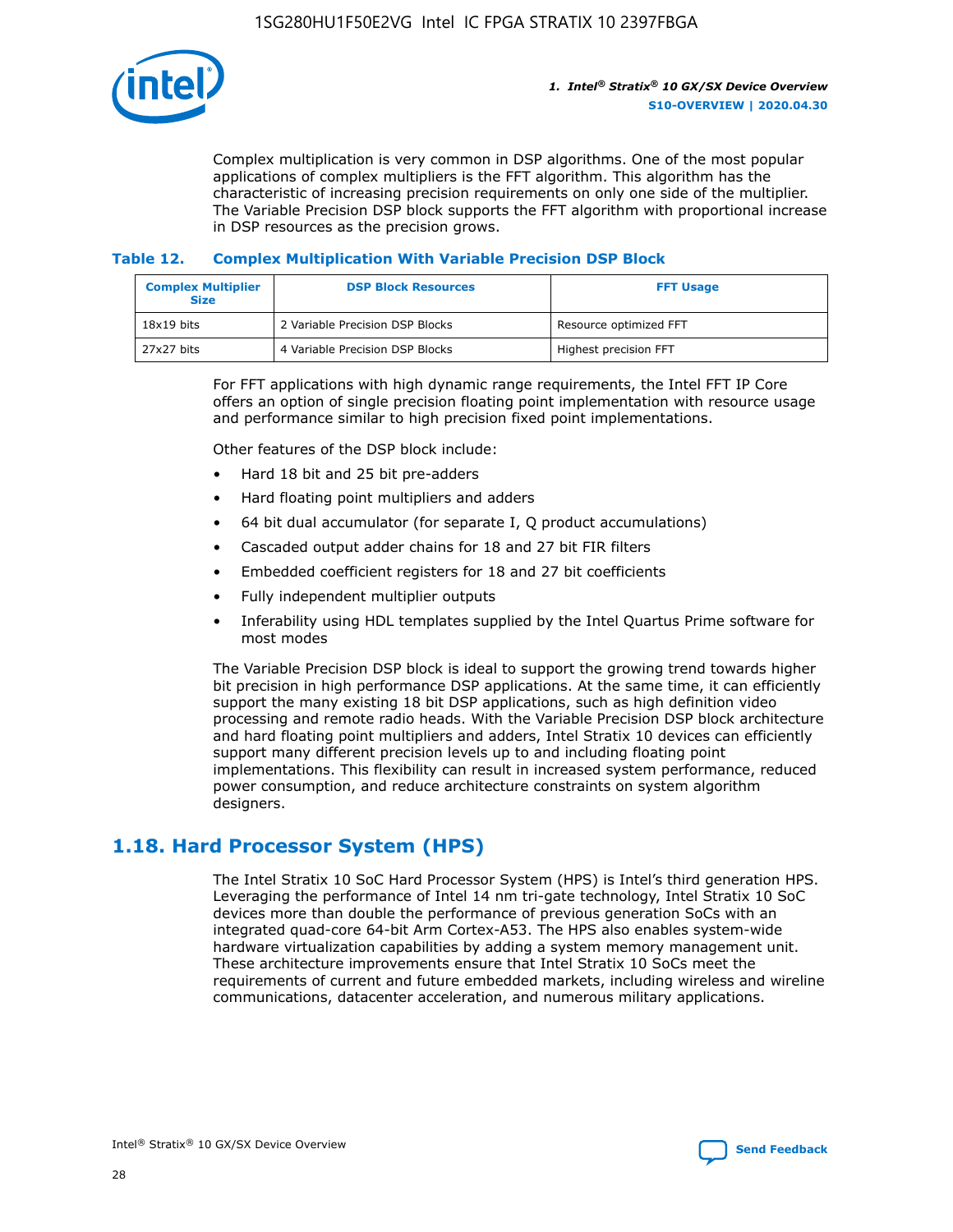

Complex multiplication is very common in DSP algorithms. One of the most popular applications of complex multipliers is the FFT algorithm. This algorithm has the characteristic of increasing precision requirements on only one side of the multiplier. The Variable Precision DSP block supports the FFT algorithm with proportional increase in DSP resources as the precision grows.

#### **Table 12. Complex Multiplication With Variable Precision DSP Block**

| <b>Complex Multiplier</b><br><b>Size</b> | <b>DSP Block Resources</b>      | <b>FFT Usage</b>       |
|------------------------------------------|---------------------------------|------------------------|
| $18x19$ bits                             | 2 Variable Precision DSP Blocks | Resource optimized FFT |
| 27x27 bits                               | 4 Variable Precision DSP Blocks | Highest precision FFT  |

For FFT applications with high dynamic range requirements, the Intel FFT IP Core offers an option of single precision floating point implementation with resource usage and performance similar to high precision fixed point implementations.

Other features of the DSP block include:

- Hard 18 bit and 25 bit pre-adders
- Hard floating point multipliers and adders
- 64 bit dual accumulator (for separate I, Q product accumulations)
- Cascaded output adder chains for 18 and 27 bit FIR filters
- Embedded coefficient registers for 18 and 27 bit coefficients
- Fully independent multiplier outputs
- Inferability using HDL templates supplied by the Intel Quartus Prime software for most modes

The Variable Precision DSP block is ideal to support the growing trend towards higher bit precision in high performance DSP applications. At the same time, it can efficiently support the many existing 18 bit DSP applications, such as high definition video processing and remote radio heads. With the Variable Precision DSP block architecture and hard floating point multipliers and adders, Intel Stratix 10 devices can efficiently support many different precision levels up to and including floating point implementations. This flexibility can result in increased system performance, reduced power consumption, and reduce architecture constraints on system algorithm designers.

# **1.18. Hard Processor System (HPS)**

The Intel Stratix 10 SoC Hard Processor System (HPS) is Intel's third generation HPS. Leveraging the performance of Intel 14 nm tri-gate technology, Intel Stratix 10 SoC devices more than double the performance of previous generation SoCs with an integrated quad-core 64-bit Arm Cortex-A53. The HPS also enables system-wide hardware virtualization capabilities by adding a system memory management unit. These architecture improvements ensure that Intel Stratix 10 SoCs meet the requirements of current and future embedded markets, including wireless and wireline communications, datacenter acceleration, and numerous military applications.

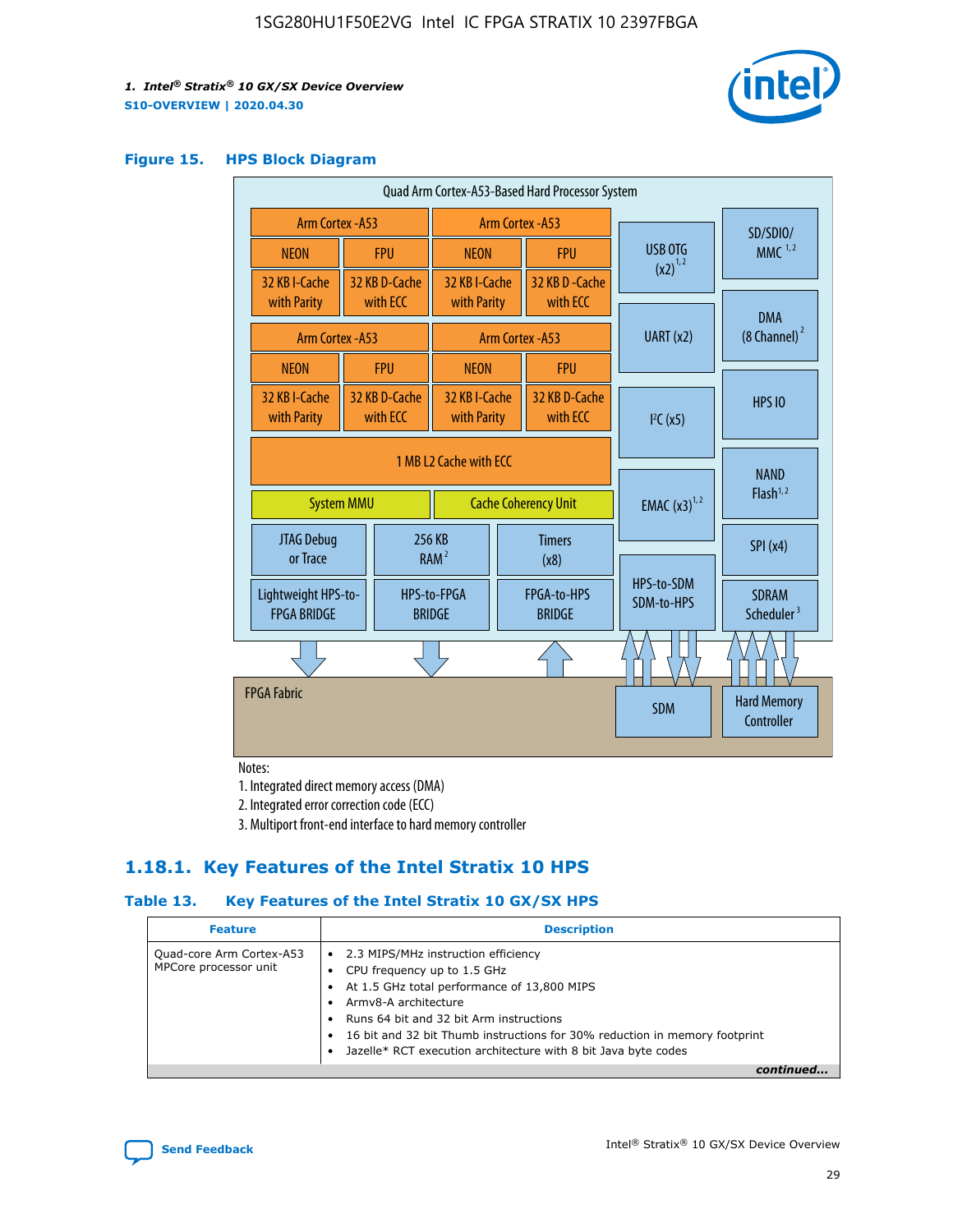

#### **Figure 15. HPS Block Diagram**

| Quad Arm Cortex-A53-Based Hard Processor System |                                      |                           |                              |                         |                              |  |                          |                                        |
|-------------------------------------------------|--------------------------------------|---------------------------|------------------------------|-------------------------|------------------------------|--|--------------------------|----------------------------------------|
| <b>Arm Cortex - A53</b>                         |                                      |                           | Arm Cortex - A53             |                         |                              |  | SD/SDIO/                 |                                        |
| <b>NEON</b>                                     |                                      | <b>FPU</b>                | <b>NEON</b>                  |                         | <b>FPU</b>                   |  | USB OTG                  | $MMC$ <sup>1,2</sup>                   |
| 32 KB I-Cache                                   |                                      | 32 KB D-Cache             | 32 KB I-Cache                |                         | 32 KB D - Cache              |  | $(x2)^{1,2}$             |                                        |
| with Parity                                     |                                      | with ECC                  | with Parity                  |                         | with ECC                     |  |                          | <b>DMA</b>                             |
|                                                 | Arm Cortex - A53<br>Arm Cortex - A53 |                           | UART (x2)                    | $(8 \text{ Channel})^2$ |                              |  |                          |                                        |
| <b>NEON</b>                                     |                                      | <b>FPU</b>                | <b>NEON</b>                  |                         | <b>FPU</b>                   |  |                          |                                        |
| 32 KB I-Cache<br>with Parity                    |                                      | 32 KB D-Cache<br>with ECC | 32 KB I-Cache<br>with Parity |                         | 32 KB D-Cache<br>with ECC    |  | I <sup>2</sup> C(x5)     | <b>HPS 10</b>                          |
|                                                 | 1 MB L2 Cache with ECC               |                           |                              |                         |                              |  |                          |                                        |
| <b>System MMU</b>                               |                                      |                           | <b>Cache Coherency Unit</b>  |                         |                              |  | <b>EMAC</b> $(x3)^{1,2}$ | <b>NAND</b><br>Flash <sup>1,2</sup>    |
| JTAG Debug<br>or Trace                          |                                      |                           | 256 KB<br>RAM <sup>2</sup>   | <b>Timers</b><br>(x8)   |                              |  |                          | SPI(x4)                                |
| Lightweight HPS-to-<br><b>FPGA BRIDGE</b>       |                                      |                           | HPS-to-FPGA<br><b>BRIDGE</b> |                         | FPGA-to-HPS<br><b>BRIDGE</b> |  | HPS-to-SDM<br>SDM-to-HPS | <b>SDRAM</b><br>Scheduler <sup>3</sup> |
|                                                 |                                      |                           |                              |                         |                              |  |                          |                                        |
| <b>FPGA Fabric</b>                              |                                      |                           |                              |                         |                              |  | <b>SDM</b>               | <b>Hard Memory</b><br>Controller       |
|                                                 |                                      |                           |                              |                         |                              |  |                          |                                        |

Notes:

1. Integrated direct memory access (DMA)

2. Integrated error correction code (ECC)

3. Multiport front-end interface to hard memory controller

### **1.18.1. Key Features of the Intel Stratix 10 HPS**

#### **Table 13. Key Features of the Intel Stratix 10 GX/SX HPS**

| <b>Feature</b>                                    | <b>Description</b>                                                                                                                                                                                                                                                                                                                     |
|---------------------------------------------------|----------------------------------------------------------------------------------------------------------------------------------------------------------------------------------------------------------------------------------------------------------------------------------------------------------------------------------------|
| Quad-core Arm Cortex-A53<br>MPCore processor unit | • 2.3 MIPS/MHz instruction efficiency<br>CPU frequency up to 1.5 GHz<br>At 1.5 GHz total performance of 13,800 MIPS<br>Army8-A architecture<br>Runs 64 bit and 32 bit Arm instructions<br>16 bit and 32 bit Thumb instructions for 30% reduction in memory footprint<br>Jazelle* RCT execution architecture with 8 bit Java byte codes |
|                                                   |                                                                                                                                                                                                                                                                                                                                        |

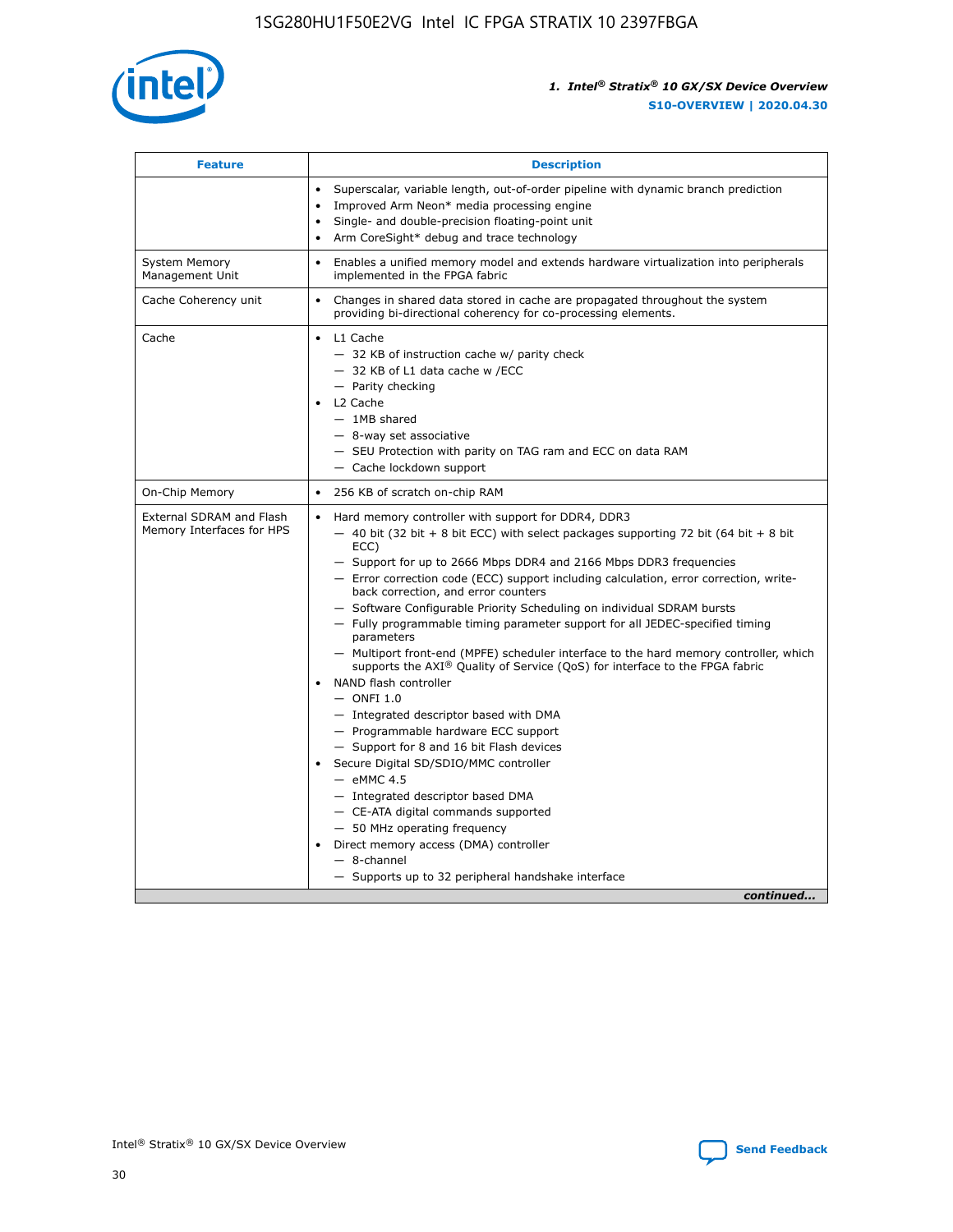

| <b>Feature</b>                                        | <b>Description</b>                                                                                                                                                                                                                                                                                                                                                                                                                                                                                                                                                                                                                                                                                                                                                                                                                                                                                                                                                                                                                                                                                                                                                                                                       |  |
|-------------------------------------------------------|--------------------------------------------------------------------------------------------------------------------------------------------------------------------------------------------------------------------------------------------------------------------------------------------------------------------------------------------------------------------------------------------------------------------------------------------------------------------------------------------------------------------------------------------------------------------------------------------------------------------------------------------------------------------------------------------------------------------------------------------------------------------------------------------------------------------------------------------------------------------------------------------------------------------------------------------------------------------------------------------------------------------------------------------------------------------------------------------------------------------------------------------------------------------------------------------------------------------------|--|
|                                                       | Superscalar, variable length, out-of-order pipeline with dynamic branch prediction<br>Improved Arm Neon* media processing engine<br>$\bullet$<br>Single- and double-precision floating-point unit<br>Arm CoreSight* debug and trace technology                                                                                                                                                                                                                                                                                                                                                                                                                                                                                                                                                                                                                                                                                                                                                                                                                                                                                                                                                                           |  |
| <b>System Memory</b><br>Management Unit               | Enables a unified memory model and extends hardware virtualization into peripherals<br>$\bullet$<br>implemented in the FPGA fabric                                                                                                                                                                                                                                                                                                                                                                                                                                                                                                                                                                                                                                                                                                                                                                                                                                                                                                                                                                                                                                                                                       |  |
| Cache Coherency unit                                  | Changes in shared data stored in cache are propagated throughout the system<br>$\bullet$<br>providing bi-directional coherency for co-processing elements.                                                                                                                                                                                                                                                                                                                                                                                                                                                                                                                                                                                                                                                                                                                                                                                                                                                                                                                                                                                                                                                               |  |
| Cache                                                 | L1 Cache<br>$\bullet$<br>- 32 KB of instruction cache w/ parity check<br>- 32 KB of L1 data cache w /ECC<br>- Parity checking<br>L2 Cache<br>$-$ 1MB shared<br>- 8-way set associative<br>- SEU Protection with parity on TAG ram and ECC on data RAM<br>- Cache lockdown support                                                                                                                                                                                                                                                                                                                                                                                                                                                                                                                                                                                                                                                                                                                                                                                                                                                                                                                                        |  |
| On-Chip Memory                                        | 256 KB of scratch on-chip RAM<br>$\bullet$                                                                                                                                                                                                                                                                                                                                                                                                                                                                                                                                                                                                                                                                                                                                                                                                                                                                                                                                                                                                                                                                                                                                                                               |  |
| External SDRAM and Flash<br>Memory Interfaces for HPS | Hard memory controller with support for DDR4, DDR3<br>$\bullet$<br>$-$ 40 bit (32 bit + 8 bit ECC) with select packages supporting 72 bit (64 bit + 8 bit<br>ECC)<br>- Support for up to 2666 Mbps DDR4 and 2166 Mbps DDR3 frequencies<br>- Error correction code (ECC) support including calculation, error correction, write-<br>back correction, and error counters<br>- Software Configurable Priority Scheduling on individual SDRAM bursts<br>- Fully programmable timing parameter support for all JEDEC-specified timing<br>parameters<br>- Multiport front-end (MPFE) scheduler interface to the hard memory controller, which<br>supports the $AXI^{\circledR}$ Quality of Service (QoS) for interface to the FPGA fabric<br>NAND flash controller<br>$-$ ONFI 1.0<br>- Integrated descriptor based with DMA<br>- Programmable hardware ECC support<br>- Support for 8 and 16 bit Flash devices<br>Secure Digital SD/SDIO/MMC controller<br>$-$ eMMC 4.5<br>- Integrated descriptor based DMA<br>- CE-ATA digital commands supported<br>- 50 MHz operating frequency<br>Direct memory access (DMA) controller<br>$\bullet$<br>$-$ 8-channel<br>- Supports up to 32 peripheral handshake interface<br>continued |  |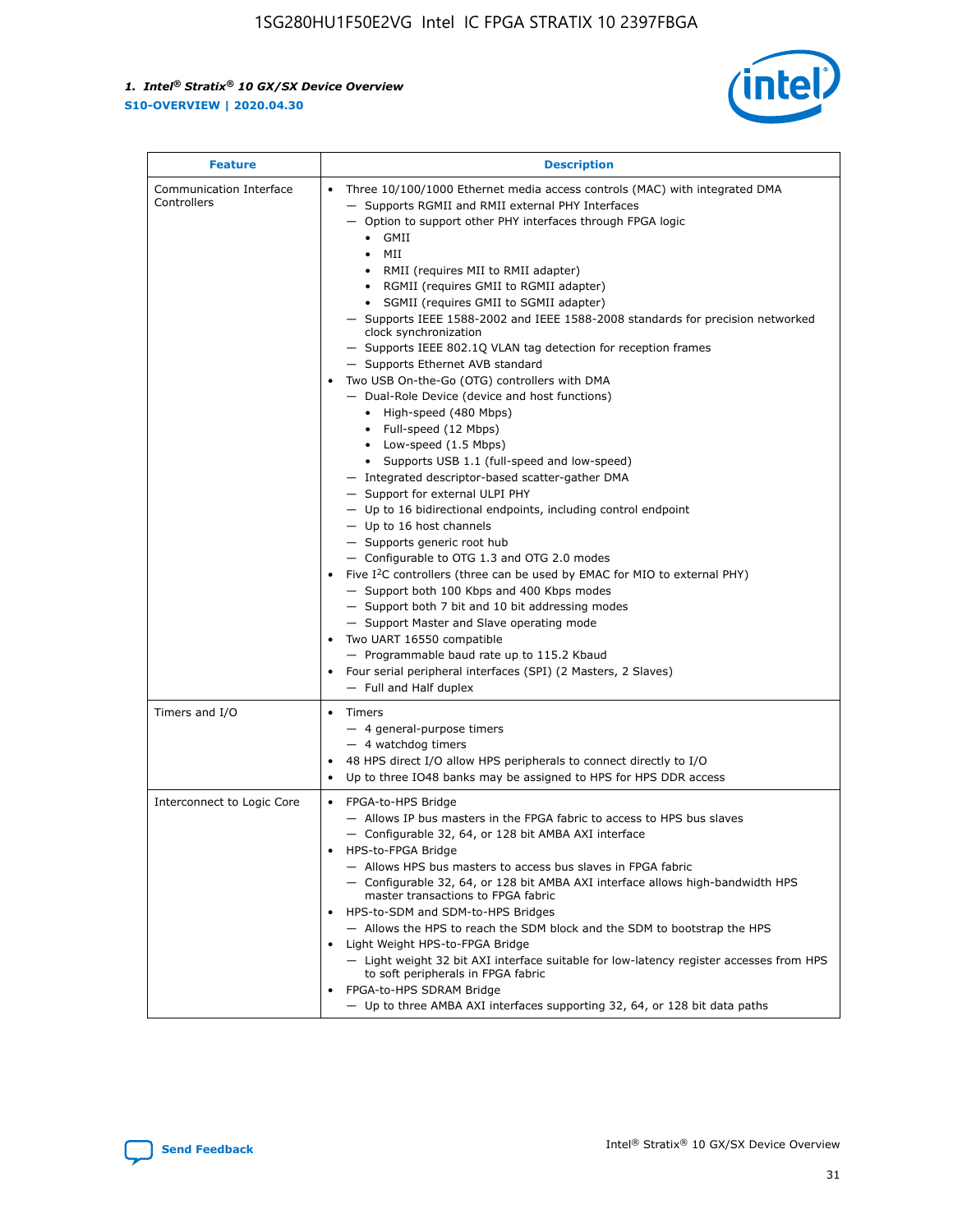

| <b>Feature</b>                         | <b>Description</b>                                                                                                                                                                                                                                                                                                                                                                                                                                                                                                                                                                                                                                                                                                                                                                                                                                                                                                                                                                                                                                                                                                                                                                                                                                                                                                                                                                                                                                                                                                  |  |
|----------------------------------------|---------------------------------------------------------------------------------------------------------------------------------------------------------------------------------------------------------------------------------------------------------------------------------------------------------------------------------------------------------------------------------------------------------------------------------------------------------------------------------------------------------------------------------------------------------------------------------------------------------------------------------------------------------------------------------------------------------------------------------------------------------------------------------------------------------------------------------------------------------------------------------------------------------------------------------------------------------------------------------------------------------------------------------------------------------------------------------------------------------------------------------------------------------------------------------------------------------------------------------------------------------------------------------------------------------------------------------------------------------------------------------------------------------------------------------------------------------------------------------------------------------------------|--|
| Communication Interface<br>Controllers | Three 10/100/1000 Ethernet media access controls (MAC) with integrated DMA<br>$\bullet$<br>- Supports RGMII and RMII external PHY Interfaces<br>- Option to support other PHY interfaces through FPGA logic<br>GMII<br>$\bullet$<br>MII<br>$\bullet$<br>• RMII (requires MII to RMII adapter)<br>• RGMII (requires GMII to RGMII adapter)<br>• SGMII (requires GMII to SGMII adapter)<br>- Supports IEEE 1588-2002 and IEEE 1588-2008 standards for precision networked<br>clock synchronization<br>- Supports IEEE 802.1Q VLAN tag detection for reception frames<br>- Supports Ethernet AVB standard<br>Two USB On-the-Go (OTG) controllers with DMA<br>- Dual-Role Device (device and host functions)<br>• High-speed (480 Mbps)<br>• Full-speed (12 Mbps)<br>• Low-speed (1.5 Mbps)<br>• Supports USB 1.1 (full-speed and low-speed)<br>- Integrated descriptor-based scatter-gather DMA<br>- Support for external ULPI PHY<br>- Up to 16 bidirectional endpoints, including control endpoint<br>$-$ Up to 16 host channels<br>- Supports generic root hub<br>- Configurable to OTG 1.3 and OTG 2.0 modes<br>Five $I^2C$ controllers (three can be used by EMAC for MIO to external PHY)<br>- Support both 100 Kbps and 400 Kbps modes<br>- Support both 7 bit and 10 bit addressing modes<br>- Support Master and Slave operating mode<br>Two UART 16550 compatible<br>- Programmable baud rate up to 115.2 Kbaud<br>• Four serial peripheral interfaces (SPI) (2 Masters, 2 Slaves)<br>- Full and Half duplex |  |
| Timers and I/O                         | $\bullet$ Timers<br>- 4 general-purpose timers<br>$-4$ watchdog timers<br>48 HPS direct I/O allow HPS peripherals to connect directly to I/O<br>Up to three IO48 banks may be assigned to HPS for HPS DDR access                                                                                                                                                                                                                                                                                                                                                                                                                                                                                                                                                                                                                                                                                                                                                                                                                                                                                                                                                                                                                                                                                                                                                                                                                                                                                                    |  |
| Interconnect to Logic Core             | • FPGA-to-HPS Bridge<br>- Allows IP bus masters in the FPGA fabric to access to HPS bus slaves<br>- Configurable 32, 64, or 128 bit AMBA AXI interface<br>HPS-to-FPGA Bridge<br>- Allows HPS bus masters to access bus slaves in FPGA fabric<br>- Configurable 32, 64, or 128 bit AMBA AXI interface allows high-bandwidth HPS<br>master transactions to FPGA fabric<br>HPS-to-SDM and SDM-to-HPS Bridges<br>- Allows the HPS to reach the SDM block and the SDM to bootstrap the HPS<br>Light Weight HPS-to-FPGA Bridge<br>- Light weight 32 bit AXI interface suitable for low-latency register accesses from HPS<br>to soft peripherals in FPGA fabric<br>FPGA-to-HPS SDRAM Bridge<br>- Up to three AMBA AXI interfaces supporting 32, 64, or 128 bit data paths                                                                                                                                                                                                                                                                                                                                                                                                                                                                                                                                                                                                                                                                                                                                                 |  |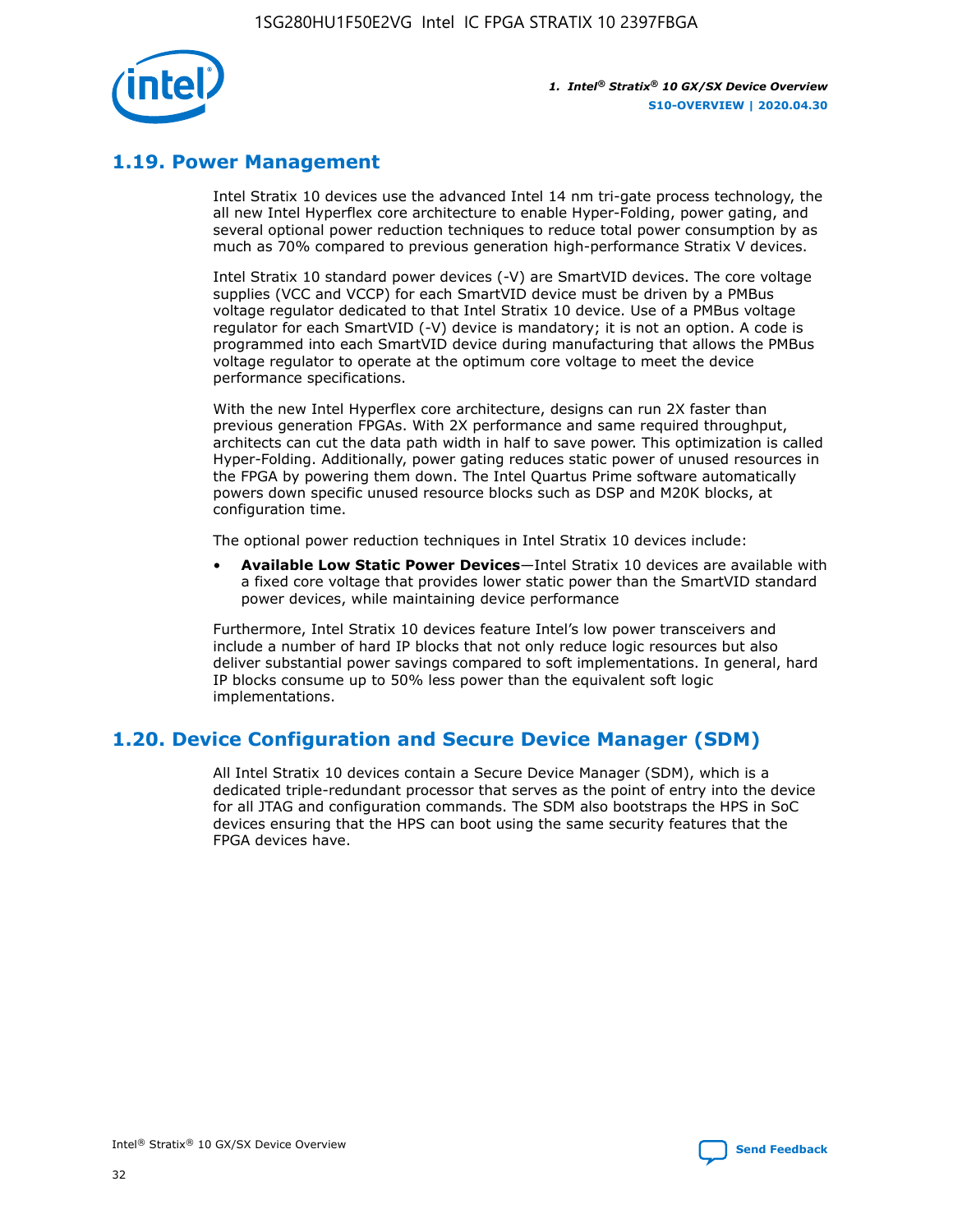

# **1.19. Power Management**

Intel Stratix 10 devices use the advanced Intel 14 nm tri-gate process technology, the all new Intel Hyperflex core architecture to enable Hyper-Folding, power gating, and several optional power reduction techniques to reduce total power consumption by as much as 70% compared to previous generation high-performance Stratix V devices.

Intel Stratix 10 standard power devices (-V) are SmartVID devices. The core voltage supplies (VCC and VCCP) for each SmartVID device must be driven by a PMBus voltage regulator dedicated to that Intel Stratix 10 device. Use of a PMBus voltage regulator for each SmartVID (-V) device is mandatory; it is not an option. A code is programmed into each SmartVID device during manufacturing that allows the PMBus voltage regulator to operate at the optimum core voltage to meet the device performance specifications.

With the new Intel Hyperflex core architecture, designs can run 2X faster than previous generation FPGAs. With 2X performance and same required throughput, architects can cut the data path width in half to save power. This optimization is called Hyper-Folding. Additionally, power gating reduces static power of unused resources in the FPGA by powering them down. The Intel Quartus Prime software automatically powers down specific unused resource blocks such as DSP and M20K blocks, at configuration time.

The optional power reduction techniques in Intel Stratix 10 devices include:

• **Available Low Static Power Devices**—Intel Stratix 10 devices are available with a fixed core voltage that provides lower static power than the SmartVID standard power devices, while maintaining device performance

Furthermore, Intel Stratix 10 devices feature Intel's low power transceivers and include a number of hard IP blocks that not only reduce logic resources but also deliver substantial power savings compared to soft implementations. In general, hard IP blocks consume up to 50% less power than the equivalent soft logic implementations.

# **1.20. Device Configuration and Secure Device Manager (SDM)**

All Intel Stratix 10 devices contain a Secure Device Manager (SDM), which is a dedicated triple-redundant processor that serves as the point of entry into the device for all JTAG and configuration commands. The SDM also bootstraps the HPS in SoC devices ensuring that the HPS can boot using the same security features that the FPGA devices have.

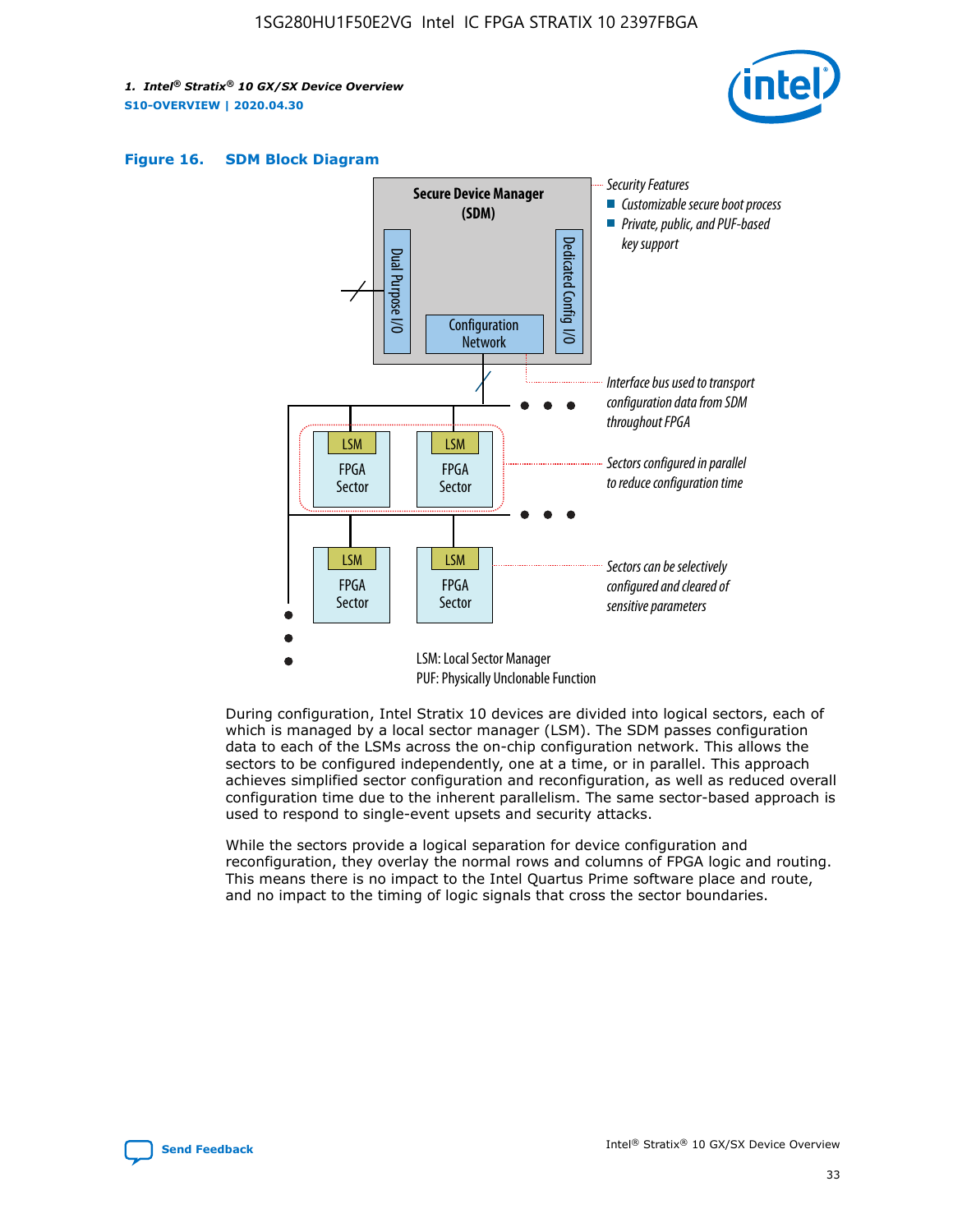





During configuration, Intel Stratix 10 devices are divided into logical sectors, each of which is managed by a local sector manager (LSM). The SDM passes configuration data to each of the LSMs across the on-chip configuration network. This allows the sectors to be configured independently, one at a time, or in parallel. This approach achieves simplified sector configuration and reconfiguration, as well as reduced overall configuration time due to the inherent parallelism. The same sector-based approach is used to respond to single-event upsets and security attacks.

While the sectors provide a logical separation for device configuration and reconfiguration, they overlay the normal rows and columns of FPGA logic and routing. This means there is no impact to the Intel Quartus Prime software place and route, and no impact to the timing of logic signals that cross the sector boundaries.

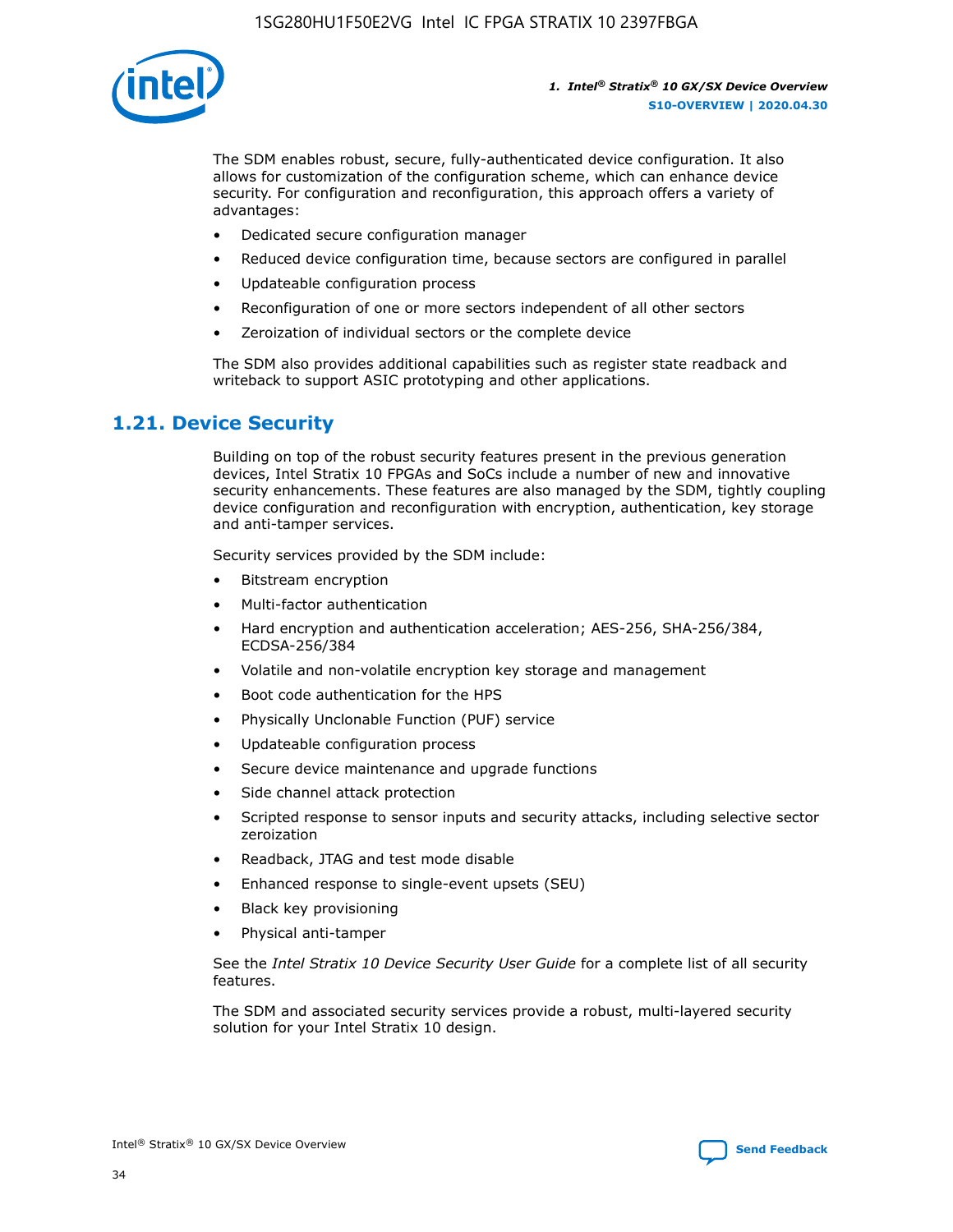

The SDM enables robust, secure, fully-authenticated device configuration. It also allows for customization of the configuration scheme, which can enhance device security. For configuration and reconfiguration, this approach offers a variety of advantages:

- Dedicated secure configuration manager
- Reduced device configuration time, because sectors are configured in parallel
- Updateable configuration process
- Reconfiguration of one or more sectors independent of all other sectors
- Zeroization of individual sectors or the complete device

The SDM also provides additional capabilities such as register state readback and writeback to support ASIC prototyping and other applications.

### **1.21. Device Security**

Building on top of the robust security features present in the previous generation devices, Intel Stratix 10 FPGAs and SoCs include a number of new and innovative security enhancements. These features are also managed by the SDM, tightly coupling device configuration and reconfiguration with encryption, authentication, key storage and anti-tamper services.

Security services provided by the SDM include:

- Bitstream encryption
- Multi-factor authentication
- Hard encryption and authentication acceleration; AES-256, SHA-256/384, ECDSA-256/384
- Volatile and non-volatile encryption key storage and management
- Boot code authentication for the HPS
- Physically Unclonable Function (PUF) service
- Updateable configuration process
- Secure device maintenance and upgrade functions
- Side channel attack protection
- Scripted response to sensor inputs and security attacks, including selective sector zeroization
- Readback, JTAG and test mode disable
- Enhanced response to single-event upsets (SEU)
- Black key provisioning
- Physical anti-tamper

See the *Intel Stratix 10 Device Security User Guide* for a complete list of all security features.

The SDM and associated security services provide a robust, multi-layered security solution for your Intel Stratix 10 design.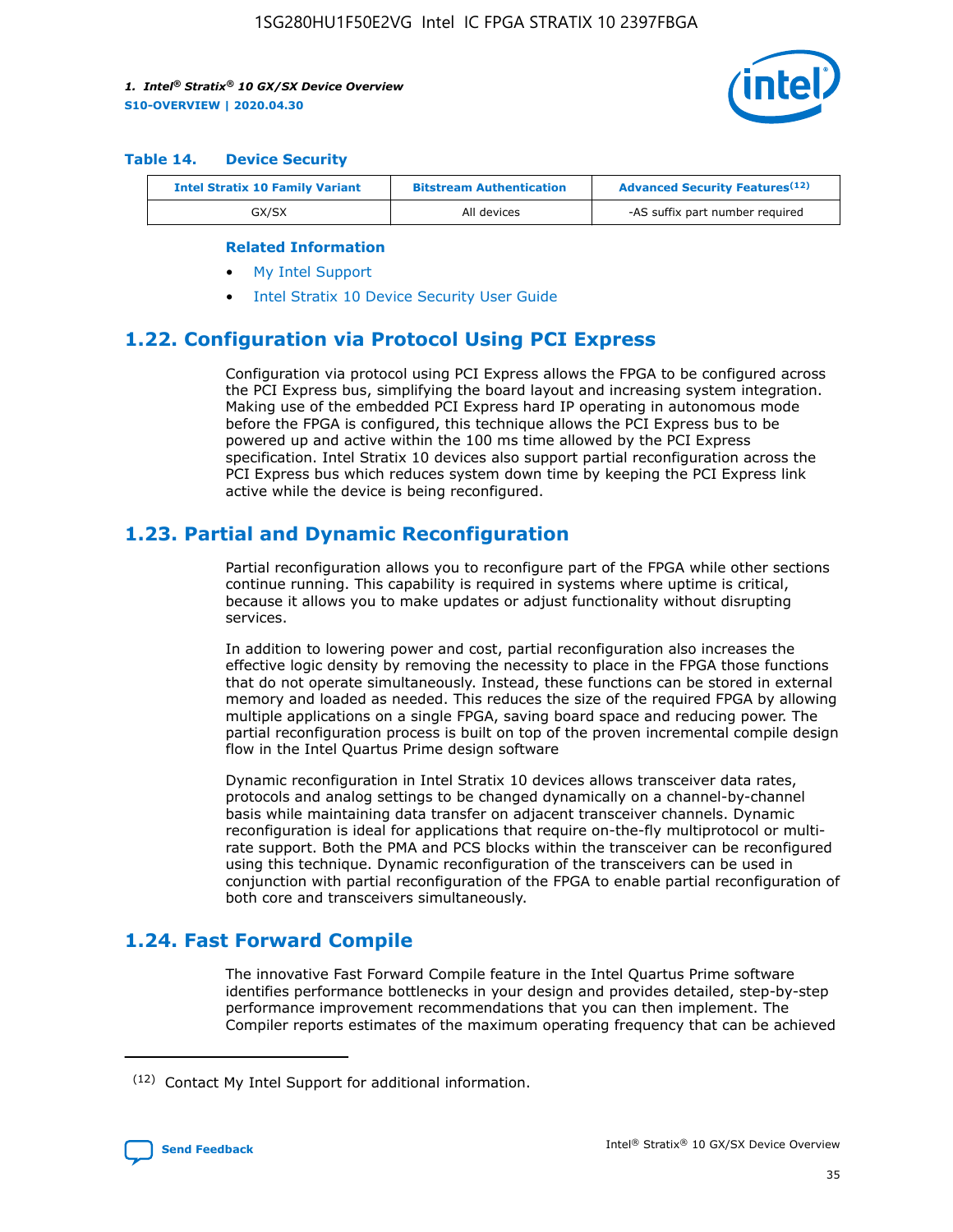

#### **Table 14. Device Security**

| <b>Intel Stratix 10 Family Variant</b> | <b>Bitstream Authentication</b> | <b>Advanced Security Features</b> <sup>(12)</sup> |  |  |
|----------------------------------------|---------------------------------|---------------------------------------------------|--|--|
| GX/SX                                  | All devices                     | -AS suffix part number required                   |  |  |

#### **Related Information**

- [My Intel Support](https://www.intel.com/content/www/us/en/programmable/my-intel/mal-home.html)
- [Intel Stratix 10 Device Security User Guide](https://www.intel.com/content/www/us/en/programmable/documentation/ndq1483601370898.html#wcd1483611014402)

# **1.22. Configuration via Protocol Using PCI Express**

Configuration via protocol using PCI Express allows the FPGA to be configured across the PCI Express bus, simplifying the board layout and increasing system integration. Making use of the embedded PCI Express hard IP operating in autonomous mode before the FPGA is configured, this technique allows the PCI Express bus to be powered up and active within the 100 ms time allowed by the PCI Express specification. Intel Stratix 10 devices also support partial reconfiguration across the PCI Express bus which reduces system down time by keeping the PCI Express link active while the device is being reconfigured.

# **1.23. Partial and Dynamic Reconfiguration**

Partial reconfiguration allows you to reconfigure part of the FPGA while other sections continue running. This capability is required in systems where uptime is critical, because it allows you to make updates or adjust functionality without disrupting services.

In addition to lowering power and cost, partial reconfiguration also increases the effective logic density by removing the necessity to place in the FPGA those functions that do not operate simultaneously. Instead, these functions can be stored in external memory and loaded as needed. This reduces the size of the required FPGA by allowing multiple applications on a single FPGA, saving board space and reducing power. The partial reconfiguration process is built on top of the proven incremental compile design flow in the Intel Quartus Prime design software

Dynamic reconfiguration in Intel Stratix 10 devices allows transceiver data rates, protocols and analog settings to be changed dynamically on a channel-by-channel basis while maintaining data transfer on adjacent transceiver channels. Dynamic reconfiguration is ideal for applications that require on-the-fly multiprotocol or multirate support. Both the PMA and PCS blocks within the transceiver can be reconfigured using this technique. Dynamic reconfiguration of the transceivers can be used in conjunction with partial reconfiguration of the FPGA to enable partial reconfiguration of both core and transceivers simultaneously.

# **1.24. Fast Forward Compile**

The innovative Fast Forward Compile feature in the Intel Quartus Prime software identifies performance bottlenecks in your design and provides detailed, step-by-step performance improvement recommendations that you can then implement. The Compiler reports estimates of the maximum operating frequency that can be achieved

<sup>(12)</sup> Contact My Intel Support for additional information.

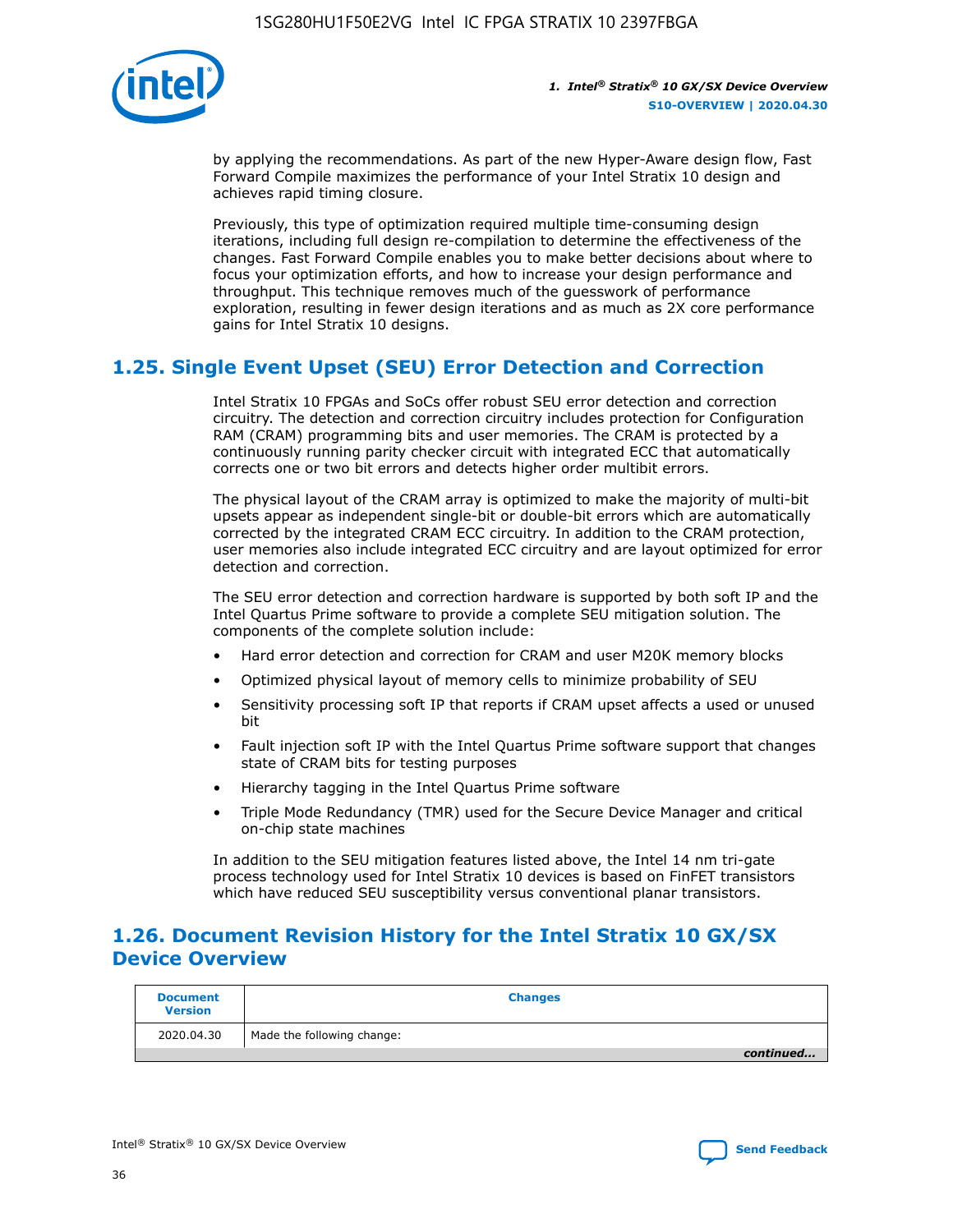

by applying the recommendations. As part of the new Hyper-Aware design flow, Fast Forward Compile maximizes the performance of your Intel Stratix 10 design and achieves rapid timing closure.

Previously, this type of optimization required multiple time-consuming design iterations, including full design re-compilation to determine the effectiveness of the changes. Fast Forward Compile enables you to make better decisions about where to focus your optimization efforts, and how to increase your design performance and throughput. This technique removes much of the guesswork of performance exploration, resulting in fewer design iterations and as much as 2X core performance gains for Intel Stratix 10 designs.

# **1.25. Single Event Upset (SEU) Error Detection and Correction**

Intel Stratix 10 FPGAs and SoCs offer robust SEU error detection and correction circuitry. The detection and correction circuitry includes protection for Configuration RAM (CRAM) programming bits and user memories. The CRAM is protected by a continuously running parity checker circuit with integrated ECC that automatically corrects one or two bit errors and detects higher order multibit errors.

The physical layout of the CRAM array is optimized to make the majority of multi-bit upsets appear as independent single-bit or double-bit errors which are automatically corrected by the integrated CRAM ECC circuitry. In addition to the CRAM protection, user memories also include integrated ECC circuitry and are layout optimized for error detection and correction.

The SEU error detection and correction hardware is supported by both soft IP and the Intel Quartus Prime software to provide a complete SEU mitigation solution. The components of the complete solution include:

- Hard error detection and correction for CRAM and user M20K memory blocks
- Optimized physical layout of memory cells to minimize probability of SEU
- Sensitivity processing soft IP that reports if CRAM upset affects a used or unused bit
- Fault injection soft IP with the Intel Quartus Prime software support that changes state of CRAM bits for testing purposes
- Hierarchy tagging in the Intel Quartus Prime software
- Triple Mode Redundancy (TMR) used for the Secure Device Manager and critical on-chip state machines

In addition to the SEU mitigation features listed above, the Intel 14 nm tri-gate process technology used for Intel Stratix 10 devices is based on FinFET transistors which have reduced SEU susceptibility versus conventional planar transistors.

# **1.26. Document Revision History for the Intel Stratix 10 GX/SX Device Overview**

| <b>Document</b><br><b>Version</b> | <b>Changes</b>             |
|-----------------------------------|----------------------------|
| 2020.04.30                        | Made the following change: |
|                                   | continued                  |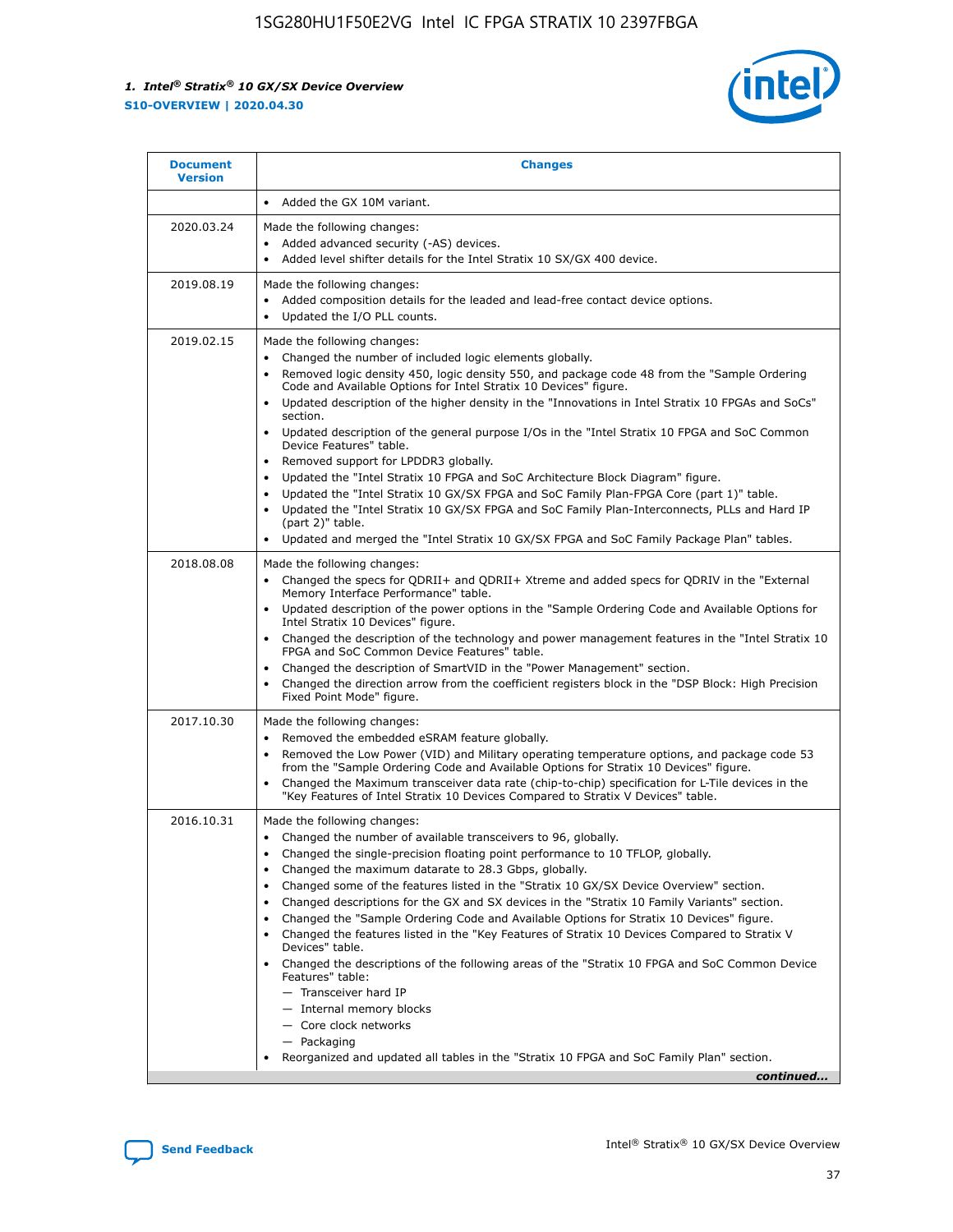

| • Added the GX 10M variant.<br>Made the following changes:<br>Added advanced security (-AS) devices.<br>$\bullet$<br>Added level shifter details for the Intel Stratix 10 SX/GX 400 device.<br>$\bullet$<br>Made the following changes:<br>Added composition details for the leaded and lead-free contact device options.                                                                                                                                                                                                                                                                                                                                                                                                                                                                                                                                                                                                                                                                                                     |
|-------------------------------------------------------------------------------------------------------------------------------------------------------------------------------------------------------------------------------------------------------------------------------------------------------------------------------------------------------------------------------------------------------------------------------------------------------------------------------------------------------------------------------------------------------------------------------------------------------------------------------------------------------------------------------------------------------------------------------------------------------------------------------------------------------------------------------------------------------------------------------------------------------------------------------------------------------------------------------------------------------------------------------|
|                                                                                                                                                                                                                                                                                                                                                                                                                                                                                                                                                                                                                                                                                                                                                                                                                                                                                                                                                                                                                               |
|                                                                                                                                                                                                                                                                                                                                                                                                                                                                                                                                                                                                                                                                                                                                                                                                                                                                                                                                                                                                                               |
| Updated the I/O PLL counts.<br>$\bullet$                                                                                                                                                                                                                                                                                                                                                                                                                                                                                                                                                                                                                                                                                                                                                                                                                                                                                                                                                                                      |
| Made the following changes:<br>Changed the number of included logic elements globally.<br>$\bullet$<br>Removed logic density 450, logic density 550, and package code 48 from the "Sample Ordering<br>$\bullet$<br>Code and Available Options for Intel Stratix 10 Devices" figure.<br>Updated description of the higher density in the "Innovations in Intel Stratix 10 FPGAs and SoCs"<br>section.<br>Updated description of the general purpose I/Os in the "Intel Stratix 10 FPGA and SoC Common<br>$\bullet$<br>Device Features" table.<br>Removed support for LPDDR3 globally.<br>٠<br>Updated the "Intel Stratix 10 FPGA and SoC Architecture Block Diagram" figure.<br>Updated the "Intel Stratix 10 GX/SX FPGA and SoC Family Plan-FPGA Core (part 1)" table.<br>$\bullet$<br>Updated the "Intel Stratix 10 GX/SX FPGA and SoC Family Plan-Interconnects, PLLs and Hard IP<br>$\bullet$<br>(part 2)" table.<br>Updated and merged the "Intel Stratix 10 GX/SX FPGA and SoC Family Package Plan" tables.<br>$\bullet$ |
| Made the following changes:<br>Changed the specs for ODRII+ and ODRII+ Xtreme and added specs for ODRIV in the "External<br>$\bullet$<br>Memory Interface Performance" table.<br>Updated description of the power options in the "Sample Ordering Code and Available Options for<br>Intel Stratix 10 Devices" figure.<br>Changed the description of the technology and power management features in the "Intel Stratix 10<br>FPGA and SoC Common Device Features" table.<br>Changed the description of SmartVID in the "Power Management" section.<br>Changed the direction arrow from the coefficient registers block in the "DSP Block: High Precision<br>Fixed Point Mode" figure.                                                                                                                                                                                                                                                                                                                                         |
| Made the following changes:<br>Removed the embedded eSRAM feature globally.<br>$\bullet$<br>Removed the Low Power (VID) and Military operating temperature options, and package code 53<br>$\bullet$<br>from the "Sample Ordering Code and Available Options for Stratix 10 Devices" figure.<br>Changed the Maximum transceiver data rate (chip-to-chip) specification for L-Tile devices in the<br>٠<br>"Key Features of Intel Stratix 10 Devices Compared to Stratix V Devices" table.                                                                                                                                                                                                                                                                                                                                                                                                                                                                                                                                      |
| Made the following changes:<br>• Changed the number of available transceivers to 96, globally.<br>Changed the single-precision floating point performance to 10 TFLOP, globally.<br>Changed the maximum datarate to 28.3 Gbps, globally.<br>Changed some of the features listed in the "Stratix 10 GX/SX Device Overview" section.<br>٠<br>Changed descriptions for the GX and SX devices in the "Stratix 10 Family Variants" section.<br>٠<br>Changed the "Sample Ordering Code and Available Options for Stratix 10 Devices" figure.<br>٠<br>Changed the features listed in the "Key Features of Stratix 10 Devices Compared to Stratix V<br>٠<br>Devices" table.<br>Changed the descriptions of the following areas of the "Stratix 10 FPGA and SoC Common Device<br>Features" table:<br>- Transceiver hard IP<br>- Internal memory blocks<br>- Core clock networks<br>- Packaging<br>Reorganized and updated all tables in the "Stratix 10 FPGA and SoC Family Plan" section.<br>continued                                |
|                                                                                                                                                                                                                                                                                                                                                                                                                                                                                                                                                                                                                                                                                                                                                                                                                                                                                                                                                                                                                               |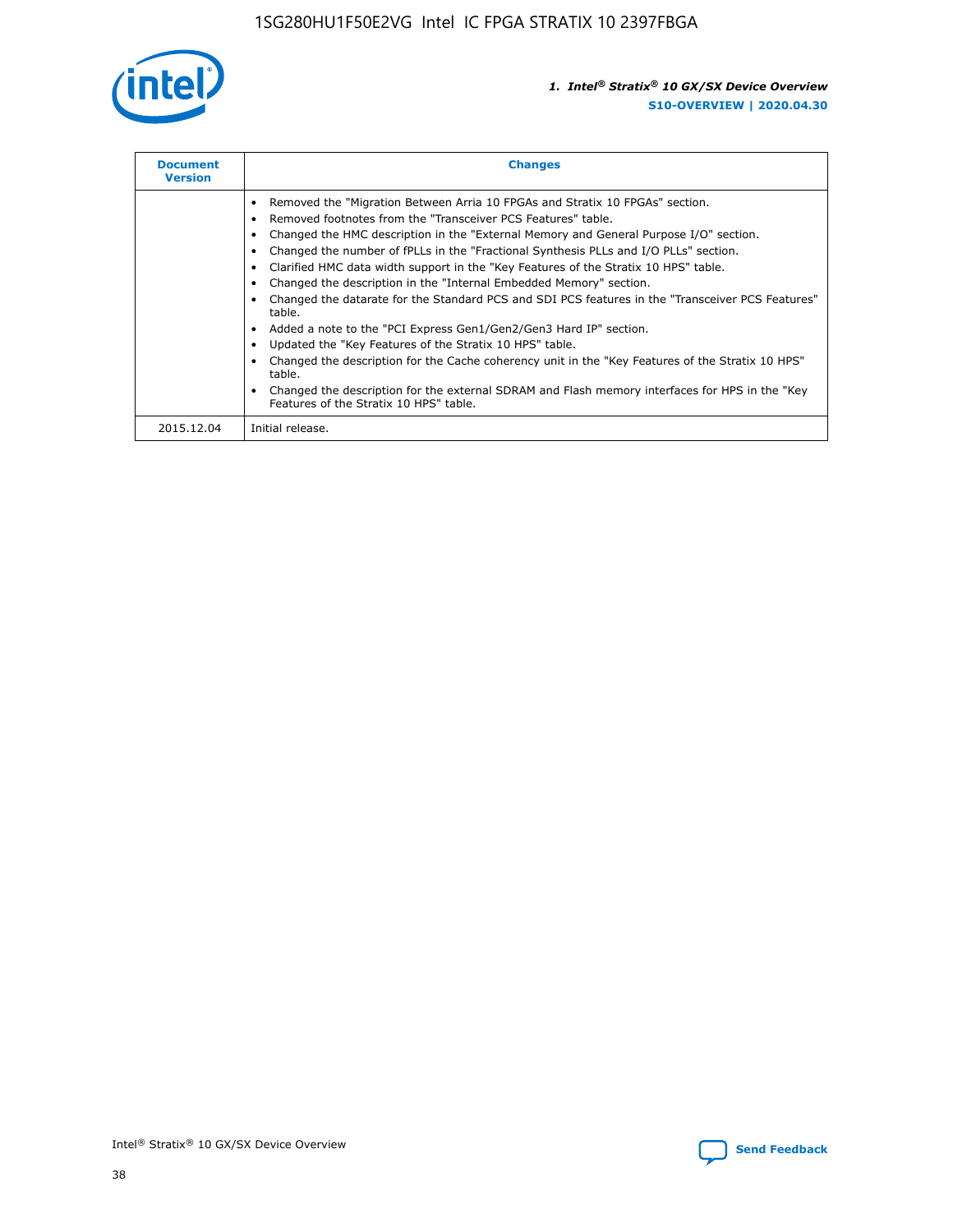

| <b>Document</b><br><b>Version</b> | <b>Changes</b>                                                                                                                                                                                                                                                                                                                                                                                                                                                                                                                                                                                                                                                                                                                                                                                                                                                                                                                                                                                     |
|-----------------------------------|----------------------------------------------------------------------------------------------------------------------------------------------------------------------------------------------------------------------------------------------------------------------------------------------------------------------------------------------------------------------------------------------------------------------------------------------------------------------------------------------------------------------------------------------------------------------------------------------------------------------------------------------------------------------------------------------------------------------------------------------------------------------------------------------------------------------------------------------------------------------------------------------------------------------------------------------------------------------------------------------------|
|                                   | Removed the "Migration Between Arria 10 FPGAs and Stratix 10 FPGAs" section.<br>Removed footnotes from the "Transceiver PCS Features" table.<br>Changed the HMC description in the "External Memory and General Purpose I/O" section.<br>Changed the number of fPLLs in the "Fractional Synthesis PLLs and I/O PLLs" section.<br>Clarified HMC data width support in the "Key Features of the Stratix 10 HPS" table.<br>Changed the description in the "Internal Embedded Memory" section.<br>Changed the datarate for the Standard PCS and SDI PCS features in the "Transceiver PCS Features"<br>table.<br>Added a note to the "PCI Express Gen1/Gen2/Gen3 Hard IP" section.<br>Updated the "Key Features of the Stratix 10 HPS" table.<br>Changed the description for the Cache coherency unit in the "Key Features of the Stratix 10 HPS"<br>table.<br>Changed the description for the external SDRAM and Flash memory interfaces for HPS in the "Key<br>Features of the Stratix 10 HPS" table. |
| 2015.12.04                        | Initial release.                                                                                                                                                                                                                                                                                                                                                                                                                                                                                                                                                                                                                                                                                                                                                                                                                                                                                                                                                                                   |